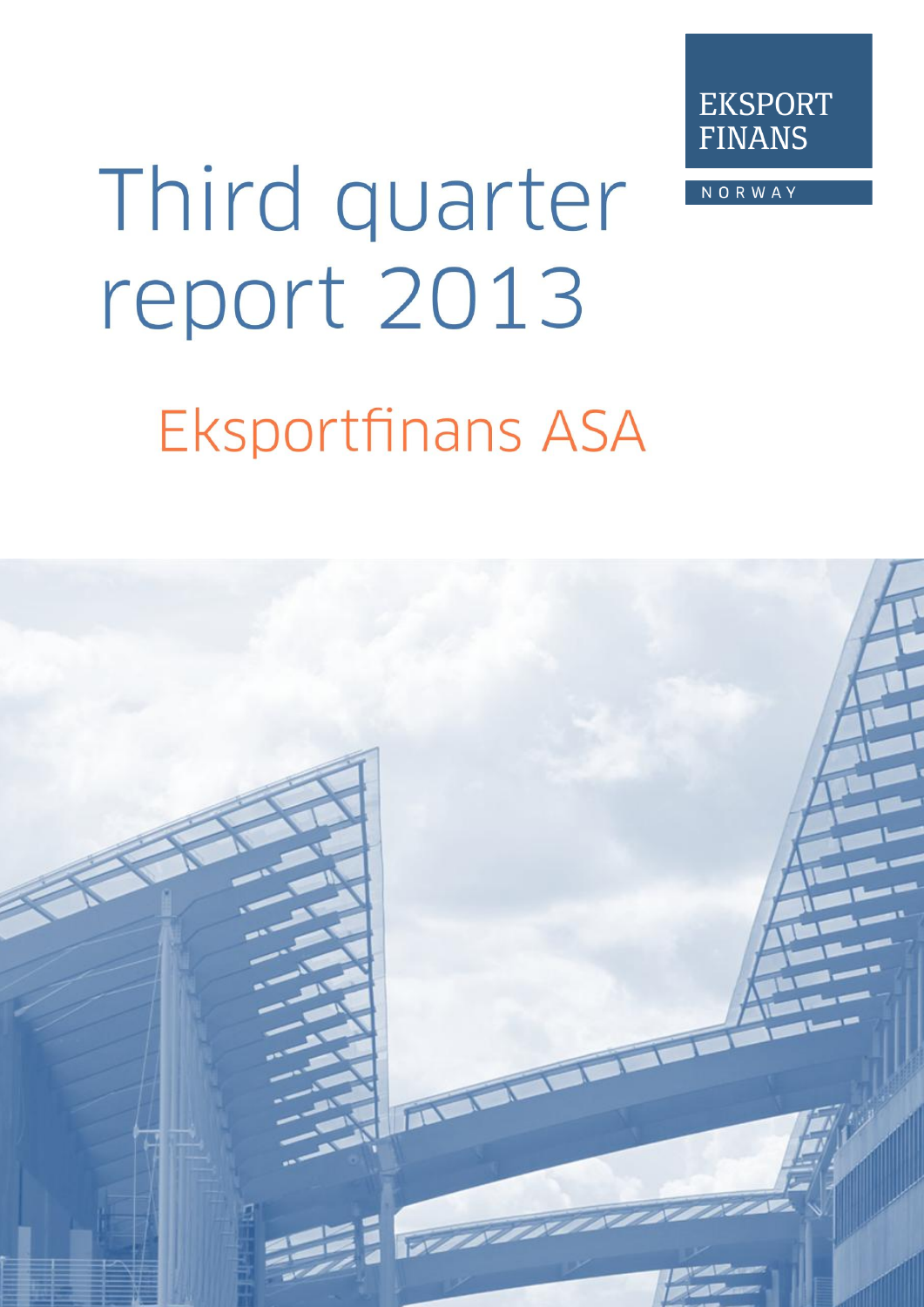

**NORWAY** 

# Third quarter report 2013

# **Eksportfinans ASA**

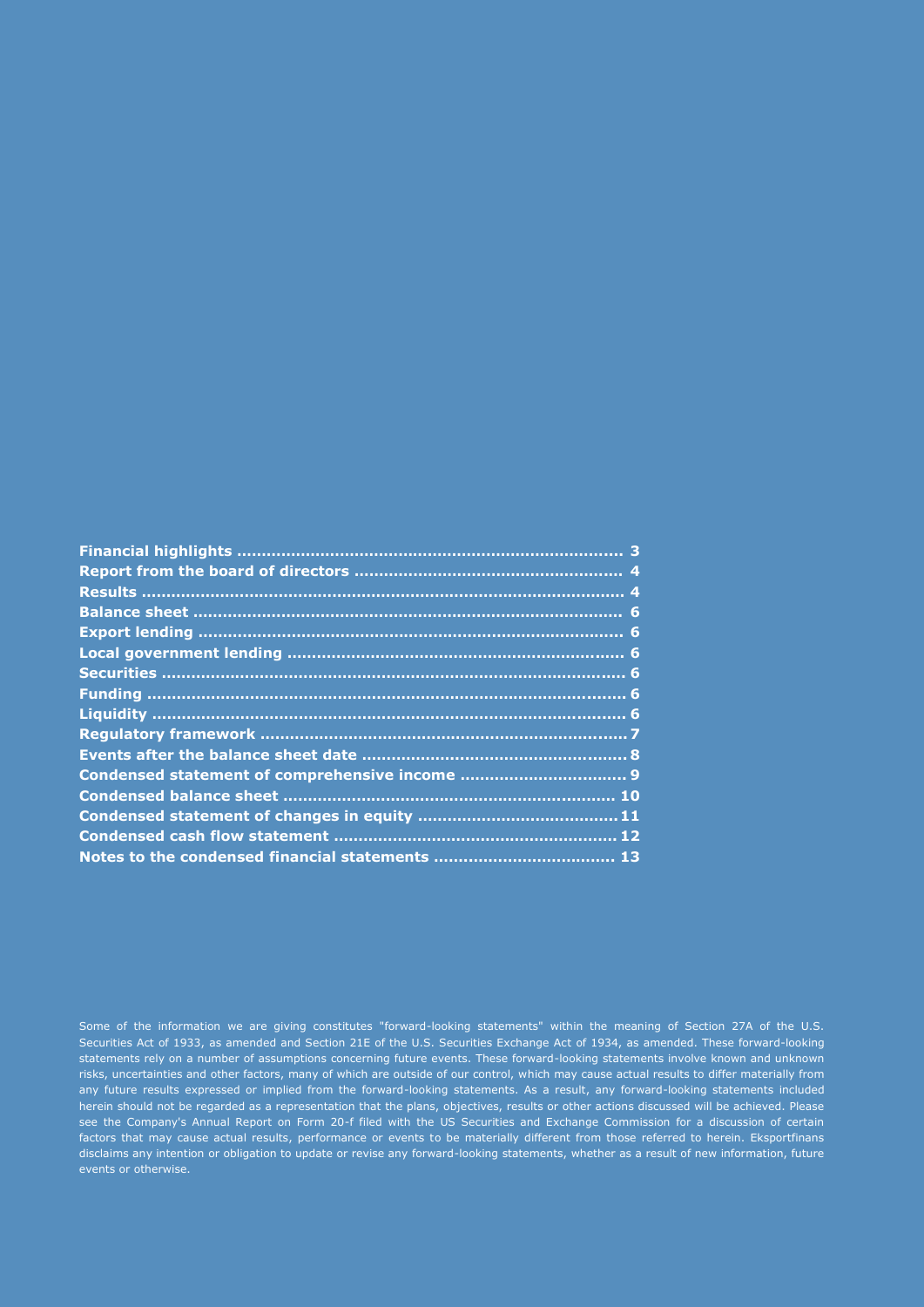Some of the information we are giving constitutes "forward-looking statements" within the meaning of Section 27A of the U.S. Securities Act of 1933, as amended and Section 21E of the U.S. Securities Exchange Act of 1934, as amended. These forward-looking statements rely on a number of assumptions concerning future events. These forward-looking statements involve known and unknown risks, uncertainties and other factors, many of which are outside of our control, which may cause actual results to differ materially from any future results expressed or implied from the forward-looking statements. As a result, any forward-looking statements included herein should not be regarded as a representation that the plans, objectives, results or other actions discussed will be achieved. Please see the Company's Annual Report on Form 20-f filed with the US Securities and Exchange Commission for a discussion of certain factors that may cause actual results, performance or events to be materially different from those referred to herein. Eksportfinans disclaims any intention or obligation to update or revise any forward-looking statements, whether as a result of new information, future events or otherwise.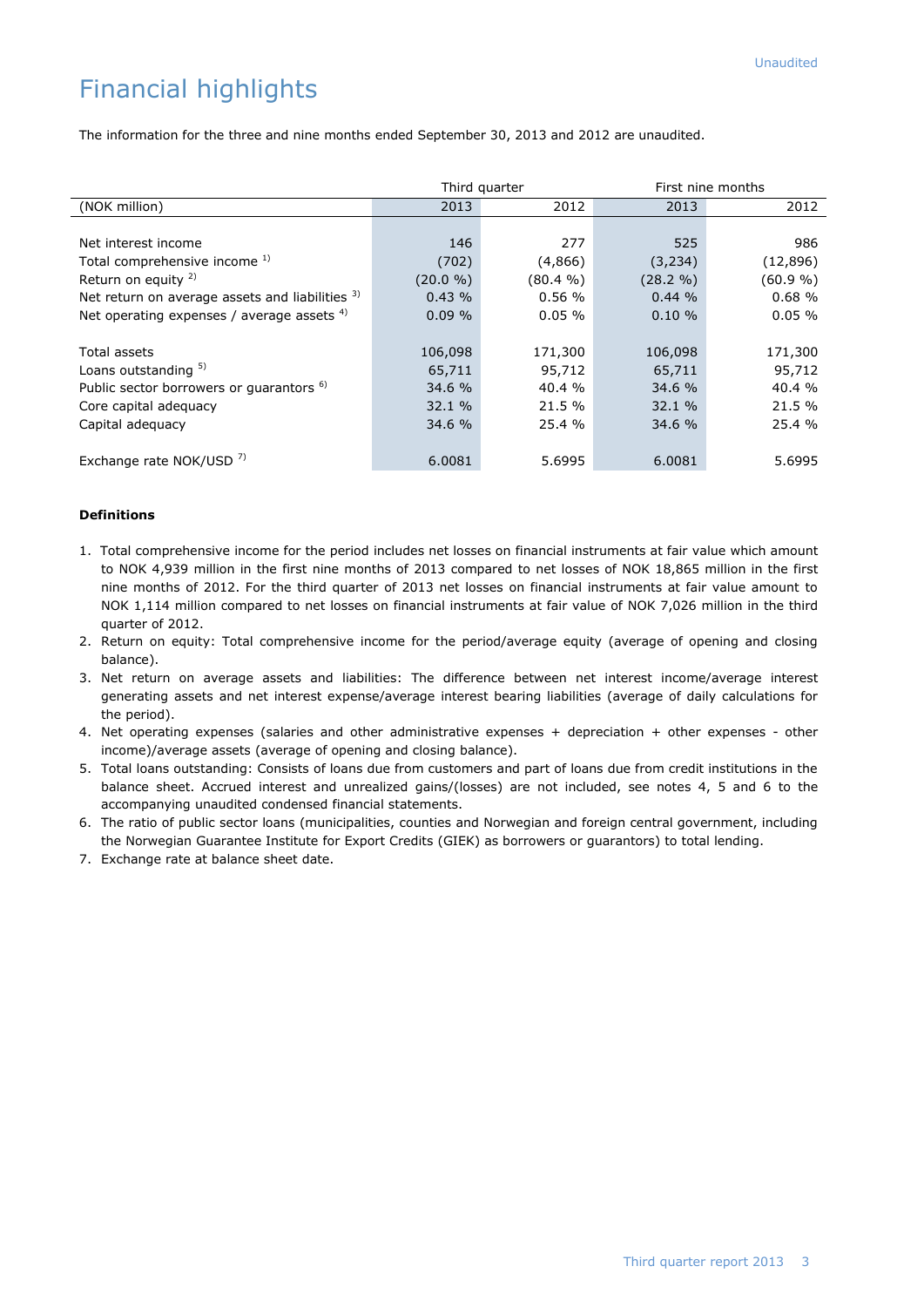# Financial highlights

The information for the three and nine months ended September 30, 2013 and 2012 are unaudited.

|                                                     |          | Third quarter | First nine months |          |  |
|-----------------------------------------------------|----------|---------------|-------------------|----------|--|
| (NOK million)                                       | 2013     | 2012          | 2013              | 2012     |  |
|                                                     |          |               |                   |          |  |
| Net interest income                                 | 146      | 277           | 525               | 986      |  |
| Total comprehensive income 1)                       | (702)    | (4,866)       | (3, 234)          | (12,896) |  |
| Return on equity $2$ )                              | (20.0 %) | $(80.4\% )$   | (28.2 %)          | (60.9 %) |  |
| Net return on average assets and liabilities 3)     | 0.43%    | 0.56%         | 0.44%             | 0.68%    |  |
| Net operating expenses / average assets 4)          | 0.09%    | 0.05%         | 0.10%             | 0.05%    |  |
|                                                     |          |               |                   |          |  |
| <b>Total assets</b>                                 | 106,098  | 171,300       | 106,098           | 171,300  |  |
| Loans outstanding 5)                                | 65,711   | 95,712        | 65,711            | 95,712   |  |
| Public sector borrowers or guarantors <sup>6)</sup> | 34.6 %   | 40.4 %        | 34.6 %            | 40.4 %   |  |
| Core capital adequacy                               | 32.1 %   | 21.5 %        | 32.1 %            | 21.5 %   |  |
| Capital adequacy                                    | 34.6 %   | 25.4 %        | 34.6 %            | 25.4 %   |  |
|                                                     |          |               |                   |          |  |
| Exchange rate NOK/USD <sup>7)</sup>                 | 6.0081   | 5.6995        | 6.0081            | 5.6995   |  |

### **Definitions**

- 1.Total comprehensive income for the period includes net losses on financial instruments at fair value which amount to NOK 4,939 million in the first nine months of 2013 compared to net losses of NOK 18,865 million in the first nine months of 2012. For the third quarter of 2013 net losses on financial instruments at fair value amount to NOK 1,114 million compared to net losses on financial instruments at fair value of NOK 7,026 million in the third quarter of 2012.
- 2. Return on equity: Total comprehensive income for the period/average equity (average of opening and closing balance).
- 3. Net return on average assets and liabilities: The difference between net interest income/average interest generating assets and net interest expense/average interest bearing liabilities (average of daily calculations for the period).
- 4. Net operating expenses (salaries and other administrative expenses + depreciation + other expenses other income)/average assets (average of opening and closing balance).
- 5. Total loans outstanding: Consists of loans due from customers and part of loans due from credit institutions in the balance sheet. Accrued interest and unrealized gains/(losses) are not included, see notes 4, 5 and 6 to the accompanying unaudited condensed financial statements.
- 6. The ratio of public sector loans (municipalities, counties and Norwegian and foreign central government, including the Norwegian Guarantee Institute for Export Credits (GIEK) as borrowers or guarantors) to total lending.
- 7. Exchange rate at balance sheet date.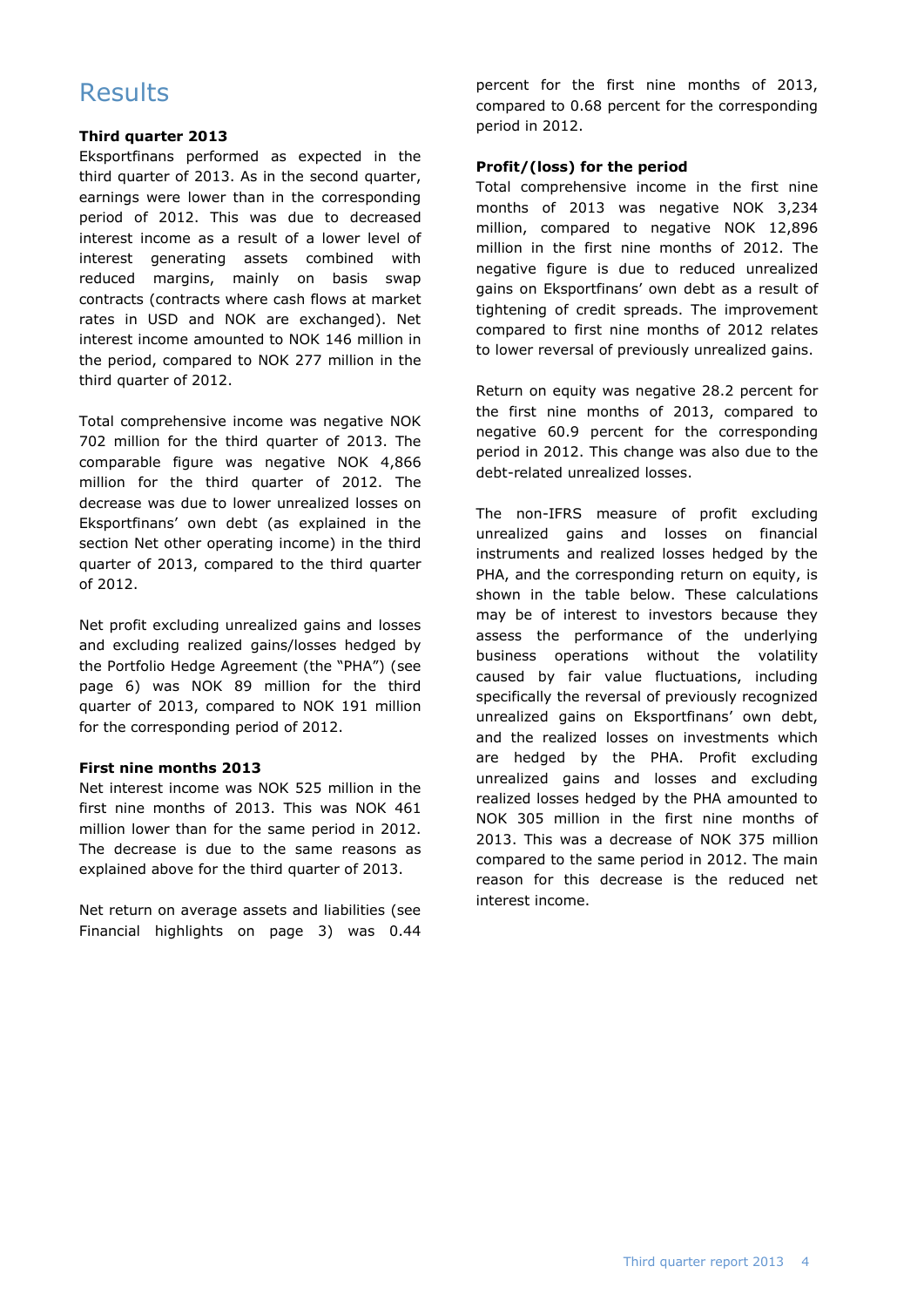# **Results**

### **Third quarter 2013**

Eksportfinans performed as expected in the third quarter of 2013. As in the second quarter, earnings were lower than in the corresponding period of 2012. This was due to decreased interest income as a result of a lower level of interest generating assets combined with reduced margins, mainly on basis swap contracts (contracts where cash flows at market rates in USD and NOK are exchanged). Net interest income amounted to NOK 146 million in the period, compared to NOK 277 million in the third quarter of 2012.

Total comprehensive income was negative NOK 702 million for the third quarter of 2013. The comparable figure was negative NOK 4,866 million for the third quarter of 2012. The decrease was due to lower unrealized losses on Eksportfinans' own debt (as explained in the section Net other operating income) in the third quarter of 2013, compared to the third quarter of 2012.

Net profit excluding unrealized gains and losses and excluding realized gains/losses hedged by the Portfolio Hedge Agreement (the "PHA") (see page 6) was NOK 89 million for the third quarter of 2013, compared to NOK 191 million for the corresponding period of 2012.

### **First nine months 2013**

Net interest income was NOK 525 million in the first nine months of 2013. This was NOK 461 million lower than for the same period in 2012. The decrease is due to the same reasons as explained above for the third quarter of 2013.

Net return on average assets and liabilities (see Financial highlights on page 3) was 0.44

percent for the first nine months of 2013, compared to 0.68 percent for the corresponding period in 2012.

### **Profit/(loss) for the period**

Total comprehensive income in the first nine months of 2013 was negative NOK 3,234 million, compared to negative NOK 12,896 million in the first nine months of 2012. The negative figure is due to reduced unrealized gains on Eksportfinans' own debt as a result of tightening of credit spreads. The improvement compared to first nine months of 2012 relates to lower reversal of previously unrealized gains.

Return on equity was negative 28.2 percent for the first nine months of 2013, compared to negative 60.9 percent for the corresponding period in 2012. This change was also due to the debt-related unrealized losses.

The non-IFRS measure of profit excluding unrealized gains and losses on financial instruments and realized losses hedged by the PHA, and the corresponding return on equity, is shown in the table below. These calculations may be of interest to investors because they assess the performance of the underlying business operations without the volatility caused by fair value fluctuations, including specifically the reversal of previously recognized unrealized gains on Eksportfinans' own debt, and the realized losses on investments which are hedged by the PHA. Profit excluding unrealized gains and losses and excluding realized losses hedged by the PHA amounted to NOK 305 million in the first nine months of 2013. This was a decrease of NOK 375 million compared to the same period in 2012. The main reason for this decrease is the reduced net interest income.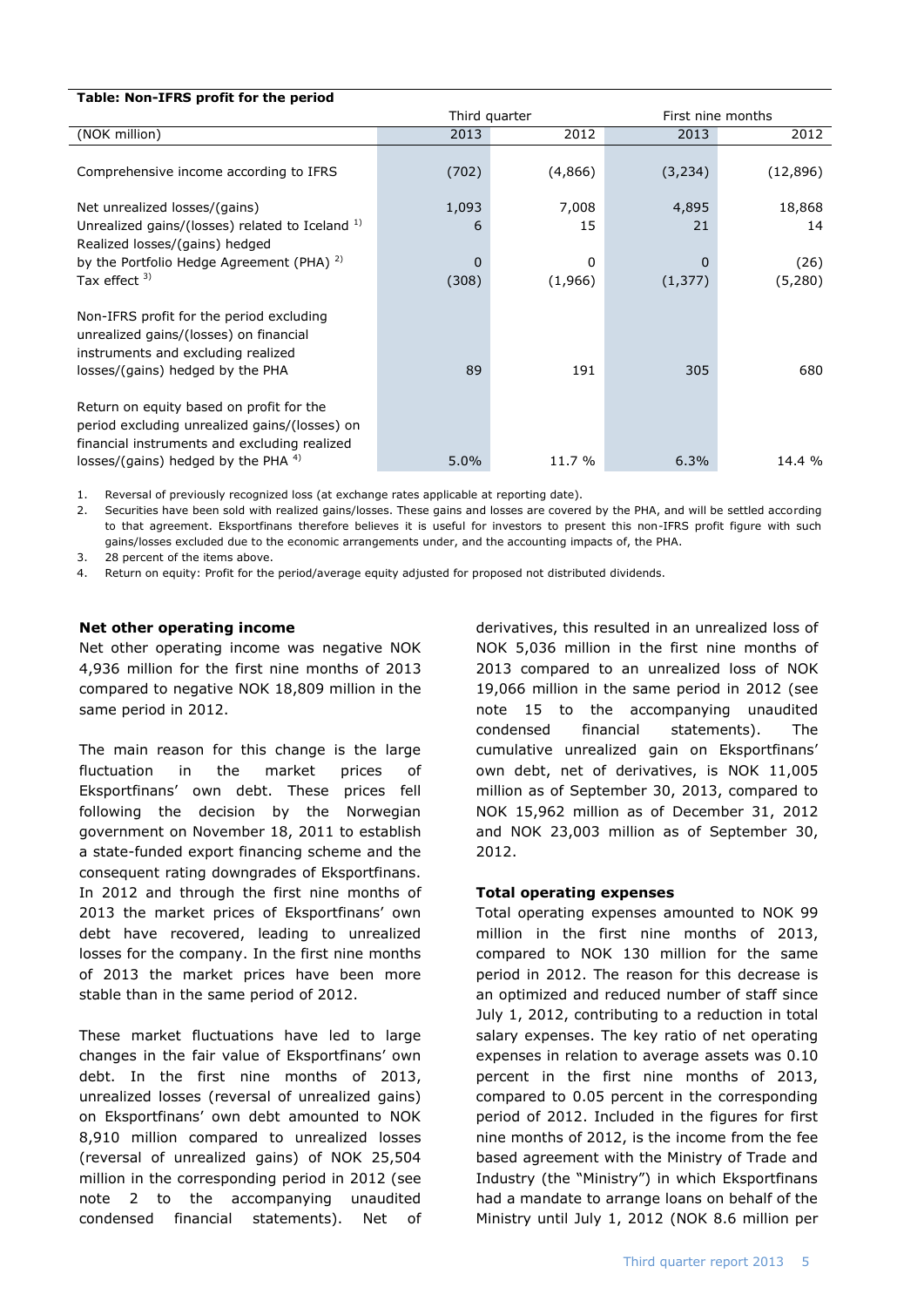| Table: Non-IFRS profit for the period                                                                                                                                               |       |               |                   |           |  |  |  |  |
|-------------------------------------------------------------------------------------------------------------------------------------------------------------------------------------|-------|---------------|-------------------|-----------|--|--|--|--|
|                                                                                                                                                                                     |       | Third quarter | First nine months |           |  |  |  |  |
| (NOK million)                                                                                                                                                                       | 2013  | 2012          | 2013              | 2012      |  |  |  |  |
| Comprehensive income according to IFRS                                                                                                                                              | (702) | (4,866)       | (3, 234)          | (12, 896) |  |  |  |  |
| Net unrealized losses/(gains)                                                                                                                                                       | 1,093 | 7,008         | 4,895             | 18,868    |  |  |  |  |
| Unrealized gains/(losses) related to Iceland 1)                                                                                                                                     | 6     | 15            | 21                | 14        |  |  |  |  |
| Realized losses/(gains) hedged                                                                                                                                                      |       |               |                   |           |  |  |  |  |
| by the Portfolio Hedge Agreement (PHA) $^{2}$ )                                                                                                                                     | 0     | 0             | 0                 | (26)      |  |  |  |  |
| Tax effect <sup>3)</sup>                                                                                                                                                            | (308) | (1,966)       | (1, 377)          | (5,280)   |  |  |  |  |
| Non-IFRS profit for the period excluding<br>unrealized gains/(losses) on financial<br>instruments and excluding realized<br>losses/(gains) hedged by the PHA                        | 89    | 191           | 305               | 680       |  |  |  |  |
| Return on equity based on profit for the<br>period excluding unrealized gains/(losses) on<br>financial instruments and excluding realized<br>losses/(gains) hedged by the PHA $4$ ) | 5.0%  | 11.7 %        | 6.3%              | 14.4 %    |  |  |  |  |

1. Reversal of previously recognized loss (at exchange rates applicable at reporting date).

2. Securities have been sold with realized gains/losses. These gains and losses are covered by the PHA, and will be settled according to that agreement. Eksportfinans therefore believes it is useful for investors to present this non-IFRS profit figure with such gains/losses excluded due to the economic arrangements under, and the accounting impacts of, the PHA.

3. 28 percent of the items above.<br>4. Return on eauity: Profit for the

Return on equity: Profit for the period/average equity adjusted for proposed not distributed dividends.

### **Net other operating income**

Net other operating income was negative NOK 4,936 million for the first nine months of 2013 compared to negative NOK 18,809 million in the same period in 2012.

The main reason for this change is the large fluctuation in the market prices of Eksportfinans' own debt. These prices fell following the decision by the Norwegian government on November 18, 2011 to establish a state-funded export financing scheme and the consequent rating downgrades of Eksportfinans. In 2012 and through the first nine months of 2013 the market prices of Eksportfinans' own debt have recovered, leading to unrealized losses for the company. In the first nine months of 2013 the market prices have been more stable than in the same period of 2012.

These market fluctuations have led to large changes in the fair value of Eksportfinans' own debt. In the first nine months of 2013, unrealized losses (reversal of unrealized gains) on Eksportfinans' own debt amounted to NOK 8,910 million compared to unrealized losses (reversal of unrealized gains) of NOK 25,504 million in the corresponding period in 2012 (see note 2 to the accompanying unaudited condensed financial statements). Net of derivatives, this resulted in an unrealized loss of NOK 5,036 million in the first nine months of 2013 compared to an unrealized loss of NOK 19,066 million in the same period in 2012 (see note 15 to the accompanying unaudited condensed financial statements). The cumulative unrealized gain on Eksportfinans' own debt, net of derivatives, is NOK 11,005 million as of September 30, 2013, compared to NOK 15,962 million as of December 31, 2012 and NOK 23,003 million as of September 30, 2012.

### **Total operating expenses**

Total operating expenses amounted to NOK 99 million in the first nine months of 2013, compared to NOK 130 million for the same period in 2012. The reason for this decrease is an optimized and reduced number of staff since July 1, 2012, contributing to a reduction in total salary expenses. The key ratio of net operating expenses in relation to average assets was 0.10 percent in the first nine months of 2013, compared to 0.05 percent in the corresponding period of 2012. Included in the figures for first nine months of 2012, is the income from the fee based agreement with the Ministry of Trade and Industry (the "Ministry") in which Eksportfinans had a mandate to arrange loans on behalf of the Ministry until July 1, 2012 (NOK 8.6 million per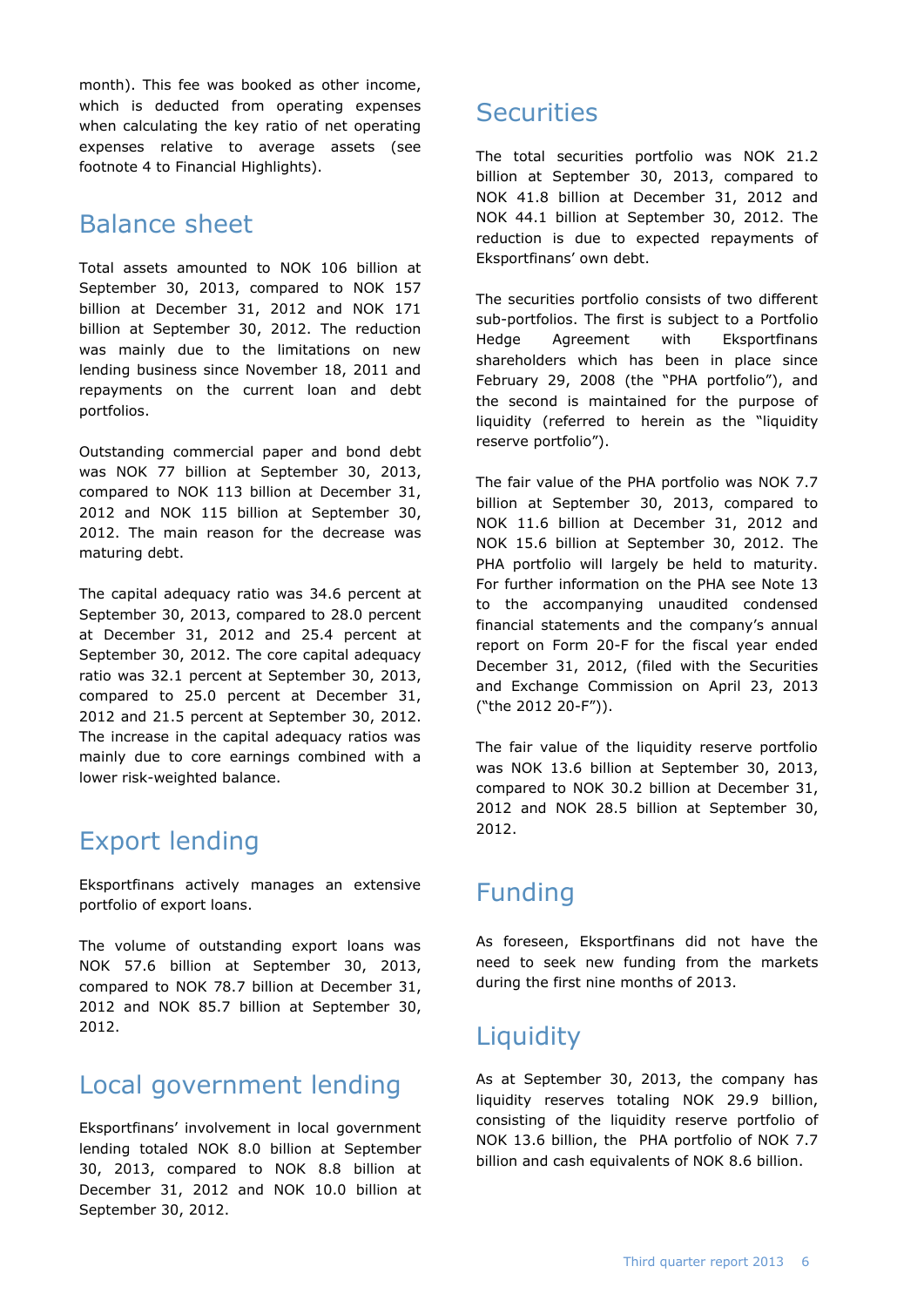month). This fee was booked as other income, which is deducted from operating expenses when calculating the key ratio of net operating expenses relative to average assets (see footnote 4 to Financial Highlights).

# Balance sheet

Total assets amounted to NOK 106 billion at September 30, 2013, compared to NOK 157 billion at December 31, 2012 and NOK 171 billion at September 30, 2012. The reduction was mainly due to the limitations on new lending business since November 18, 2011 and repayments on the current loan and debt portfolios.

Outstanding commercial paper and bond debt was NOK 77 billion at September 30, 2013, compared to NOK 113 billion at December 31, 2012 and NOK 115 billion at September 30, 2012. The main reason for the decrease was maturing debt.

The capital adequacy ratio was 34.6 percent at September 30, 2013, compared to 28.0 percent at December 31, 2012 and 25.4 percent at September 30, 2012. The core capital adequacy ratio was 32.1 percent at September 30, 2013, compared to 25.0 percent at December 31, 2012 and 21.5 percent at September 30, 2012. The increase in the capital adequacy ratios was mainly due to core earnings combined with a lower risk-weighted balance.

# Export lending

Eksportfinans actively manages an extensive portfolio of export loans.

The volume of outstanding export loans was NOK 57.6 billion at September 30, 2013, compared to NOK 78.7 billion at December 31, 2012 and NOK 85.7 billion at September 30, 2012.

# Local government lending

Eksportfinans' involvement in local government lending totaled NOK 8.0 billion at September 30, 2013, compared to NOK 8.8 billion at December 31, 2012 and NOK 10.0 billion at September 30, 2012.

# **Securities**

The total securities portfolio was NOK 21.2 billion at September 30, 2013, compared to NOK 41.8 billion at December 31, 2012 and NOK 44.1 billion at September 30, 2012. The reduction is due to expected repayments of Eksportfinans' own debt.

The securities portfolio consists of two different sub-portfolios. The first is subject to a Portfolio Hedge Agreement with Eksportfinans shareholders which has been in place since February 29, 2008 (the "PHA portfolio"), and the second is maintained for the purpose of liquidity (referred to herein as the "liquidity reserve portfolio").

The fair value of the PHA portfolio was NOK 7.7 billion at September 30, 2013, compared to NOK 11.6 billion at December 31, 2012 and NOK 15.6 billion at September 30, 2012. The PHA portfolio will largely be held to maturity. For further information on the PHA see Note 13 to the accompanying unaudited condensed financial statements and the company's annual report on Form 20-F for the fiscal year ended December 31, 2012, (filed with the Securities and Exchange Commission on April 23, 2013 ("the 2012 20-F")).

The fair value of the liquidity reserve portfolio was NOK 13.6 billion at September 30, 2013, compared to NOK 30.2 billion at December 31, 2012 and NOK 28.5 billion at September 30, 2012.

# Funding

As foreseen, Eksportfinans did not have the need to seek new funding from the markets during the first nine months of 2013.

# **Liquidity**

As at September 30, 2013, the company has liquidity reserves totaling NOK 29.9 billion, consisting of the liquidity reserve portfolio of NOK 13.6 billion, the PHA portfolio of NOK 7.7 billion and cash equivalents of NOK 8.6 billion.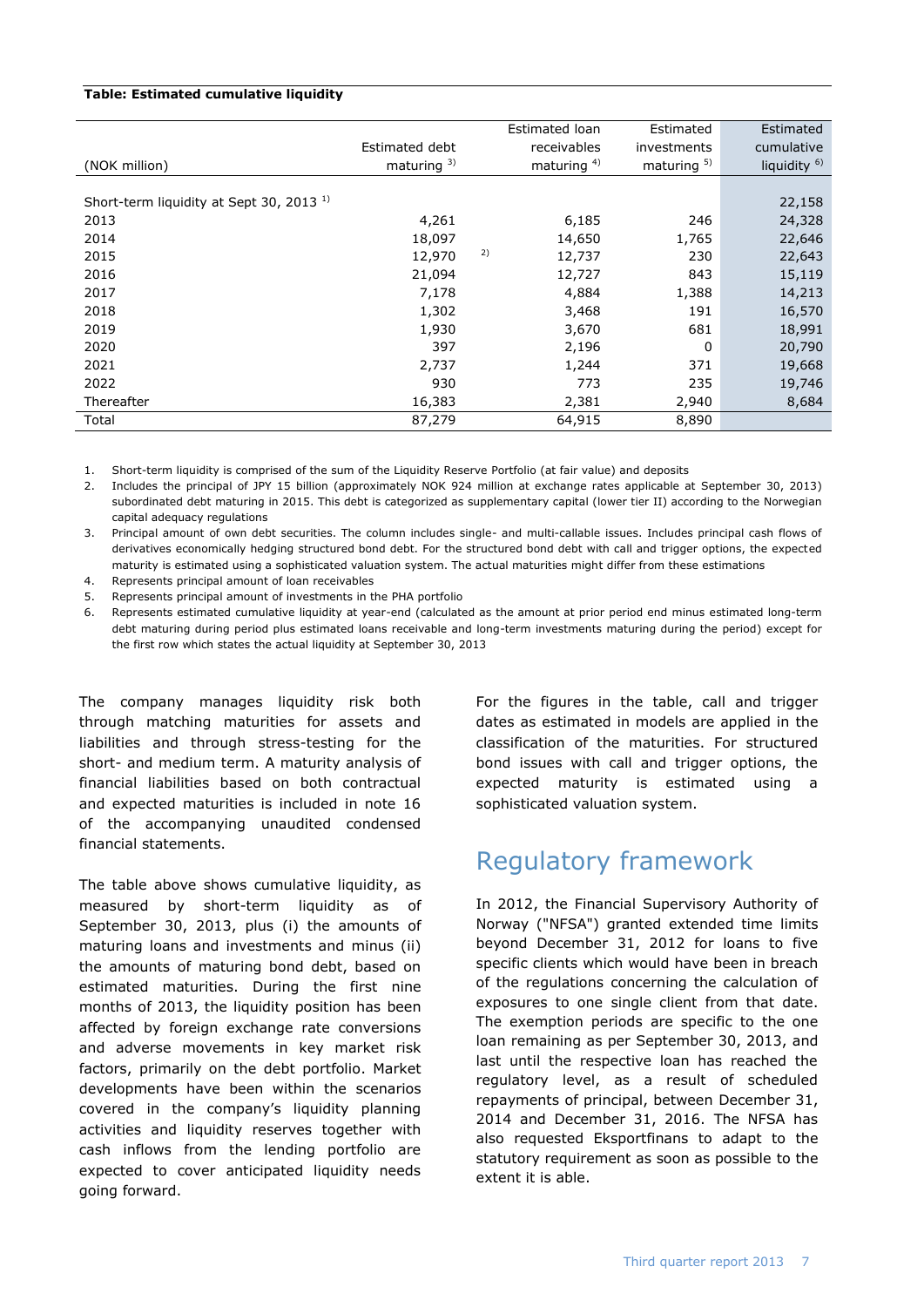### **Table: Estimated cumulative liquidity**

|                                                     |                |    | Estimated loan | Estimated      | Estimated               |
|-----------------------------------------------------|----------------|----|----------------|----------------|-------------------------|
|                                                     | Estimated debt |    | receivables    | investments    | cumulative              |
| (NOK million)                                       | maturing $3$ ) |    | maturing $4$ ) | maturing $5$ ) | liquidity <sup>6)</sup> |
|                                                     |                |    |                |                |                         |
| Short-term liquidity at Sept 30, 2013 <sup>1)</sup> |                |    |                |                | 22,158                  |
| 2013                                                | 4,261          |    | 6,185          | 246            | 24,328                  |
| 2014                                                | 18,097         |    | 14,650         | 1,765          | 22,646                  |
| 2015                                                | 12,970         | 2) | 12,737         | 230            | 22,643                  |
| 2016                                                | 21,094         |    | 12,727         | 843            | 15,119                  |
| 2017                                                | 7,178          |    | 4,884          | 1,388          | 14,213                  |
| 2018                                                | 1,302          |    | 3,468          | 191            | 16,570                  |
| 2019                                                | 1,930          |    | 3,670          | 681            | 18,991                  |
| 2020                                                | 397            |    | 2,196          | 0              | 20,790                  |
| 2021                                                | 2,737          |    | 1,244          | 371            | 19,668                  |
| 2022                                                | 930            |    | 773            | 235            | 19,746                  |
| Thereafter                                          | 16,383         |    | 2,381          | 2,940          | 8,684                   |
| Total                                               | 87,279         |    | 64,915         | 8,890          |                         |

1. Short-term liquidity is comprised of the sum of the Liquidity Reserve Portfolio (at fair value) and deposits

2. Includes the principal of JPY 15 billion (approximately NOK 924 million at exchange rates applicable at September 30, 2013) subordinated debt maturing in 2015. This debt is categorized as supplementary capital (lower tier II) according to the Norwegian capital adequacy regulations

3. Principal amount of own debt securities. The column includes single- and multi-callable issues. Includes principal cash flows of derivatives economically hedging structured bond debt. For the structured bond debt with call and trigger options, the expected maturity is estimated using a sophisticated valuation system. The actual maturities might differ from these estimations

4. Represents principal amount of loan receivables

5. Represents principal amount of investments in the PHA portfolio

6. Represents estimated cumulative liquidity at year-end (calculated as the amount at prior period end minus estimated long-term debt maturing during period plus estimated loans receivable and long-term investments maturing during the period) except for the first row which states the actual liquidity at September 30, 2013

The company manages liquidity risk both through matching maturities for assets and liabilities and through stress-testing for the short- and medium term. A maturity analysis of financial liabilities based on both contractual and expected maturities is included in note 16 of the accompanying unaudited condensed financial statements.

The table above shows cumulative liquidity, as measured by short-term liquidity as of September 30, 2013, plus (i) the amounts of maturing loans and investments and minus (ii) the amounts of maturing bond debt, based on estimated maturities. During the first nine months of 2013, the liquidity position has been affected by foreign exchange rate conversions and adverse movements in key market risk factors, primarily on the debt portfolio. Market developments have been within the scenarios covered in the company's liquidity planning activities and liquidity reserves together with cash inflows from the lending portfolio are expected to cover anticipated liquidity needs going forward.

For the figures in the table, call and trigger dates as estimated in models are applied in the classification of the maturities. For structured bond issues with call and trigger options, the expected maturity is estimated using a sophisticated valuation system.

# Regulatory framework

In 2012, the Financial Supervisory Authority of Norway ("NFSA") granted extended time limits beyond December 31, 2012 for loans to five specific clients which would have been in breach of the regulations concerning the calculation of exposures to one single client from that date. The exemption periods are specific to the one loan remaining as per September 30, 2013, and last until the respective loan has reached the regulatory level, as a result of scheduled repayments of principal, between December 31, 2014 and December 31, 2016. The NFSA has also requested Eksportfinans to adapt to the statutory requirement as soon as possible to the extent it is able.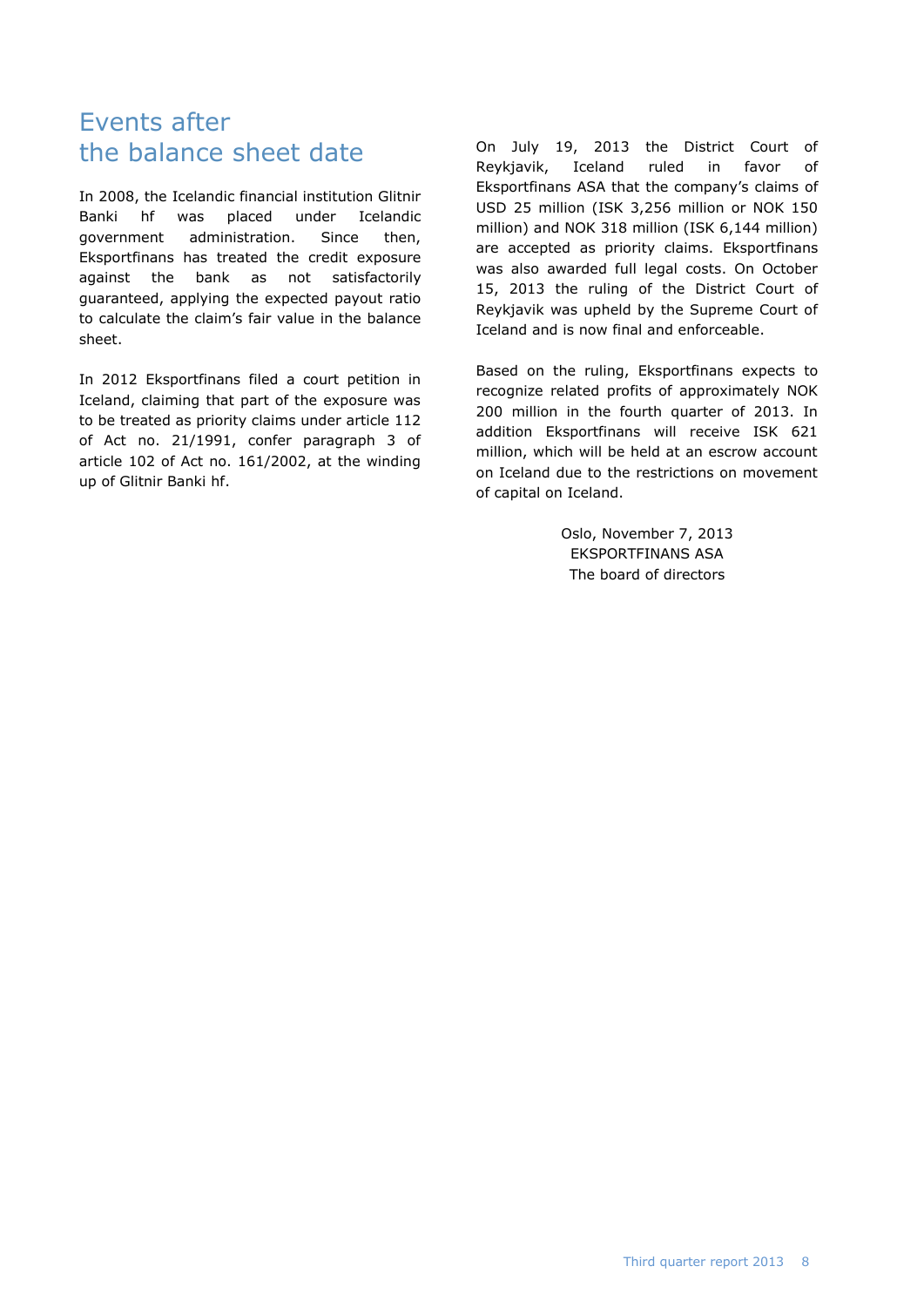# Events after the balance sheet date

In 2008, the Icelandic financial institution Glitnir Banki hf was placed under Icelandic government administration. Since then, Eksportfinans has treated the credit exposure against the bank as not satisfactorily guaranteed, applying the expected payout ratio to calculate the claim's fair value in the balance sheet.

In 2012 Eksportfinans filed a court petition in Iceland, claiming that part of the exposure was to be treated as priority claims under article 112 of Act no. 21/1991, confer paragraph 3 of article 102 of Act no. 161/2002, at the winding up of Glitnir Banki hf.

On July 19, 2013 the District Court of Reykjavik, Iceland ruled in favor of Eksportfinans ASA that the company's claims of USD 25 million (ISK 3,256 million or NOK 150 million) and NOK 318 million (ISK 6,144 million) are accepted as priority claims. Eksportfinans was also awarded full legal costs. On October 15, 2013 the ruling of the District Court of Reykjavik was upheld by the Supreme Court of Iceland and is now final and enforceable.

Based on the ruling, Eksportfinans expects to recognize related profits of approximately NOK 200 million in the fourth quarter of 2013. In addition Eksportfinans will receive ISK 621 million, which will be held at an escrow account on Iceland due to the restrictions on movement of capital on Iceland.

> Oslo, November 7, 2013 EKSPORTFINANS ASA The board of directors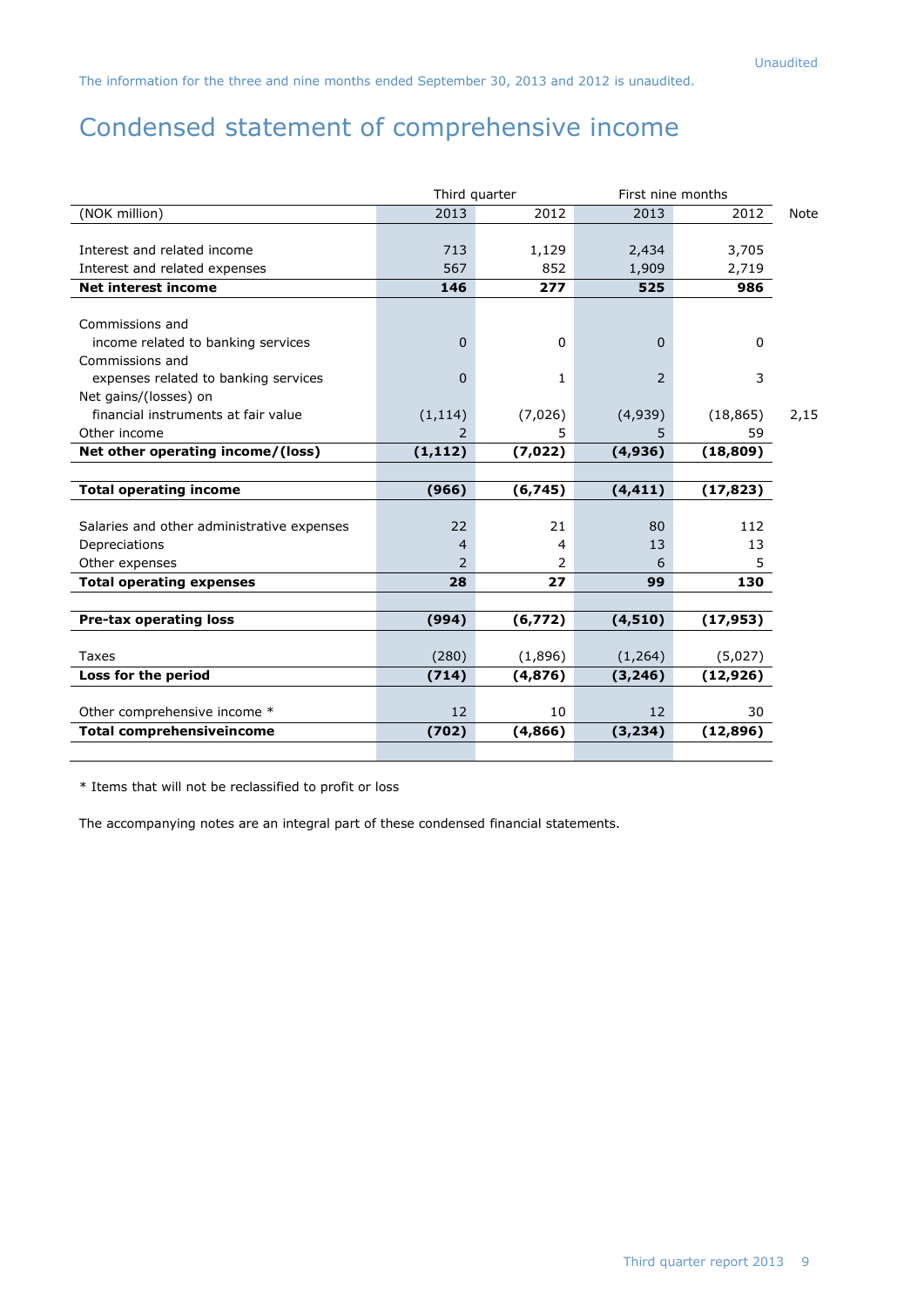# Condensed statement of comprehensive income

|                                            | First nine months<br>Third quarter |          |             |           |      |
|--------------------------------------------|------------------------------------|----------|-------------|-----------|------|
| (NOK million)                              | 2013                               | 2012     | 2013        | 2012      | Note |
|                                            |                                    |          |             |           |      |
| Interest and related income                | 713                                | 1,129    | 2,434       | 3,705     |      |
| Interest and related expenses              | 567                                | 852      | 1,909       | 2,719     |      |
| <b>Net interest income</b>                 | 146                                | 277      | 525         | 986       |      |
|                                            |                                    |          |             |           |      |
| Commissions and                            |                                    |          |             |           |      |
| income related to banking services         | $\mathbf 0$                        | 0        | $\mathbf 0$ | 0         |      |
| Commissions and                            |                                    |          |             |           |      |
| expenses related to banking services       | $\Omega$                           | 1        | 2           | 3         |      |
| Net gains/(losses) on                      |                                    |          |             |           |      |
| financial instruments at fair value        | (1, 114)                           | (7,026)  | (4,939)     | (18, 865) | 2,15 |
| Other income                               | 2                                  | 5        | 5           | 59        |      |
| Net other operating income/(loss)          | (1, 112)                           | (7,022)  | (4,936)     | (18, 809) |      |
|                                            |                                    |          |             |           |      |
| <b>Total operating income</b>              | (966)                              | (6, 745) | (4, 411)    | (17, 823) |      |
|                                            |                                    |          |             |           |      |
| Salaries and other administrative expenses | 22                                 | 21       | 80          | 112       |      |
| Depreciations                              | 4                                  | 4        | 13          | 13        |      |
| Other expenses                             | $\mathcal{P}$                      | 2        | 6           | 5         |      |
| <b>Total operating expenses</b>            | 28                                 | 27       | 99          | 130       |      |
|                                            |                                    |          |             |           |      |
| <b>Pre-tax operating loss</b>              | (994)                              | (6, 772) | (4,510)     | (17, 953) |      |
|                                            |                                    |          |             |           |      |
| Taxes                                      | (280)                              | (1,896)  | (1, 264)    | (5,027)   |      |
| Loss for the period                        | (714)                              | (4,876)  | (3, 246)    | (12, 926) |      |
|                                            |                                    |          |             |           |      |
| Other comprehensive income *               | 12                                 | 10       | 12          | 30        |      |
| <b>Total comprehensiveincome</b>           | (702)                              | (4,866)  | (3, 234)    | (12, 896) |      |
|                                            |                                    |          |             |           |      |

\* Items that will not be reclassified to profit or loss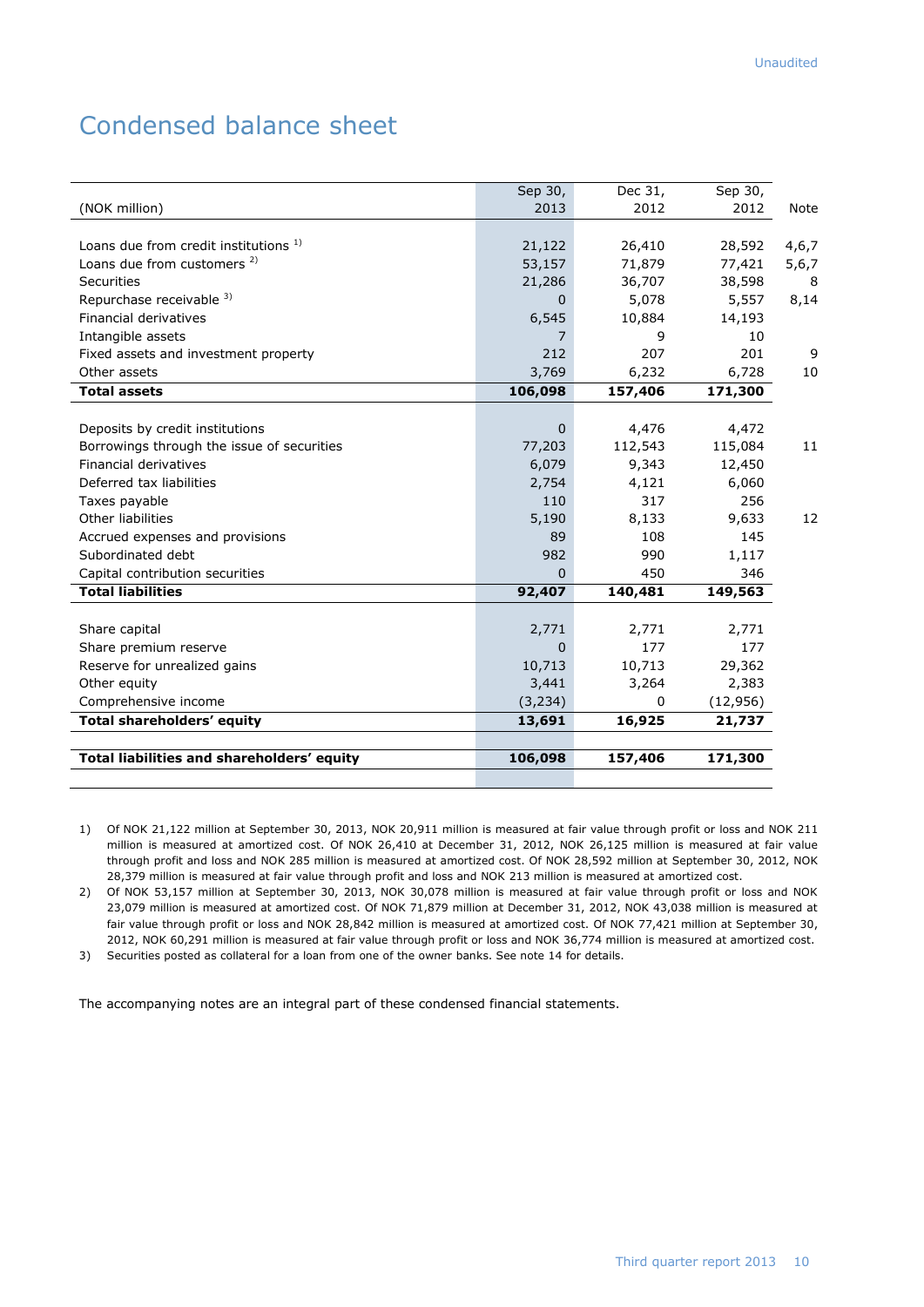# Condensed balance sheet

|                                            | Sep 30,        | Dec 31,      | Sep 30,   |         |
|--------------------------------------------|----------------|--------------|-----------|---------|
| (NOK million)                              | 2013           | 2012         | 2012      | Note    |
|                                            |                |              |           |         |
| Loans due from credit institutions 1)      | 21,122         | 26,410       | 28,592    | 4,6,7   |
| Loans due from customers <sup>2)</sup>     | 53,157         | 71,879       | 77,421    | 5, 6, 7 |
| <b>Securities</b>                          | 21,286         | 36,707       | 38,598    | 8       |
| Repurchase receivable 3)                   | 0              | 5,078        | 5,557     | 8,14    |
| <b>Financial derivatives</b>               | 6,545          | 10,884       | 14,193    |         |
| Intangible assets                          | 7              | 9            | 10        |         |
| Fixed assets and investment property       | 212            | 207          | 201       | 9       |
| Other assets                               | 3,769          | 6,232        | 6,728     | 10      |
| <b>Total assets</b>                        | 106,098        | 157,406      | 171,300   |         |
|                                            |                |              |           |         |
| Deposits by credit institutions            | $\mathbf{0}$   | 4,476        | 4,472     |         |
| Borrowings through the issue of securities | 77,203         | 112,543      | 115,084   | 11      |
| <b>Financial derivatives</b>               | 6,079          | 9,343        | 12,450    |         |
| Deferred tax liabilities                   | 2,754          | 4,121        | 6,060     |         |
| Taxes payable                              | 110            | 317          | 256       |         |
| Other liabilities                          | 5,190          | 8,133        | 9,633     | 12      |
| Accrued expenses and provisions            | 89             | 108          | 145       |         |
| Subordinated debt                          | 982            | 990          | 1,117     |         |
| Capital contribution securities            | $\overline{0}$ | 450          | 346       |         |
| <b>Total liabilities</b>                   | 92,407         | 140,481      | 149,563   |         |
|                                            |                |              |           |         |
| Share capital                              | 2,771          | 2,771        | 2,771     |         |
| Share premium reserve                      | $\mathbf{0}$   | 177          | 177       |         |
| Reserve for unrealized gains               | 10,713         | 10,713       | 29,362    |         |
| Other equity                               | 3,441          | 3,264        | 2,383     |         |
| Comprehensive income                       | (3, 234)       | $\mathbf{0}$ | (12, 956) |         |
| <b>Total shareholders' equity</b>          | 13,691         | 16,925       | 21,737    |         |
|                                            |                |              |           |         |
| Total liabilities and shareholders' equity | 106,098        | 157,406      | 171,300   |         |
|                                            |                |              |           |         |

1) Of NOK 21,122 million at September 30, 2013, NOK 20,911 million is measured at fair value through profit or loss and NOK 211 million is measured at amortized cost. Of NOK 26,410 at December 31, 2012, NOK 26,125 million is measured at fair value through profit and loss and NOK 285 million is measured at amortized cost. Of NOK 28,592 million at September 30, 2012, NOK 28,379 million is measured at fair value through profit and loss and NOK 213 million is measured at amortized cost.

2) Of NOK 53,157 million at September 30, 2013, NOK 30,078 million is measured at fair value through profit or loss and NOK 23,079 million is measured at amortized cost. Of NOK 71,879 million at December 31, 2012, NOK 43,038 million is measured at fair value through profit or loss and NOK 28,842 million is measured at amortized cost. Of NOK 77,421 million at September 30, 2012, NOK 60,291 million is measured at fair value through profit or loss and NOK 36,774 million is measured at amortized cost.

3) Securities posted as collateral for a loan from one of the owner banks. See note 14 for details.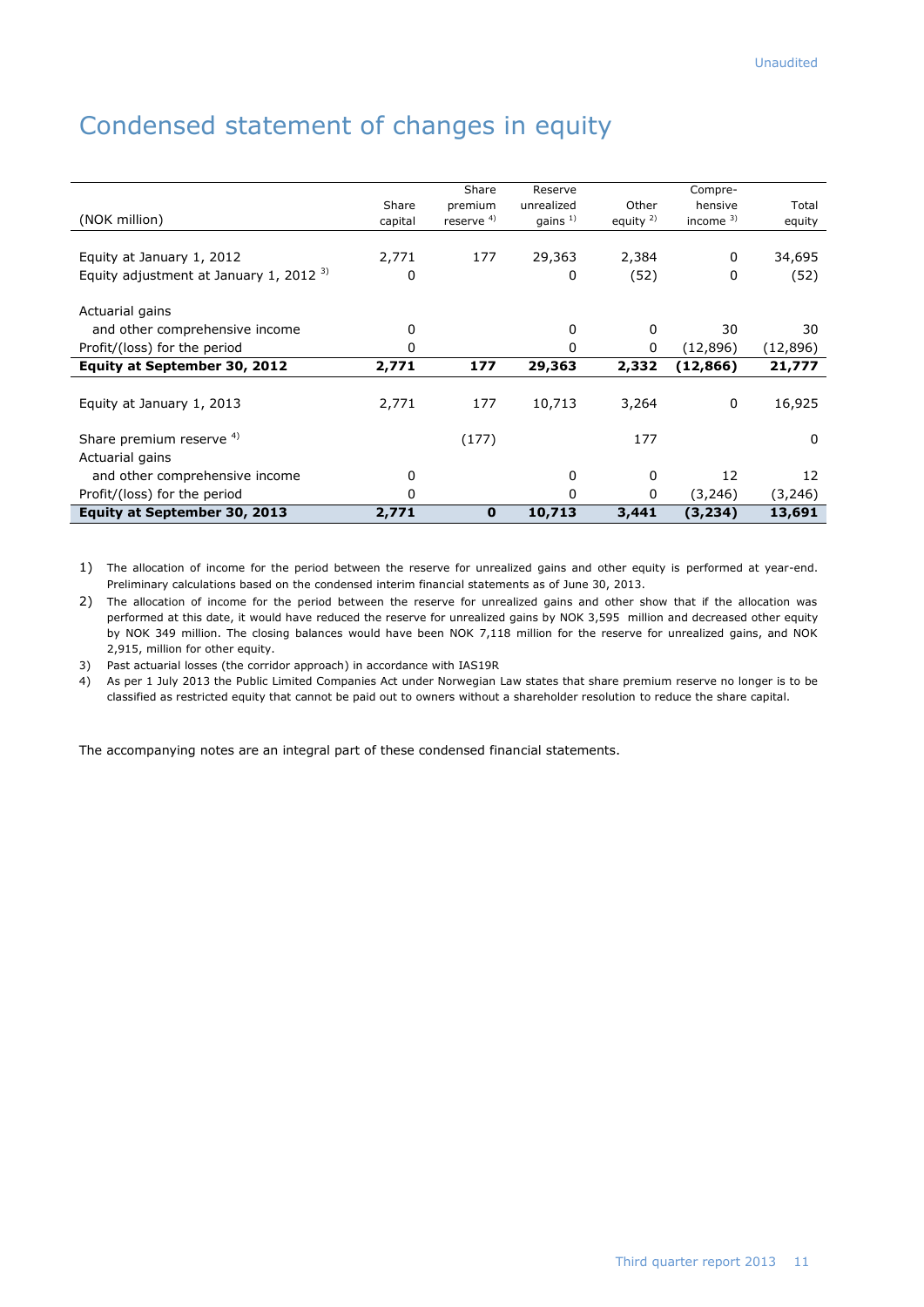# Condensed statement of changes in equity

|                                          |         | Share         | Reserve    |              | Compre-      |          |
|------------------------------------------|---------|---------------|------------|--------------|--------------|----------|
|                                          | Share   | premium       | unrealized | Other        | hensive      | Total    |
| (NOK million)                            | capital | reserve $4$ ) | gains $1)$ | equity $2$ ) | income $3$ ) | equity   |
| Equity at January 1, 2012                | 2,771   | 177           | 29,363     | 2,384        | 0            | 34,695   |
| Equity adjustment at January 1, 2012 $3$ | 0       |               | 0          | (52)         | 0            | (52)     |
|                                          |         |               |            |              |              |          |
| Actuarial gains                          |         |               |            |              |              |          |
| and other comprehensive income           | 0       |               | 0          | 0            | 30           | 30       |
| Profit/(loss) for the period             | 0       |               | 0          | 0            | (12, 896)    | (12,896) |
| Equity at September 30, 2012             | 2,771   | 177           | 29,363     | 2,332        | (12, 866)    | 21,777   |
|                                          |         |               |            |              |              |          |
| Equity at January 1, 2013                | 2,771   | 177           | 10,713     | 3,264        | 0            | 16,925   |
|                                          |         |               |            |              |              |          |
| Share premium reserve 4)                 |         | (177)         |            | 177          |              | 0        |
| Actuarial gains                          |         |               |            |              |              |          |
| and other comprehensive income           | 0       |               | 0          | 0            | 12           | 12       |
| Profit/(loss) for the period             | 0       |               | 0          | 0            | (3,246)      | (3, 246) |
| Equity at September 30, 2013             | 2,771   | $\mathbf 0$   | 10,713     | 3,441        | (3, 234)     | 13,691   |

1) The allocation of income for the period between the reserve for unrealized gains and other equity is performed at year-end. Preliminary calculations based on the condensed interim financial statements as of June 30, 2013.

2) The allocation of income for the period between the reserve for unrealized gains and other show that if the allocation was performed at this date, it would have reduced the reserve for unrealized gains by NOK 3,595 million and decreased other equity by NOK 349 million. The closing balances would have been NOK 7,118 million for the reserve for unrealized gains, and NOK 2,915, million for other equity.

3) Past actuarial losses (the corridor approach) in accordance with IAS19R

4) As per 1 July 2013 the Public Limited Companies Act under Norwegian Law states that share premium reserve no longer is to be classified as restricted equity that cannot be paid out to owners without a shareholder resolution to reduce the share capital.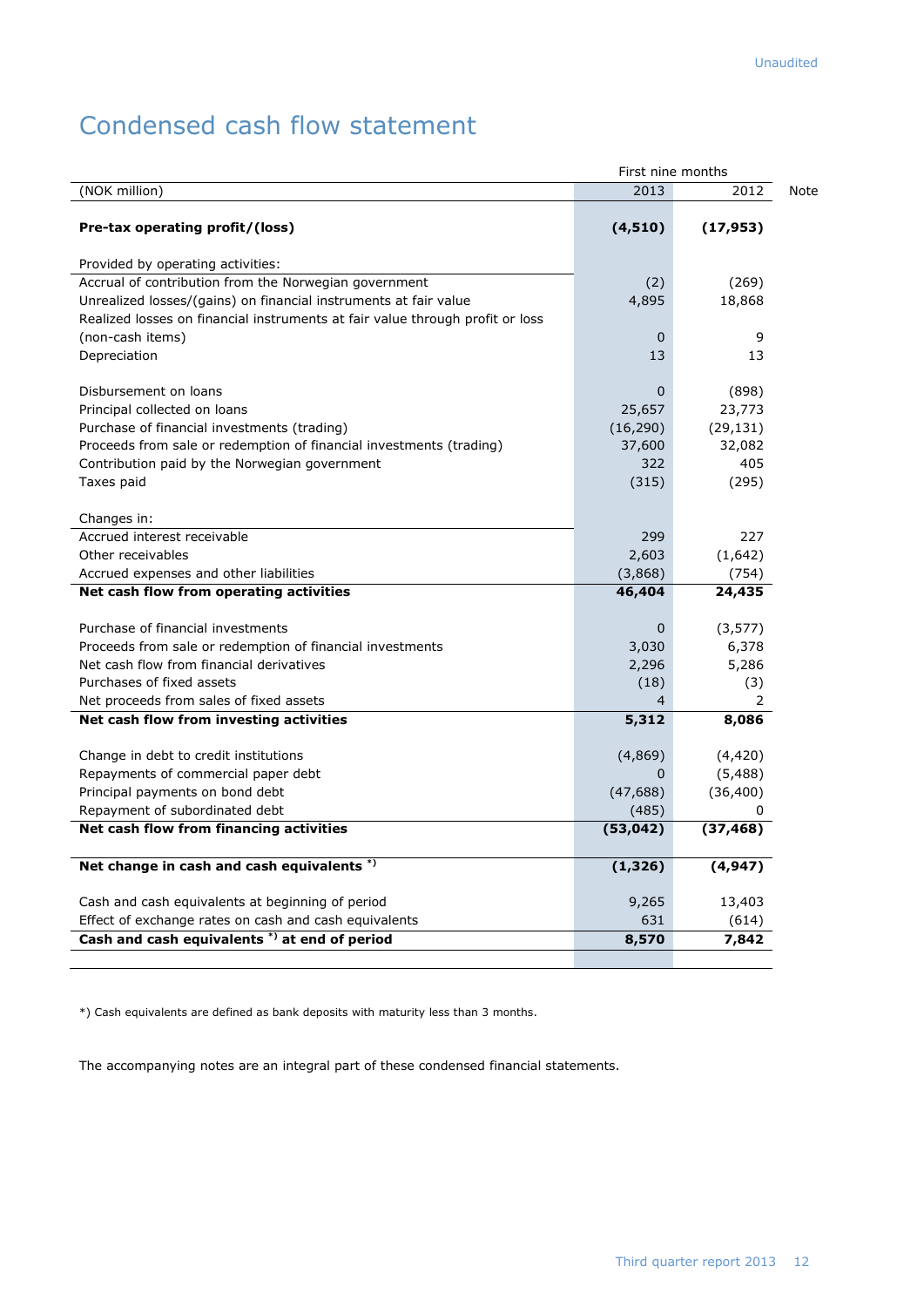# Condensed cash flow statement

|                                                                               | First nine months |                |  |
|-------------------------------------------------------------------------------|-------------------|----------------|--|
| (NOK million)                                                                 | 2013              | 2012           |  |
| Pre-tax operating profit/(loss)                                               | (4, 510)          | (17, 953)      |  |
| Provided by operating activities:                                             |                   |                |  |
| Accrual of contribution from the Norwegian government                         | (2)               | (269)          |  |
| Unrealized losses/(gains) on financial instruments at fair value              | 4,895             | 18,868         |  |
| Realized losses on financial instruments at fair value through profit or loss |                   |                |  |
| (non-cash items)                                                              | 0                 | 9              |  |
| Depreciation                                                                  | 13                | 13             |  |
| Disbursement on loans                                                         | 0                 | (898)          |  |
| Principal collected on loans                                                  | 25,657            | 23,773         |  |
| Purchase of financial investments (trading)                                   | (16, 290)         | (29, 131)      |  |
| Proceeds from sale or redemption of financial investments (trading)           | 37,600            | 32,082         |  |
| Contribution paid by the Norwegian government                                 | 322               | 405            |  |
| Taxes paid                                                                    | (315)             | (295)          |  |
| Changes in:                                                                   |                   |                |  |
| Accrued interest receivable                                                   | 299               | 227            |  |
| Other receivables                                                             | 2,603             | (1,642)        |  |
| Accrued expenses and other liabilities                                        | (3,868)           | (754)          |  |
| Net cash flow from operating activities                                       | 46,404            | 24,435         |  |
| Purchase of financial investments                                             | 0                 | (3, 577)       |  |
| Proceeds from sale or redemption of financial investments                     | 3,030             | 6,378          |  |
| Net cash flow from financial derivatives                                      | 2,296             | 5,286          |  |
| Purchases of fixed assets                                                     | (18)              | (3)            |  |
| Net proceeds from sales of fixed assets                                       | 4                 | $\overline{2}$ |  |
| Net cash flow from investing activities                                       | 5,312             | 8,086          |  |
| Change in debt to credit institutions                                         | (4,869)           | (4, 420)       |  |
| Repayments of commercial paper debt                                           | 0                 | (5,488)        |  |
| Principal payments on bond debt                                               | (47, 688)         | (36, 400)      |  |
| Repayment of subordinated debt                                                | (485)             |                |  |
| Net cash flow from financing activities                                       | (53, 042)         | (37, 468)      |  |
| Net change in cash and cash equivalents *)                                    | (1, 326)          | (4, 947)       |  |
| Cash and cash equivalents at beginning of period                              | 9,265             | 13,403         |  |
| Effect of exchange rates on cash and cash equivalents                         | 631               | (614)          |  |
| Cash and cash equivalents *) at end of period                                 | 8,570             | 7,842          |  |
|                                                                               |                   |                |  |

\*) Cash equivalents are defined as bank deposits with maturity less than 3 months.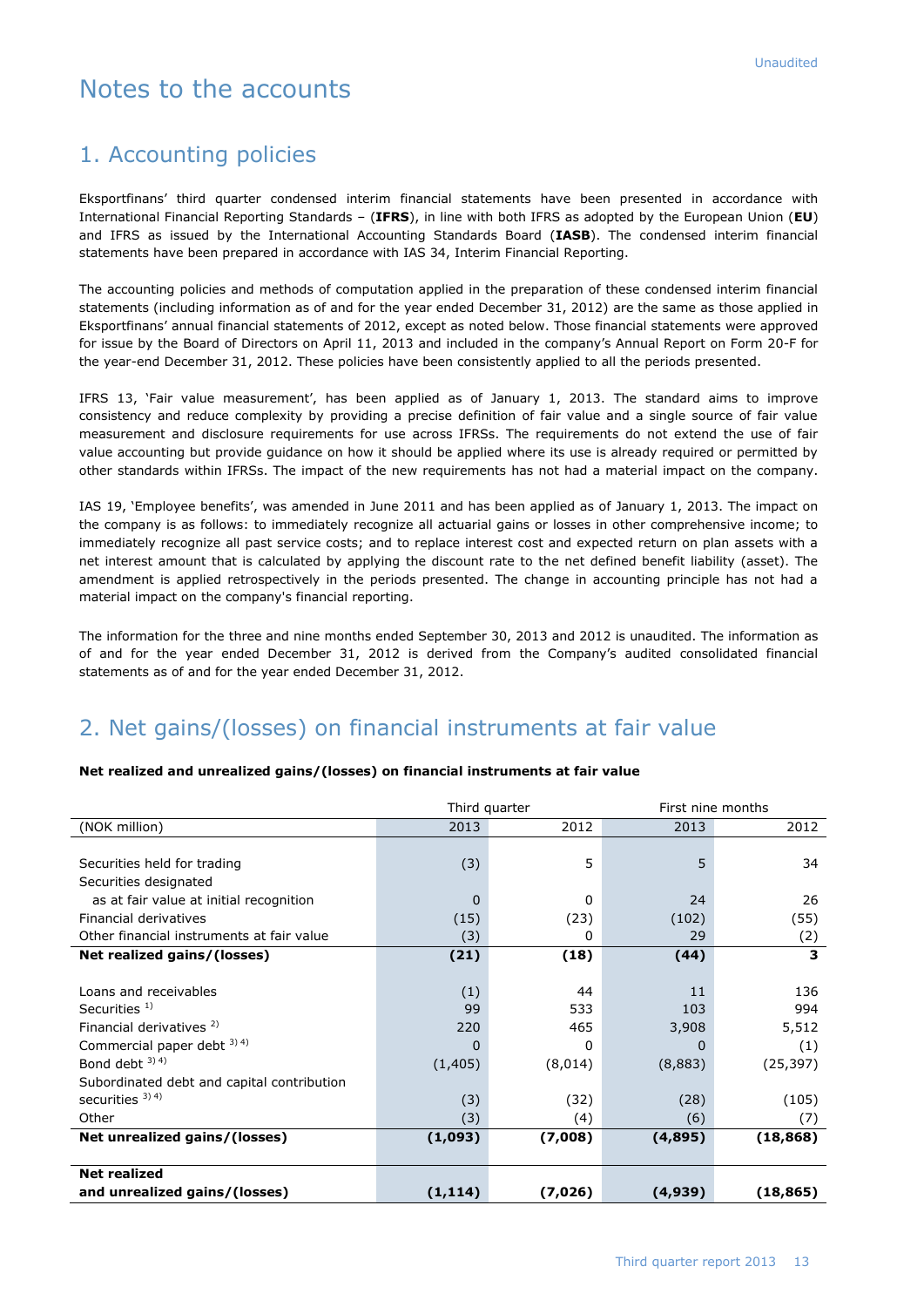# Notes to the accounts

# 1. Accounting policies

Eksportfinans' third quarter condensed interim financial statements have been presented in accordance with International Financial Reporting Standards – (**IFRS**), in line with both IFRS as adopted by the European Union (**EU**) and IFRS as issued by the International Accounting Standards Board (**IASB**). The condensed interim financial statements have been prepared in accordance with IAS 34, Interim Financial Reporting.

The accounting policies and methods of computation applied in the preparation of these condensed interim financial statements (including information as of and for the year ended December 31, 2012) are the same as those applied in Eksportfinans' annual financial statements of 2012, except as noted below. Those financial statements were approved for issue by the Board of Directors on April 11, 2013 and included in the company's Annual Report on Form 20-F for the year-end December 31, 2012. These policies have been consistently applied to all the periods presented.

IFRS 13, 'Fair value measurement', has been applied as of January 1, 2013. The standard aims to improve consistency and reduce complexity by providing a precise definition of fair value and a single source of fair value measurement and disclosure requirements for use across IFRSs. The requirements do not extend the use of fair value accounting but provide guidance on how it should be applied where its use is already required or permitted by other standards within IFRSs. The impact of the new requirements has not had a material impact on the company.

IAS 19, 'Employee benefits', was amended in June 2011 and has been applied as of January 1, 2013. The impact on the company is as follows: to immediately recognize all actuarial gains or losses in other comprehensive income; to immediately recognize all past service costs; and to replace interest cost and expected return on plan assets with a net interest amount that is calculated by applying the discount rate to the net defined benefit liability (asset). The amendment is applied retrospectively in the periods presented. The change in accounting principle has not had a material impact on the company's financial reporting.

The information for the three and nine months ended September 30, 2013 and 2012 is unaudited. The information as of and for the year ended December 31, 2012 is derived from the Company's audited consolidated financial statements as of and for the year ended December 31, 2012.

# 2. Net gains/(losses) on financial instruments at fair value

### **Net realized and unrealized gains/(losses) on financial instruments at fair value**

|                                            |          | Third quarter | First nine months |           |  |
|--------------------------------------------|----------|---------------|-------------------|-----------|--|
| (NOK million)                              | 2013     | 2012          | 2013              | 2012      |  |
|                                            |          |               |                   |           |  |
| Securities held for trading                | (3)      | 5             | 5                 | 34        |  |
| Securities designated                      |          |               |                   |           |  |
| as at fair value at initial recognition    | 0        | 0             | 24                | 26        |  |
| Financial derivatives                      | (15)     | (23)          | (102)             | (55)      |  |
| Other financial instruments at fair value  | (3)      | 0             | 29                | (2)       |  |
| Net realized gains/(losses)                | (21)     | (18)          | (44)              | 3         |  |
|                                            |          |               |                   |           |  |
| Loans and receivables                      | (1)      | 44            | 11                | 136       |  |
| Securities $1$ )                           | 99       | 533           | 103               | 994       |  |
| Financial derivatives <sup>2)</sup>        | 220      | 465           | 3,908             | 5,512     |  |
| Commercial paper debt 3) 4)                | 0        | 0             | $\Omega$          | (1)       |  |
| Bond debt 3) 4)                            | (1, 405) | (8,014)       | (8,883)           | (25, 397) |  |
| Subordinated debt and capital contribution |          |               |                   |           |  |
| securities $3)$ 4)                         | (3)      | (32)          | (28)              | (105)     |  |
| Other                                      | (3)      | (4)           | (6)               | (7)       |  |
| Net unrealized gains/(losses)              | (1,093)  | (7,008)       | (4,895)           | (18, 868) |  |
|                                            |          |               |                   |           |  |
| <b>Net realized</b>                        |          |               |                   |           |  |
| and unrealized gains/(losses)              | (1, 114) | (7,026)       | (4,939)           | (18, 865) |  |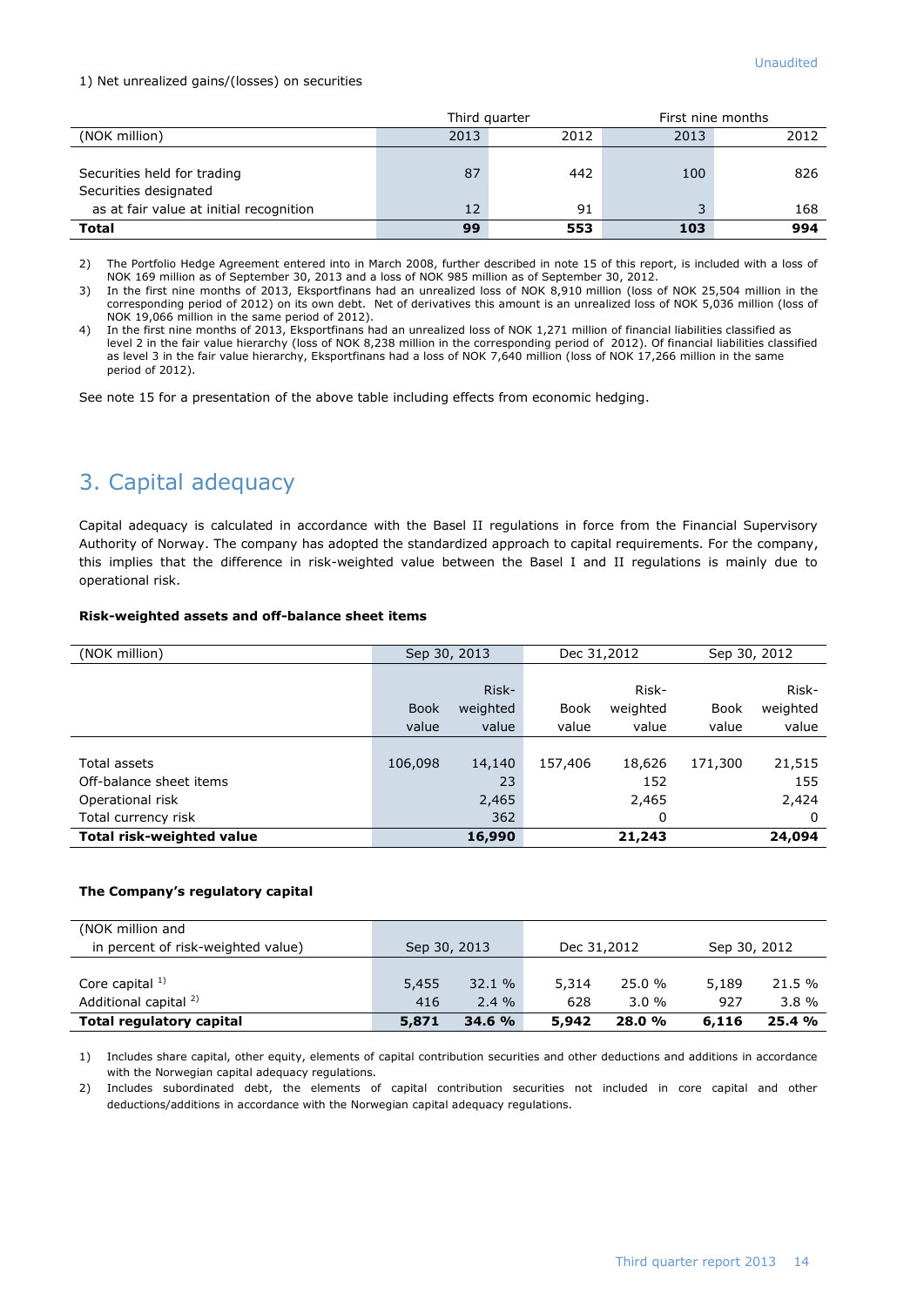### 1) Net unrealized gains/(losses) on securities

|                                                      | Third quarter |      |      | First nine months |  |
|------------------------------------------------------|---------------|------|------|-------------------|--|
| (NOK million)                                        | 2013          | 2012 | 2013 | 2012              |  |
| Securities held for trading<br>Securities designated | 87            | 442  | 100  | 826               |  |
| as at fair value at initial recognition              | 12            | 91   |      | 168               |  |
| <b>Total</b>                                         | 99            | 553  | 103  | 994               |  |

2) The Portfolio Hedge Agreement entered into in March 2008, further described in note 15 of this report, is included with a loss of NOK 169 million as of September 30, 2013 and a loss of NOK 985 million as of September 30, 2012.

3) In the first nine months of 2013, Eksportfinans had an unrealized loss of NOK 8,910 million (loss of NOK 25,504 million in the corresponding period of 2012) on its own debt. Net of derivatives this amount is an unrealized loss of NOK 5,036 million (loss of NOK 19,066 million in the same period of 2012).

4) In the first nine months of 2013, Eksportfinans had an unrealized loss of NOK 1,271 million of financial liabilities classified as level 2 in the fair value hierarchy (loss of NOK 8,238 million in the corresponding period of 2012). Of financial liabilities classified as level 3 in the fair value hierarchy, Eksportfinans had a loss of NOK 7,640 million (loss of NOK 17,266 million in the same period of 2012).

See note 15 for a presentation of the above table including effects from economic hedging.

# 3. Capital adequacy

Capital adequacy is calculated in accordance with the Basel II regulations in force from the Financial Supervisory Authority of Norway. The company has adopted the standardized approach to capital requirements. For the company, this implies that the difference in risk-weighted value between the Basel I and II regulations is mainly due to operational risk.

### **Risk-weighted assets and off-balance sheet items**

| (NOK million)                    | Sep 30, 2013 |          | Dec 31,2012 |          | Sep 30, 2012 |          |
|----------------------------------|--------------|----------|-------------|----------|--------------|----------|
|                                  |              |          |             |          |              |          |
|                                  |              | Risk-    |             | Risk-    |              | Risk-    |
|                                  | <b>Book</b>  | weighted | Book        | weighted | <b>Book</b>  | weighted |
|                                  | value        | value    | value       | value    | value        | value    |
|                                  |              |          |             |          |              |          |
| Total assets                     | 106,098      | 14,140   | 157,406     | 18,626   | 171,300      | 21,515   |
| Off-balance sheet items          |              | 23       |             | 152      |              | 155      |
| Operational risk                 |              | 2,465    |             | 2,465    |              | 2,424    |
| Total currency risk              |              | 362      |             | 0        |              | 0        |
| <b>Total risk-weighted value</b> |              | 16,990   |             | 21,243   |              | 24,094   |

### **The Company's regulatory capital**

| (NOK million and<br>in percent of risk-weighted value) | Sep 30, 2013 |                  | Dec 31,2012  |                    | Sep 30, 2012 |                    |
|--------------------------------------------------------|--------------|------------------|--------------|--------------------|--------------|--------------------|
| Core capital $1$ )<br>Additional capital <sup>2)</sup> | 5,455<br>416 | 32.1%<br>$2.4\%$ | 5,314<br>628 | 25.0 %<br>$3.0 \%$ | 5,189<br>927 | 21.5 %<br>$3.8 \%$ |
| Total regulatory capital                               | 5,871        | 34.6 %           | 5,942        | 28.0%              | 6,116        | 25.4%              |

1) Includes share capital, other equity, elements of capital contribution securities and other deductions and additions in accordance with the Norwegian capital adequacy regulations.

2) Includes subordinated debt, the elements of capital contribution securities not included in core capital and other deductions/additions in accordance with the Norwegian capital adequacy regulations.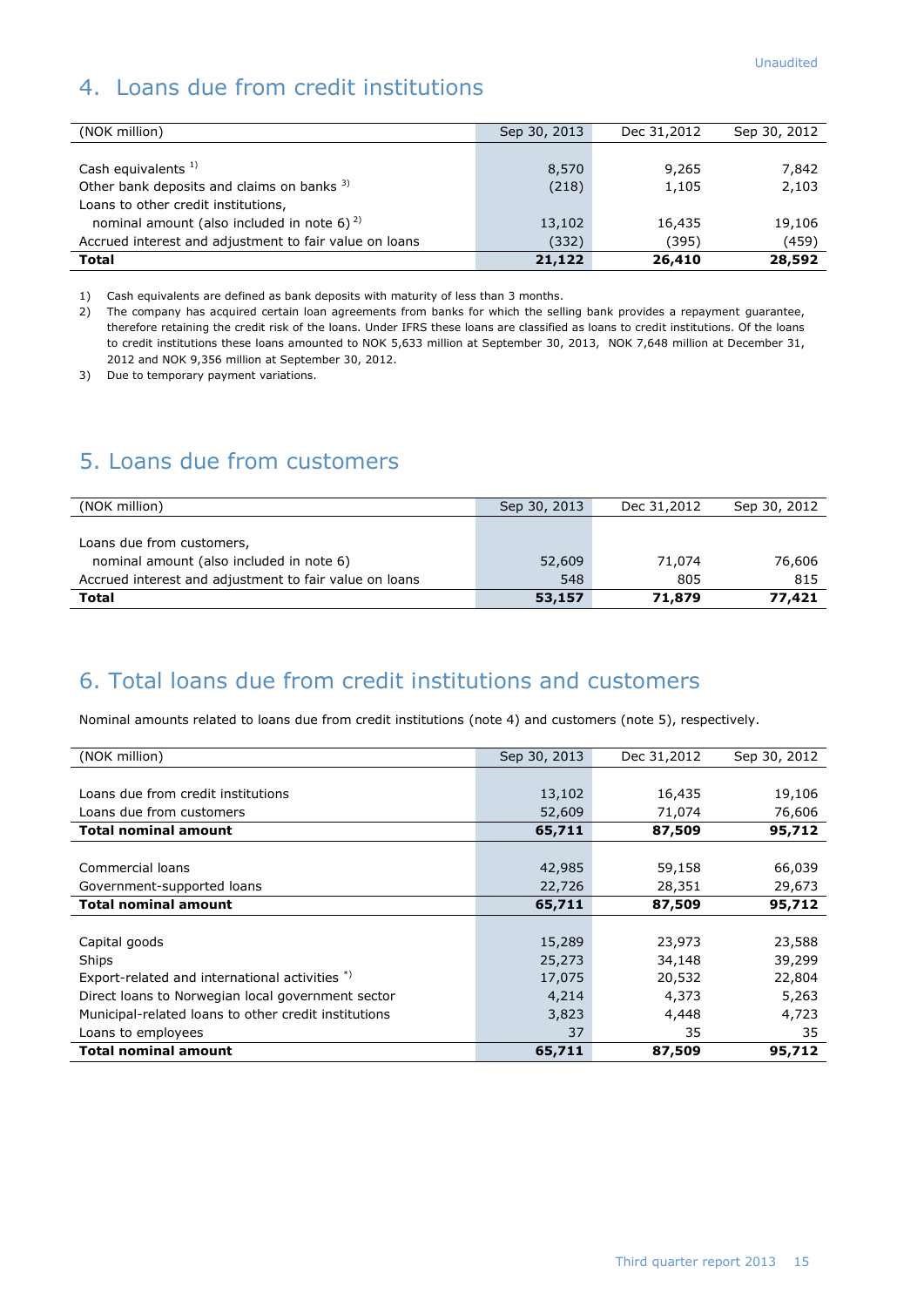# 4. Loans due from credit institutions

| (NOK million)                                          | Sep 30, 2013 | Dec 31,2012 | Sep 30, 2012 |
|--------------------------------------------------------|--------------|-------------|--------------|
|                                                        |              |             |              |
| Cash equivalents $1$ )                                 | 8,570        | 9,265       | 7,842        |
| Other bank deposits and claims on banks 3)             | (218)        | 1,105       | 2,103        |
| Loans to other credit institutions,                    |              |             |              |
| nominal amount (also included in note 6) $^{2}$        | 13,102       | 16,435      | 19,106       |
| Accrued interest and adjustment to fair value on loans | (332)        | (395)       | (459)        |
| <b>Total</b>                                           | 21,122       | 26,410      | 28,592       |

1) Cash equivalents are defined as bank deposits with maturity of less than 3 months.

2) The company has acquired certain loan agreements from banks for which the selling bank provides a repayment guarantee, therefore retaining the credit risk of the loans. Under IFRS these loans are classified as loans to credit institutions. Of the loans to credit institutions these loans amounted to NOK 5,633 million at September 30, 2013, NOK 7,648 million at December 31, 2012 and NOK 9,356 million at September 30, 2012.

3) Due to temporary payment variations.

# 5. Loans due from customers

| (NOK million)                                          | Sep 30, 2013 | Dec 31,2012 | Sep 30, 2012 |
|--------------------------------------------------------|--------------|-------------|--------------|
|                                                        |              |             |              |
| Loans due from customers,                              |              |             |              |
| nominal amount (also included in note 6)               | 52,609       | 71,074      | 76,606       |
| Accrued interest and adjustment to fair value on loans | 548          | 805         | 815          |
| <b>Total</b>                                           | 53,157       | 71,879      | 77,421       |

# 6. Total loans due from credit institutions and customers

Nominal amounts related to loans due from credit institutions (note 4) and customers (note 5), respectively.

| (NOK million)                                        | Sep 30, 2013 | Dec 31,2012 | Sep 30, 2012 |
|------------------------------------------------------|--------------|-------------|--------------|
|                                                      |              |             |              |
| Loans due from credit institutions                   | 13,102       | 16,435      | 19,106       |
| Loans due from customers                             | 52,609       | 71,074      | 76,606       |
| <b>Total nominal amount</b>                          | 65,711       | 87,509      | 95,712       |
|                                                      |              |             |              |
| Commercial loans                                     | 42,985       | 59,158      | 66,039       |
| Government-supported loans                           | 22,726       | 28,351      | 29,673       |
| <b>Total nominal amount</b>                          | 65,711       | 87,509      | 95,712       |
|                                                      |              |             |              |
| Capital goods                                        | 15,289       | 23,973      | 23,588       |
| Ships                                                | 25,273       | 34,148      | 39,299       |
| Export-related and international activities *)       | 17,075       | 20,532      | 22,804       |
| Direct loans to Norwegian local government sector    | 4,214        | 4,373       | 5,263        |
| Municipal-related loans to other credit institutions | 3,823        | 4,448       | 4,723        |
| Loans to employees                                   | 37           | 35          | 35           |
| <b>Total nominal amount</b>                          | 65,711       | 87,509      | 95,712       |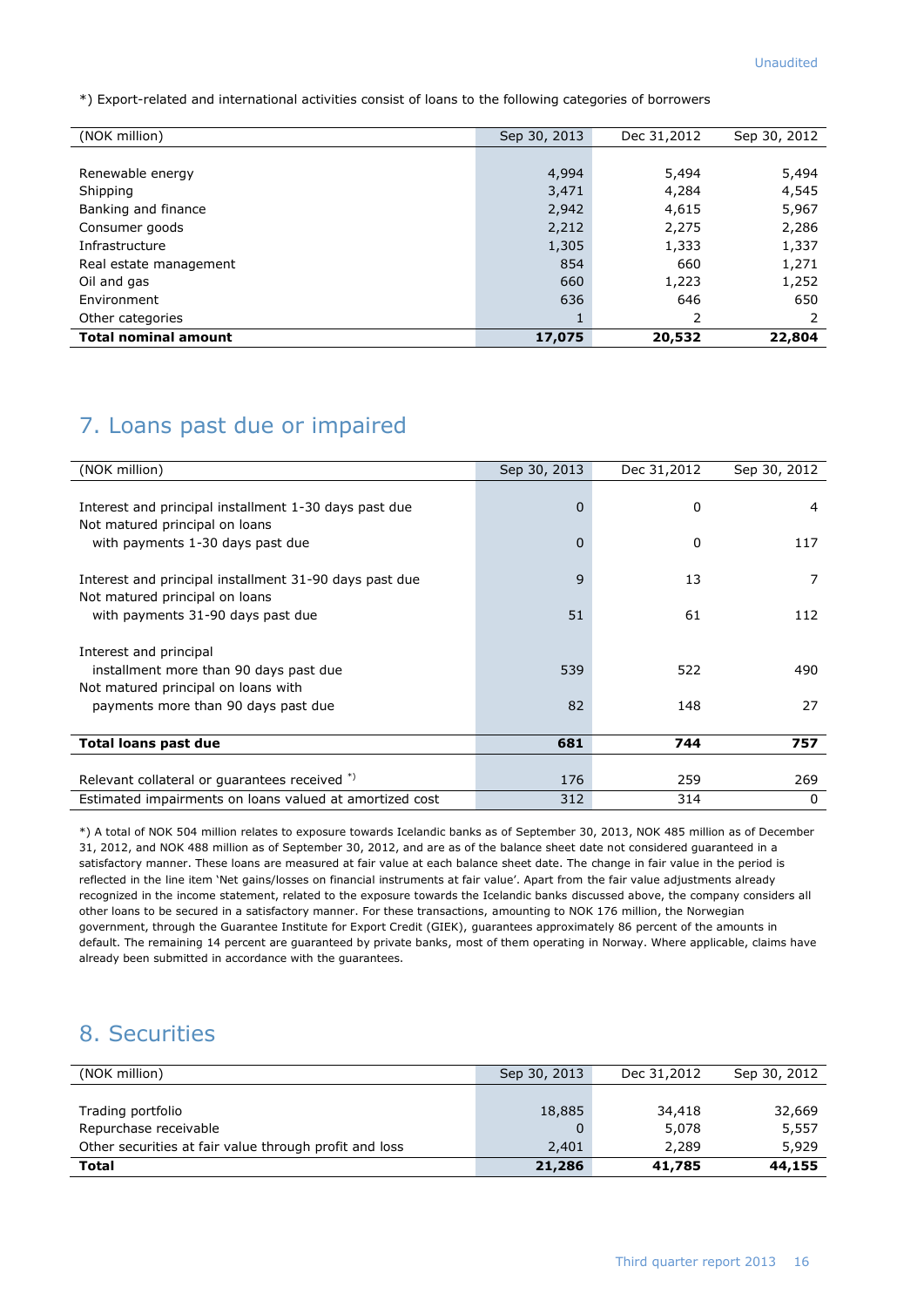\*) Export-related and international activities consist of loans to the following categories of borrowers

| (NOK million)               | Sep 30, 2013 | Dec 31,2012 | Sep 30, 2012 |
|-----------------------------|--------------|-------------|--------------|
|                             |              |             |              |
| Renewable energy            | 4,994        | 5,494       | 5,494        |
| Shipping                    | 3,471        | 4,284       | 4,545        |
| Banking and finance         | 2,942        | 4,615       | 5,967        |
| Consumer goods              | 2,212        | 2,275       | 2,286        |
| Infrastructure              | 1,305        | 1,333       | 1,337        |
| Real estate management      | 854          | 660         | 1,271        |
| Oil and gas                 | 660          | 1,223       | 1,252        |
| Environment                 | 636          | 646         | 650          |
| Other categories            | ш            | 2           |              |
| <b>Total nominal amount</b> | 17,075       | 20,532      | 22,804       |

# 7. Loans past due or impaired

| (NOK million)                                           | Sep 30, 2013 | Dec 31,2012  | Sep 30, 2012   |
|---------------------------------------------------------|--------------|--------------|----------------|
|                                                         |              |              |                |
| Interest and principal installment 1-30 days past due   | $\Omega$     | <sup>0</sup> | $\overline{a}$ |
| Not matured principal on loans                          |              |              |                |
| with payments 1-30 days past due                        | $\Omega$     | 0            | 117            |
|                                                         |              |              |                |
| Interest and principal installment 31-90 days past due  | 9            | 13           | 7              |
| Not matured principal on loans                          |              |              |                |
| with payments 31-90 days past due                       | 51           | 61           | 112            |
|                                                         |              |              |                |
| Interest and principal                                  |              |              |                |
| installment more than 90 days past due                  | 539          | 522          | 490            |
| Not matured principal on loans with                     |              |              |                |
| payments more than 90 days past due                     | 82           | 148          | 27             |
|                                                         |              |              |                |
| <b>Total loans past due</b>                             | 681          | 744          | 757            |
|                                                         |              |              |                |
| Relevant collateral or quarantees received *)           | 176          | 259          | 269            |
| Estimated impairments on loans valued at amortized cost | 312          | 314          | $\mathbf{0}$   |

\*) A total of NOK 504 million relates to exposure towards Icelandic banks as of September 30, 2013, NOK 485 million as of December 31, 2012, and NOK 488 million as of September 30, 2012, and are as of the balance sheet date not considered guaranteed in a satisfactory manner. These loans are measured at fair value at each balance sheet date. The change in fair value in the period is reflected in the line item 'Net gains/losses on financial instruments at fair value'. Apart from the fair value adjustments already recognized in the income statement, related to the exposure towards the Icelandic banks discussed above, the company considers all other loans to be secured in a satisfactory manner. For these transactions, amounting to NOK 176 million, the Norwegian government, through the Guarantee Institute for Export Credit (GIEK), guarantees approximately 86 percent of the amounts in default. The remaining 14 percent are guaranteed by private banks, most of them operating in Norway. Where applicable, claims have already been submitted in accordance with the guarantees.

# 8. Securities

| (NOK million)                                          | Sep 30, 2013 | Dec 31,2012 | Sep 30, 2012 |
|--------------------------------------------------------|--------------|-------------|--------------|
|                                                        |              |             |              |
| Trading portfolio                                      | 18,885       | 34,418      | 32,669       |
| Repurchase receivable                                  |              | 5,078       | 5,557        |
| Other securities at fair value through profit and loss | 2,401        | 2,289       | 5,929        |
| Total                                                  | 21,286       | 41,785      | 44,155       |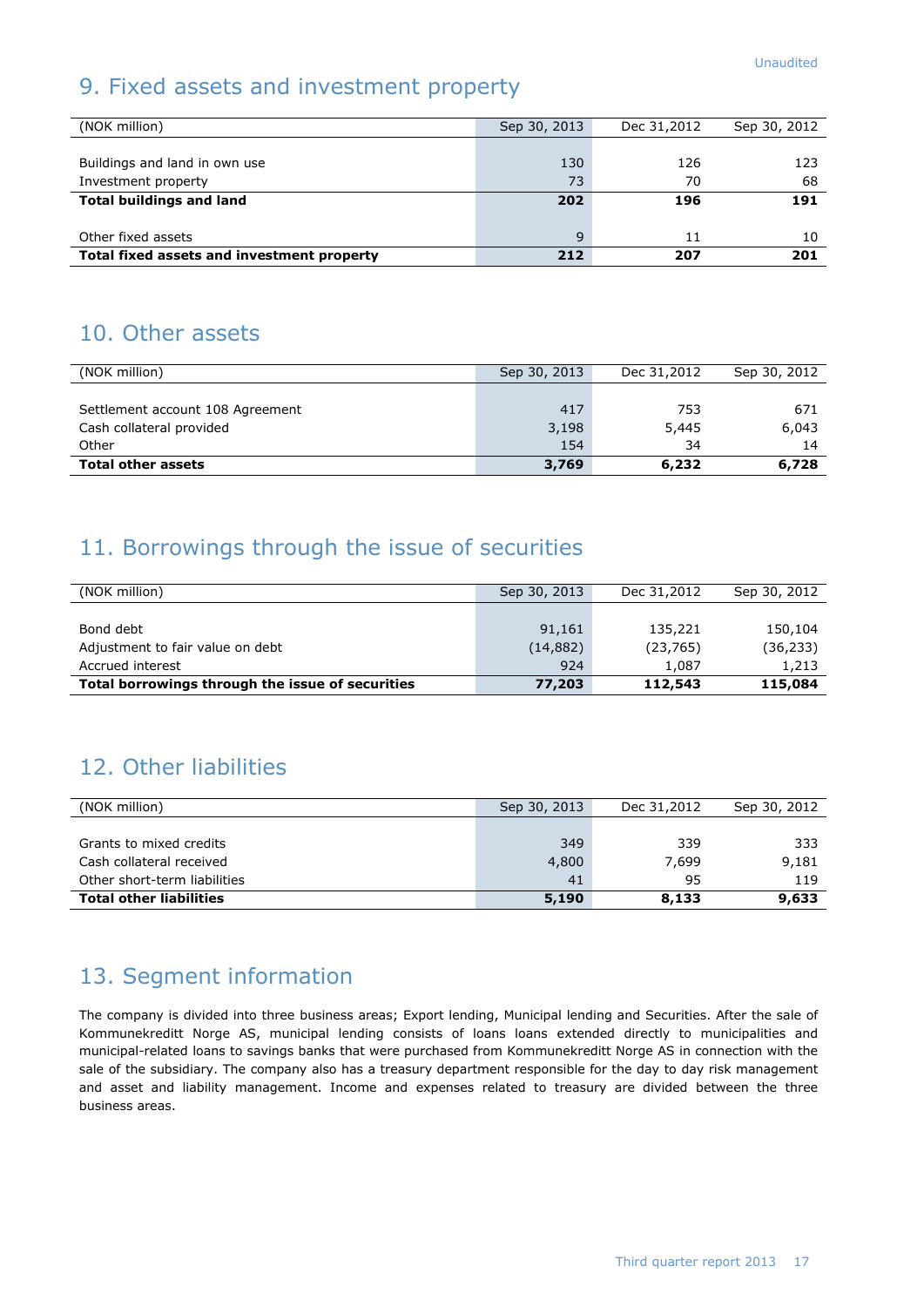# 9. Fixed assets and investment property

| (NOK million)                              | Sep 30, 2013 | Dec 31,2012 | Sep 30, 2012 |
|--------------------------------------------|--------------|-------------|--------------|
|                                            |              |             |              |
| Buildings and land in own use              | 130          | 126         | 123          |
| Investment property                        | 73           | 70          | 68           |
| <b>Total buildings and land</b>            | 202          | 196         | 191          |
|                                            |              |             |              |
| Other fixed assets                         | $\mathsf{q}$ | 11          | 10           |
| Total fixed assets and investment property | 212          | 207         | 201          |

# 10. Other assets

| (NOK million)                    | Sep 30, 2013 | Dec 31,2012 | Sep 30, 2012 |
|----------------------------------|--------------|-------------|--------------|
|                                  |              |             |              |
| Settlement account 108 Agreement | 417          | 753         | 671          |
| Cash collateral provided         | 3,198        | 5,445       | 6,043        |
| Other                            | 154          | 34          | 14           |
| <b>Total other assets</b>        | 3,769        | 6,232       | 6,728        |

# 11. Borrowings through the issue of securities

| (NOK million)                                    | Sep 30, 2013 | Dec 31,2012 | Sep 30, 2012 |
|--------------------------------------------------|--------------|-------------|--------------|
|                                                  |              |             |              |
| Bond debt                                        | 91,161       | 135,221     | 150,104      |
| Adjustment to fair value on debt                 | (14, 882)    | (23, 765)   | (36, 233)    |
| Accrued interest                                 | 924          | 1.087       | 1,213        |
| Total borrowings through the issue of securities | 77,203       | 112,543     | 115,084      |

# 12. Other liabilities

| (NOK million)                  | Sep 30, 2013 | Dec 31,2012 | Sep 30, 2012 |
|--------------------------------|--------------|-------------|--------------|
|                                |              |             |              |
| Grants to mixed credits        | 349          | 339         | -333         |
| Cash collateral received       | 4,800        | 7.699       | 9,181        |
| Other short-term liabilities   | 41           | 95          | 119          |
| <b>Total other liabilities</b> | 5,190        | 8,133       | 9,633        |

# 13. Segment information

The company is divided into three business areas; Export lending, Municipal lending and Securities. After the sale of Kommunekreditt Norge AS, municipal lending consists of loans loans extended directly to municipalities and municipal-related loans to savings banks that were purchased from Kommunekreditt Norge AS in connection with the sale of the subsidiary. The company also has a treasury department responsible for the day to day risk management and asset and liability management. Income and expenses related to treasury are divided between the three business areas.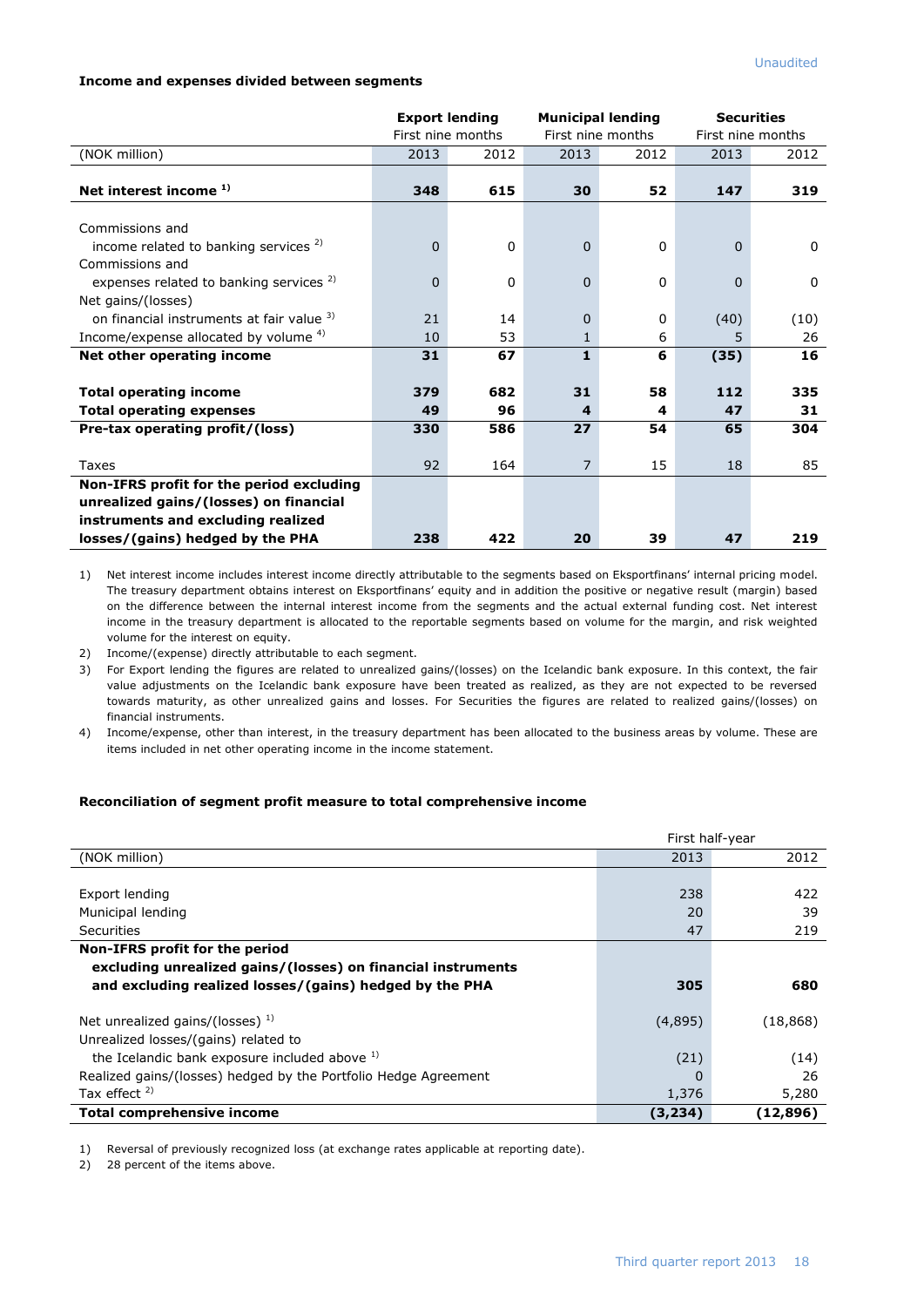### **Income and expenses divided between segments**

|                                                                                    | <b>Export lending</b><br>First nine months |           | <b>Municipal lending</b><br>First nine months |         | <b>Securities</b><br>First nine months |             |
|------------------------------------------------------------------------------------|--------------------------------------------|-----------|-----------------------------------------------|---------|----------------------------------------|-------------|
| (NOK million)                                                                      | 2013                                       | 2012      | 2013                                          | 2012    | 2013                                   | 2012        |
| Net interest income <sup>1)</sup>                                                  | 348                                        | 615       | 30                                            | 52      | 147                                    | 319         |
| Commissions and                                                                    |                                            |           |                                               |         |                                        |             |
| income related to banking services <sup>2)</sup><br>Commissions and                | $\mathbf{0}$                               | 0         | $\mathbf{0}$                                  | 0       | $\Omega$                               | $\mathbf 0$ |
| expenses related to banking services <sup>2)</sup>                                 | $\Omega$                                   | 0         | $\Omega$                                      | 0       | $\Omega$                               | $\mathbf 0$ |
| Net gains/(losses)<br>on financial instruments at fair value 3)                    | 21                                         | 14        | $\Omega$                                      | 0       | (40)                                   | (10)        |
| Income/expense allocated by volume $4$ )                                           | 10                                         | 53        |                                               | 6       | 5                                      | 26          |
| Net other operating income                                                         | 31                                         | 67        | $\mathbf{1}$                                  | 6       | (35)                                   | 16          |
| <b>Total operating income</b><br><b>Total operating expenses</b>                   | 379<br>49                                  | 682<br>96 | 31<br>4                                       | 58<br>4 | 112<br>47                              | 335<br>31   |
| Pre-tax operating profit/(loss)                                                    | 330                                        | 586       | 27                                            | 54      | 65                                     | 304         |
| Taxes                                                                              | 92                                         | 164       | $\overline{7}$                                | 15      | 18                                     | 85          |
| Non-IFRS profit for the period excluding<br>unrealized gains/(losses) on financial |                                            |           |                                               |         |                                        |             |
| instruments and excluding realized                                                 |                                            |           |                                               |         |                                        |             |
| losses/(gains) hedged by the PHA                                                   | 238                                        | 422       | 20                                            | 39      | 47                                     | 219         |

1) Net interest income includes interest income directly attributable to the segments based on Eksportfinans' internal pricing model. The treasury department obtains interest on Eksportfinans' equity and in addition the positive or negative result (margin) based on the difference between the internal interest income from the segments and the actual external funding cost. Net interest income in the treasury department is allocated to the reportable segments based on volume for the margin, and risk weighted volume for the interest on equity.

2) Income/(expense) directly attributable to each segment.

3) For Export lending the figures are related to unrealized gains/(losses) on the Icelandic bank exposure. In this context, the fair value adjustments on the Icelandic bank exposure have been treated as realized, as they are not expected to be reversed towards maturity, as other unrealized gains and losses. For Securities the figures are related to realized gains/(losses) on financial instruments.

4) Income/expense, other than interest, in the treasury department has been allocated to the business areas by volume. These are items included in net other operating income in the income statement.

### **Reconciliation of segment profit measure to total comprehensive income**

|                                                                 | First half-year |           |
|-----------------------------------------------------------------|-----------------|-----------|
| (NOK million)                                                   | 2013            | 2012      |
|                                                                 |                 |           |
| Export lending                                                  | 238             | 422       |
| Municipal lending                                               | 20              | 39        |
| Securities                                                      | 47              | 219       |
| Non-IFRS profit for the period                                  |                 |           |
| excluding unrealized gains/(losses) on financial instruments    |                 |           |
| and excluding realized losses/(gains) hedged by the PHA         | 305             | 680       |
| Net unrealized gains/(losses) $^{1}$ )                          | (4,895)         | (18, 868) |
| Unrealized losses/(gains) related to                            |                 |           |
| the Icelandic bank exposure included above 1)                   | (21)            | (14)      |
| Realized gains/(losses) hedged by the Portfolio Hedge Agreement | 0               | 26        |
| Tax effect $2$ )                                                | 1,376           | 5,280     |
| Total comprehensive income                                      | (3, 234)        | (12, 896) |

1) Reversal of previously recognized loss (at exchange rates applicable at reporting date).

2) 28 percent of the items above.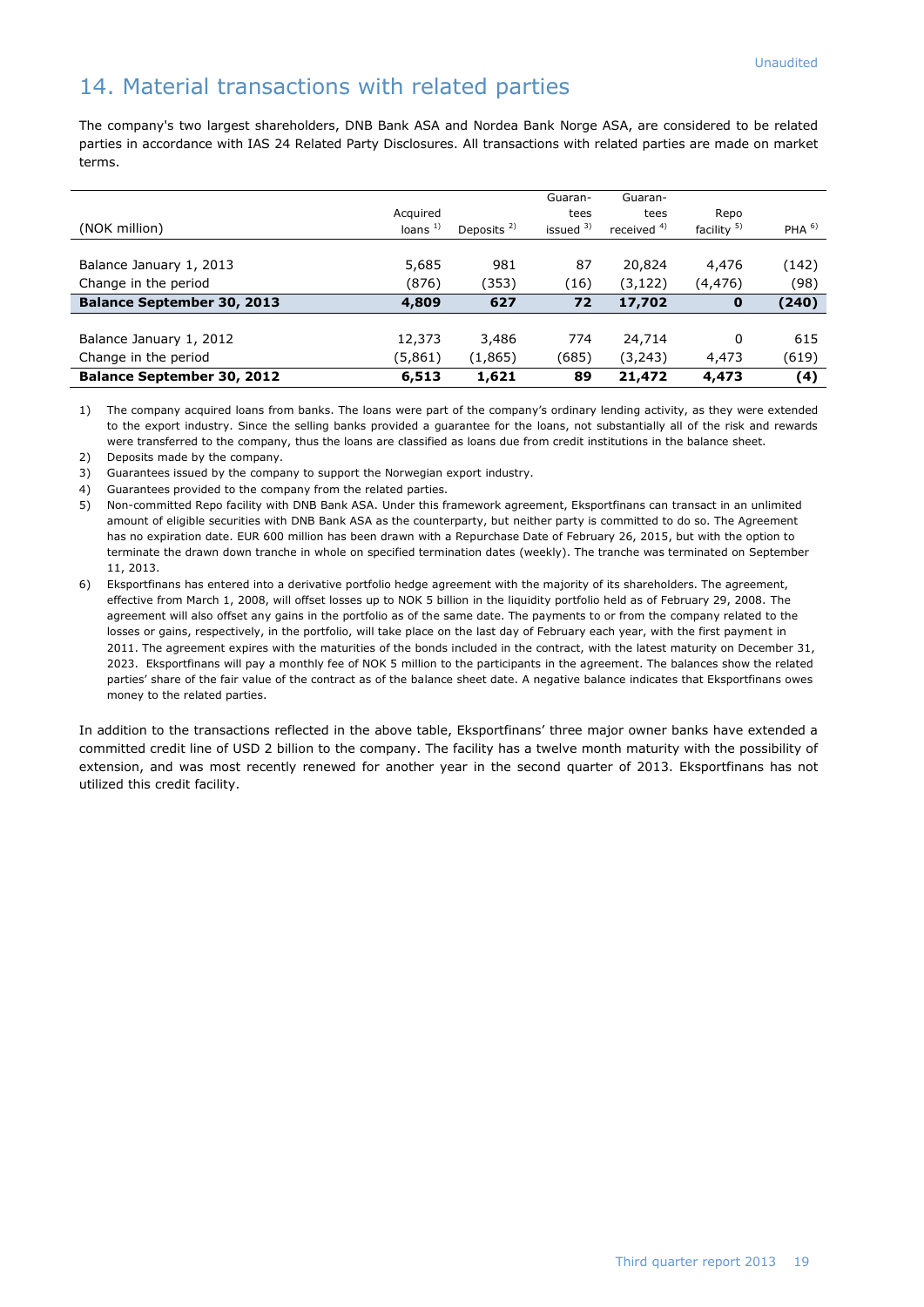# 14. Material transactions with related parties

The company's two largest shareholders, DNB Bank ASA and Nordea Bank Norge ASA, are considered to be related parties in accordance with IAS 24 Related Party Disclosures. All transactions with related parties are made on market terms.

|                                   |           |                        | Guaran-     | Guaran-       |                        |                  |
|-----------------------------------|-----------|------------------------|-------------|---------------|------------------------|------------------|
|                                   | Acquired  |                        | tees        | tees          | Repo                   |                  |
| (NOK million)                     | loans $1$ | Deposits <sup>2)</sup> | issued $3)$ | received $4)$ | facility <sup>5)</sup> | PHA <sup>6</sup> |
|                                   |           |                        |             |               |                        |                  |
| Balance January 1, 2013           | 5,685     | 981                    | 87          | 20,824        | 4,476                  | (142)            |
| Change in the period              | (876)     | (353)                  | (16)        | (3, 122)      | (4, 476)               | (98)             |
| <b>Balance September 30, 2013</b> | 4,809     | 627                    | 72          | 17,702        | $\mathbf{o}$           | (240)            |
|                                   |           |                        |             |               |                        |                  |
| Balance January 1, 2012           | 12,373    | 3,486                  | 774         | 24,714        | 0                      | 615              |
| Change in the period              | (5,861)   | (1, 865)               | (685)       | (3,243)       | 4,473                  | (619)            |
| <b>Balance September 30, 2012</b> | 6,513     | 1,621                  | 89          | 21,472        | 4,473                  | (4)              |

1) The company acquired loans from banks. The loans were part of the company's ordinary lending activity, as they were extended to the export industry. Since the selling banks provided a guarantee for the loans, not substantially all of the risk and rewards were transferred to the company, thus the loans are classified as loans due from credit institutions in the balance sheet.

- 2) Deposits made by the company.
- 3) Guarantees issued by the company to support the Norwegian export industry.
- 4) Guarantees provided to the company from the related parties.
- 5) Non-committed Repo facility with DNB Bank ASA. Under this framework agreement, Eksportfinans can transact in an unlimited amount of eligible securities with DNB Bank ASA as the counterparty, but neither party is committed to do so. The Agreement has no expiration date. EUR 600 million has been drawn with a Repurchase Date of February 26, 2015, but with the option to terminate the drawn down tranche in whole on specified termination dates (weekly). The tranche was terminated on September 11, 2013.
- 6) Eksportfinans has entered into a derivative portfolio hedge agreement with the majority of its shareholders. The agreement, effective from March 1, 2008, will offset losses up to NOK 5 billion in the liquidity portfolio held as of February 29, 2008. The agreement will also offset any gains in the portfolio as of the same date. The payments to or from the company related to the losses or gains, respectively, in the portfolio, will take place on the last day of February each year, with the first payment in 2011. The agreement expires with the maturities of the bonds included in the contract, with the latest maturity on December 31, 2023. Eksportfinans will pay a monthly fee of NOK 5 million to the participants in the agreement. The balances show the related parties' share of the fair value of the contract as of the balance sheet date. A negative balance indicates that Eksportfinans owes money to the related parties.

In addition to the transactions reflected in the above table, Eksportfinans' three major owner banks have extended a committed credit line of USD 2 billion to the company. The facility has a twelve month maturity with the possibility of extension, and was most recently renewed for another year in the second quarter of 2013. Eksportfinans has not utilized this credit facility.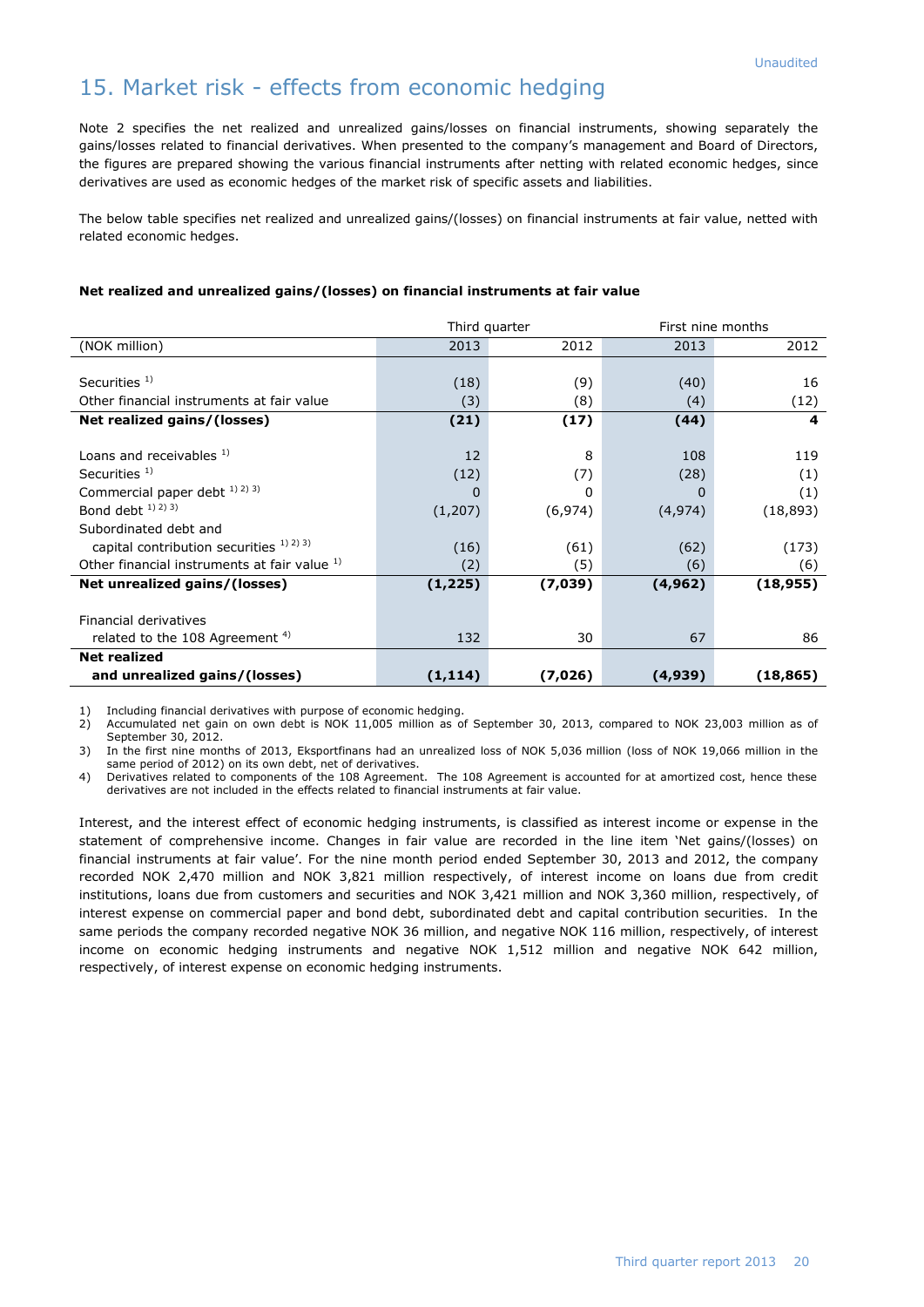# 15. Market risk - effects from economic hedging

Note 2 specifies the net realized and unrealized gains/losses on financial instruments, showing separately the gains/losses related to financial derivatives. When presented to the company's management and Board of Directors, the figures are prepared showing the various financial instruments after netting with related economic hedges, since derivatives are used as economic hedges of the market risk of specific assets and liabilities.

The below table specifies net realized and unrealized gains/(losses) on financial instruments at fair value, netted with related economic hedges.

### **Net realized and unrealized gains/(losses) on financial instruments at fair value**

|                                                      | Third quarter |          | First nine months |           |  |
|------------------------------------------------------|---------------|----------|-------------------|-----------|--|
| (NOK million)                                        | 2013          | 2012     | 2013              | 2012      |  |
|                                                      |               |          |                   |           |  |
| Securities $1$ )                                     | (18)          | (9)      | (40)              | 16        |  |
| Other financial instruments at fair value            | (3)           | (8)      | (4)               | (12)      |  |
| Net realized gains/(losses)                          | (21)          | (17)     | (44)              | 4         |  |
|                                                      |               |          |                   |           |  |
| Loans and receivables 1)                             | 12            | 8        | 108               | 119       |  |
| Securities $1$ )                                     | (12)          | (7)      | (28)              | (1)       |  |
| Commercial paper debt 1) 2) 3)                       | $\Omega$      | 0        | O                 | (1)       |  |
| Bond debt <sup>1)</sup> <sup>2)</sup> <sup>3</sup> ) | (1,207)       | (6, 974) | (4, 974)          | (18, 893) |  |
| Subordinated debt and                                |               |          |                   |           |  |
| capital contribution securities $1)$ $2)$ $3)$       | (16)          | (61)     | (62)              | (173)     |  |
| Other financial instruments at fair value 1)         | (2)           | (5)      | (6)               | (6)       |  |
| Net unrealized gains/(losses)                        | (1, 225)      | (7,039)  | (4, 962)          | (18, 955) |  |
|                                                      |               |          |                   |           |  |
| Financial derivatives                                |               |          |                   |           |  |
| related to the 108 Agreement <sup>4)</sup>           | 132           | 30       | 67                | 86        |  |
| <b>Net realized</b>                                  |               |          |                   |           |  |
| and unrealized gains/(losses)                        | (1, 114)      | (7, 026) | (4,939)           | (18,865)  |  |

1) Including financial derivatives with purpose of economic hedging.

2) Accumulated net gain on own debt is NOK 11,005 million as of September 30, 2013, compared to NOK 23,003 million as of September 30, 2012.

3) In the first nine months of 2013, Eksportfinans had an unrealized loss of NOK 5,036 million (loss of NOK 19,066 million in the same period of 2012) on its own debt, net of derivatives.

4) Derivatives related to components of the 108 Agreement. The 108 Agreement is accounted for at amortized cost, hence these derivatives are not included in the effects related to financial instruments at fair value.

Interest, and the interest effect of economic hedging instruments, is classified as interest income or expense in the statement of comprehensive income. Changes in fair value are recorded in the line item 'Net gains/(losses) on financial instruments at fair value'. For the nine month period ended September 30, 2013 and 2012, the company recorded NOK 2,470 million and NOK 3,821 million respectively, of interest income on loans due from credit institutions, loans due from customers and securities and NOK 3,421 million and NOK 3,360 million, respectively, of interest expense on commercial paper and bond debt, subordinated debt and capital contribution securities. In the same periods the company recorded negative NOK 36 million, and negative NOK 116 million, respectively, of interest income on economic hedging instruments and negative NOK 1,512 million and negative NOK 642 million, respectively, of interest expense on economic hedging instruments.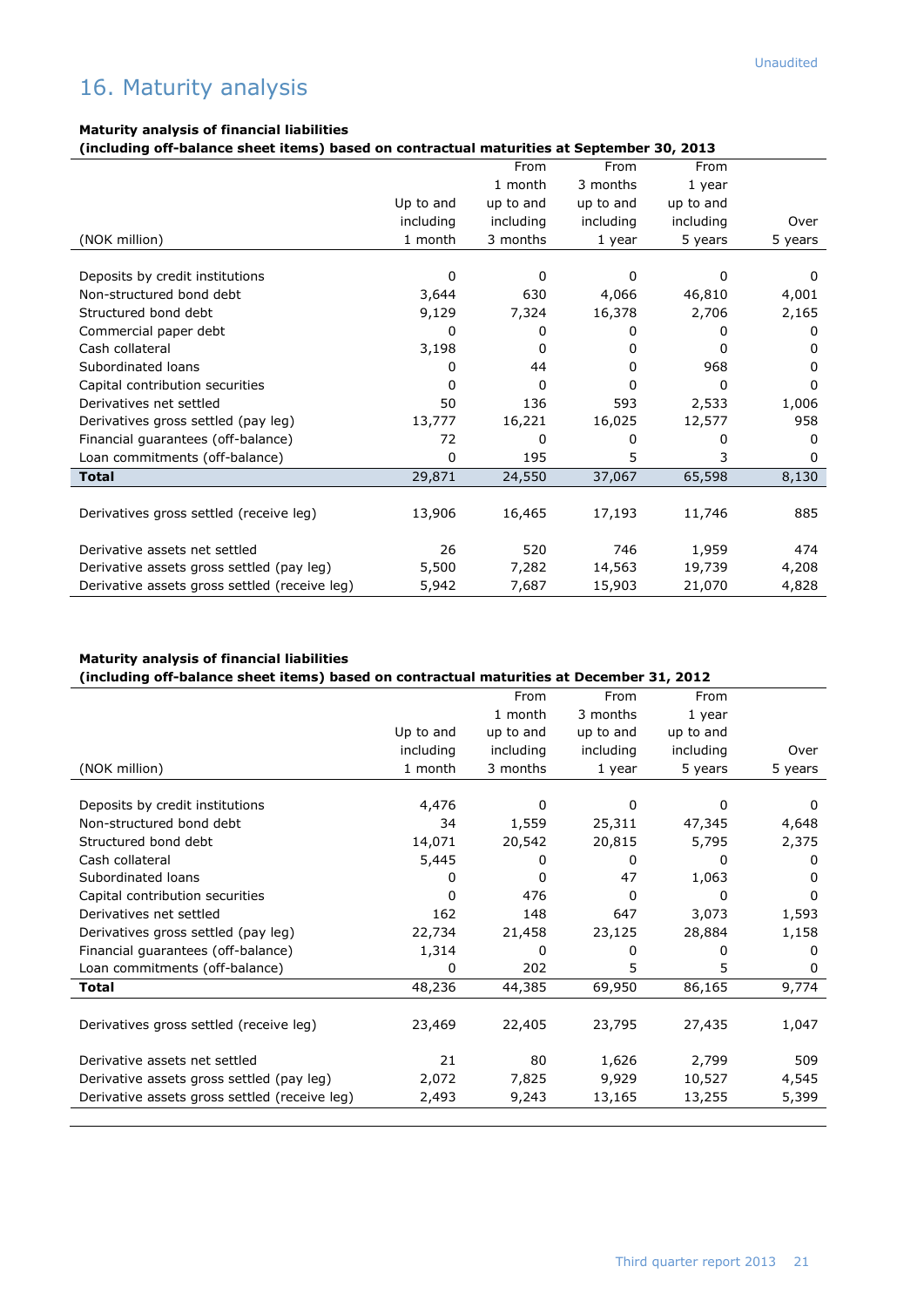### **Maturity analysis of financial liabilities**

**(including off-balance sheet items) based on contractual maturities at September 30, 2013**

|                                               |           | From         | From      | From      |              |
|-----------------------------------------------|-----------|--------------|-----------|-----------|--------------|
|                                               |           | 1 month      | 3 months  | 1 year    |              |
|                                               | Up to and | up to and    | up to and | up to and |              |
|                                               | including | including    | including | including | Over         |
| (NOK million)                                 | 1 month   | 3 months     | 1 year    | 5 years   | 5 years      |
|                                               |           |              |           |           |              |
| Deposits by credit institutions               | 0         | $\Omega$     | 0         | 0         | O            |
| Non-structured bond debt                      | 3,644     | 630          | 4,066     | 46,810    | 4,001        |
| Structured bond debt                          | 9,129     | 7,324        | 16,378    | 2,706     | 2,165        |
| Commercial paper debt                         | 0         | 0            | 0         | 0         | 0            |
| Cash collateral                               | 3,198     | 0            | 0         | U         | <sup>0</sup> |
| Subordinated loans                            | 0         | 44           | 0         | 968       | 0            |
| Capital contribution securities               | 0         | $\Omega$     | 0         | 0         | 0            |
| Derivatives net settled                       | 50        | 136          | 593       | 2,533     | 1,006        |
| Derivatives gross settled (pay leg)           | 13,777    | 16,221       | 16,025    | 12,577    | 958          |
| Financial quarantees (off-balance)            | 72        | <sup>0</sup> | 0         | 0         | 0            |
| Loan commitments (off-balance)                | 0         | 195          | 5         | 3         | 0            |
| <b>Total</b>                                  | 29,871    | 24,550       | 37,067    | 65,598    | 8,130        |
|                                               |           |              |           |           |              |
| Derivatives gross settled (receive leg)       | 13,906    | 16,465       | 17,193    | 11,746    | 885          |
| Derivative assets net settled                 | 26        | 520          | 746       | 1,959     | 474          |
| Derivative assets gross settled (pay leg)     | 5,500     | 7,282        | 14,563    | 19,739    | 4,208        |
| Derivative assets gross settled (receive leg) | 5,942     | 7,687        | 15,903    | 21,070    | 4,828        |

### **Maturity analysis of financial liabilities**

### **(including off-balance sheet items) based on contractual maturities at December 31, 2012**

|                                               |           | From      | From      | From      |          |
|-----------------------------------------------|-----------|-----------|-----------|-----------|----------|
|                                               |           | 1 month   | 3 months  | 1 year    |          |
|                                               | Up to and | up to and | up to and | up to and |          |
|                                               | including | including | including | including | Over     |
| (NOK million)                                 | 1 month   | 3 months  | 1 year    | 5 years   | 5 years  |
|                                               |           |           |           |           |          |
| Deposits by credit institutions               | 4,476     | 0         | 0         | 0         | $\Omega$ |
| Non-structured bond debt                      | 34        | 1,559     | 25,311    | 47,345    | 4,648    |
| Structured bond debt                          | 14,071    | 20,542    | 20,815    | 5,795     | 2,375    |
| Cash collateral                               | 5,445     | 0         | 0         | 0         | $\Omega$ |
| Subordinated loans                            | $^{(1)}$  | 0         | 47        | 1,063     | 0        |
| Capital contribution securities               | 0         | 476       | 0         | $\Omega$  | $\Omega$ |
| Derivatives net settled                       | 162       | 148       | 647       | 3,073     | 1,593    |
| Derivatives gross settled (pay leg)           | 22,734    | 21,458    | 23,125    | 28,884    | 1,158    |
| Financial guarantees (off-balance)            | 1,314     | 0         | 0         | 0         | $\Omega$ |
| Loan commitments (off-balance)                | 0         | 202       | 5         | 5         | $\Omega$ |
| <b>Total</b>                                  | 48,236    | 44,385    | 69,950    | 86,165    | 9,774    |
|                                               |           |           |           |           |          |
| Derivatives gross settled (receive leg)       | 23,469    | 22,405    | 23,795    | 27,435    | 1,047    |
|                                               |           |           |           |           |          |
| Derivative assets net settled                 | 21        | 80        | 1,626     | 2,799     | 509      |
| Derivative assets gross settled (pay leg)     | 2,072     | 7,825     | 9,929     | 10,527    | 4,545    |
| Derivative assets gross settled (receive leg) | 2,493     | 9,243     | 13,165    | 13,255    | 5,399    |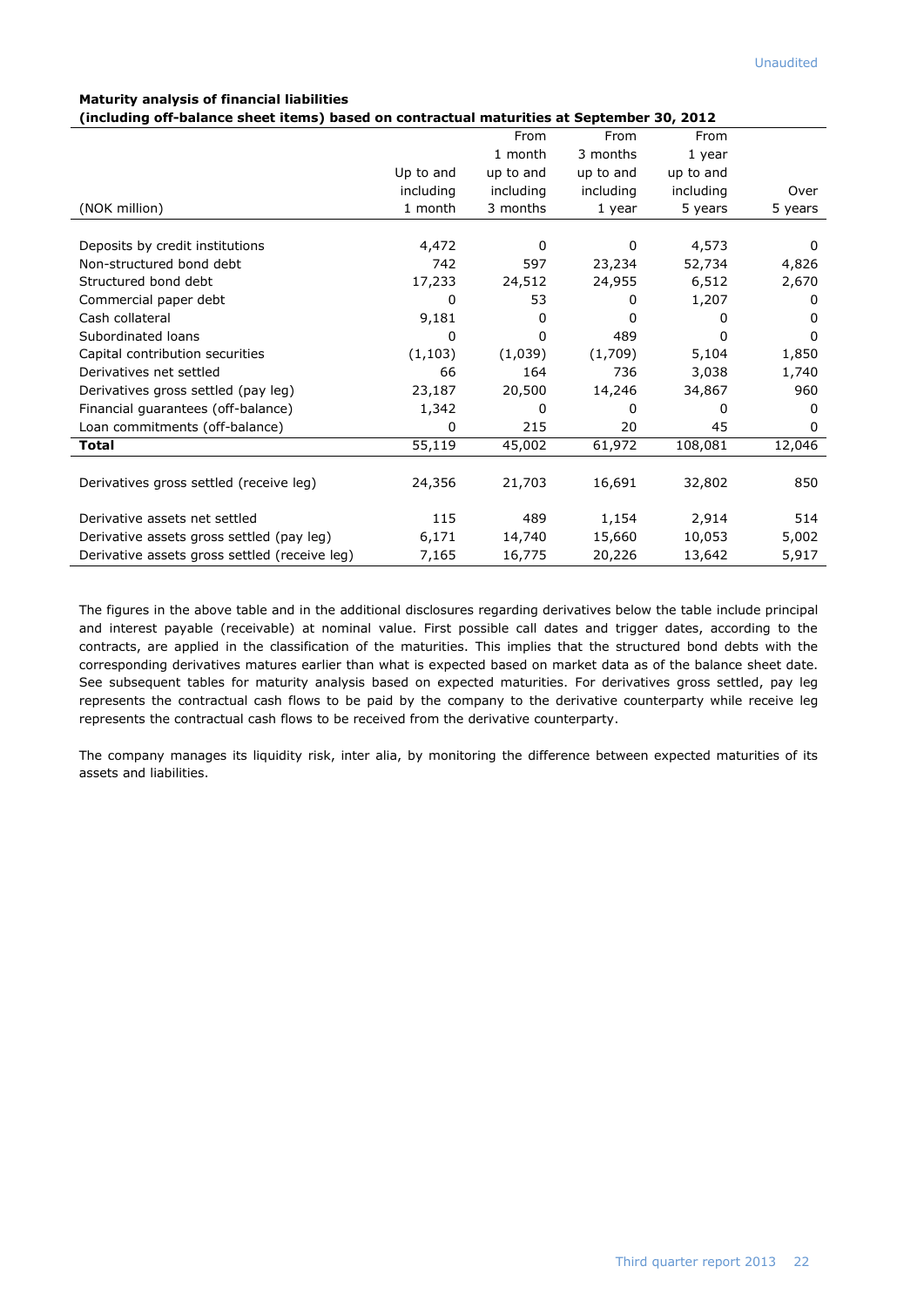### **Maturity analysis of financial liabilities**

**(including off-balance sheet items) based on contractual maturities at September 30, 2012**

|                                               |           | From         | From      | From      |         |
|-----------------------------------------------|-----------|--------------|-----------|-----------|---------|
|                                               |           | 1 month      | 3 months  | 1 year    |         |
|                                               | Up to and | up to and    | up to and | up to and |         |
|                                               | including | including    | including | including | Over    |
| (NOK million)                                 | 1 month   | 3 months     | 1 year    | 5 years   | 5 years |
|                                               |           |              |           |           |         |
| Deposits by credit institutions               | 4,472     | $\mathbf{0}$ | 0         | 4,573     | 0       |
| Non-structured bond debt                      | 742       | 597          | 23,234    | 52,734    | 4,826   |
| Structured bond debt                          | 17,233    | 24,512       | 24,955    | 6,512     | 2,670   |
| Commercial paper debt                         | 0         | 53           | 0         | 1,207     | 0       |
| Cash collateral                               | 9,181     | 0            | $\Omega$  | 0         | 0       |
| Subordinated loans                            | 0         | $\Omega$     | 489       | 0         | 0       |
| Capital contribution securities               | (1, 103)  | (1,039)      | (1,709)   | 5,104     | 1,850   |
| Derivatives net settled                       | 66        | 164          | 736       | 3,038     | 1,740   |
| Derivatives gross settled (pay leg)           | 23,187    | 20,500       | 14,246    | 34,867    | 960     |
| Financial guarantees (off-balance)            | 1,342     | 0            | 0         | 0         | 0       |
| Loan commitments (off-balance)                | 0         | 215          | 20        | 45        | 0       |
| <b>Total</b>                                  | 55,119    | 45,002       | 61,972    | 108,081   | 12,046  |
|                                               |           |              |           |           |         |
| Derivatives gross settled (receive leg)       | 24,356    | 21,703       | 16,691    | 32,802    | 850     |
|                                               |           |              |           |           |         |
| Derivative assets net settled                 | 115       | 489          | 1,154     | 2,914     | 514     |
| Derivative assets gross settled (pay leg)     | 6,171     | 14,740       | 15,660    | 10,053    | 5,002   |
| Derivative assets gross settled (receive leg) | 7,165     | 16,775       | 20,226    | 13,642    | 5,917   |

The figures in the above table and in the additional disclosures regarding derivatives below the table include principal and interest payable (receivable) at nominal value. First possible call dates and trigger dates, according to the contracts, are applied in the classification of the maturities. This implies that the structured bond debts with the corresponding derivatives matures earlier than what is expected based on market data as of the balance sheet date. See subsequent tables for maturity analysis based on expected maturities. For derivatives gross settled, pay leg represents the contractual cash flows to be paid by the company to the derivative counterparty while receive leg represents the contractual cash flows to be received from the derivative counterparty.

The company manages its liquidity risk, inter alia, by monitoring the difference between expected maturities of its assets and liabilities.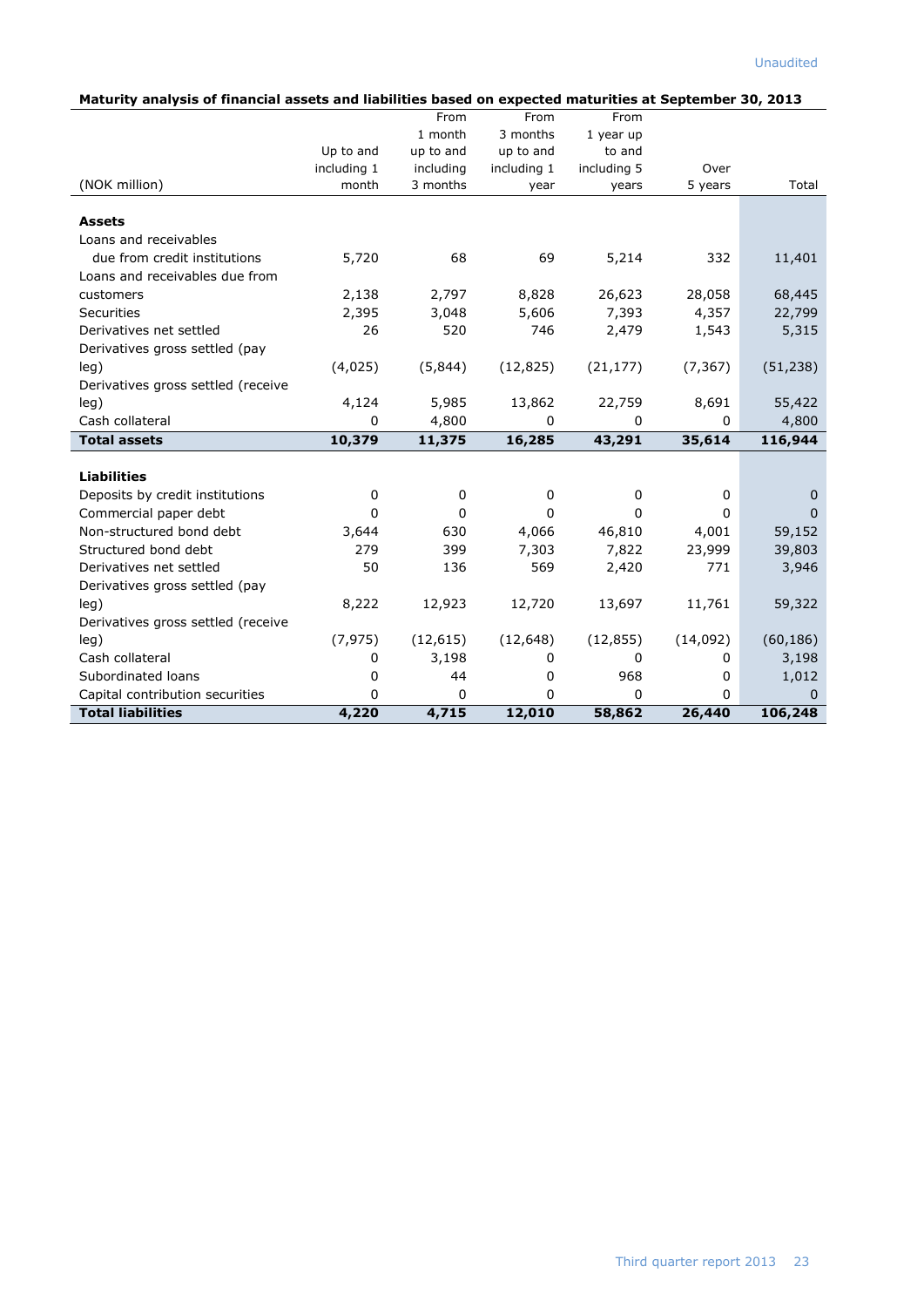| Maturity analysis of financial assets and liabilities based on expected maturities at September 30, 2013 |             |              |             |             |          |           |
|----------------------------------------------------------------------------------------------------------|-------------|--------------|-------------|-------------|----------|-----------|
|                                                                                                          |             | From         | From        | From        |          |           |
|                                                                                                          |             | 1 month      | 3 months    | 1 year up   |          |           |
|                                                                                                          | Up to and   | up to and    | up to and   | to and      |          |           |
|                                                                                                          | including 1 | including    | including 1 | including 5 | Over     |           |
| (NOK million)                                                                                            | month       | 3 months     | year        | years       | 5 years  | Total     |
|                                                                                                          |             |              |             |             |          |           |
| <b>Assets</b>                                                                                            |             |              |             |             |          |           |
| Loans and receivables                                                                                    |             |              |             |             |          |           |
| due from credit institutions                                                                             | 5,720       | 68           | 69          | 5,214       | 332      | 11,401    |
| Loans and receivables due from                                                                           |             |              |             |             |          |           |
| customers                                                                                                | 2,138       | 2,797        | 8,828       | 26,623      | 28,058   | 68,445    |
| <b>Securities</b>                                                                                        | 2,395       | 3,048        | 5,606       | 7,393       | 4,357    | 22,799    |
| Derivatives net settled                                                                                  | 26          | 520          | 746         | 2,479       | 1,543    | 5,315     |
| Derivatives gross settled (pay                                                                           |             |              |             |             |          |           |
| leg)                                                                                                     | (4,025)     | (5,844)      | (12, 825)   | (21, 177)   | (7, 367) | (51, 238) |
| Derivatives gross settled (receive                                                                       |             |              |             |             |          |           |
| leg)                                                                                                     | 4,124       | 5,985        | 13,862      | 22,759      | 8,691    | 55,422    |
| Cash collateral                                                                                          | 0           | 4,800        | 0           | $\mathbf 0$ | 0        | 4,800     |
| <b>Total assets</b>                                                                                      | 10,379      | 11,375       | 16,285      | 43,291      | 35,614   | 116,944   |
|                                                                                                          |             |              |             |             |          |           |
| <b>Liabilities</b>                                                                                       |             |              |             |             |          |           |
| Deposits by credit institutions                                                                          | 0           | 0            | 0           | 0           | 0        | 0         |
| Commercial paper debt                                                                                    | 0           | $\mathbf{0}$ | 0           | 0           | $\Omega$ | 0         |
| Non-structured bond debt                                                                                 | 3,644       | 630          | 4,066       | 46,810      | 4,001    | 59,152    |
| Structured bond debt                                                                                     | 279         | 399          | 7,303       | 7,822       | 23,999   | 39,803    |
| Derivatives net settled                                                                                  | 50          | 136          | 569         | 2,420       | 771      | 3,946     |
| Derivatives gross settled (pay                                                                           |             |              |             |             |          |           |
| leg)                                                                                                     | 8,222       | 12,923       | 12,720      | 13,697      | 11,761   | 59,322    |
| Derivatives gross settled (receive                                                                       |             |              |             |             |          |           |

leg) (7,975) (12,615) (12,648) (12,855) (14,092) (60,186) Cash collateral 1 0 3,198 0 0 0 3,198 Subordinated loans 0 1,012 Capital contribution securities  $\begin{array}{ccccccc} 0 & 0 & 0 & 0 & 0 & 0 \end{array}$ **Total liabilities 4,220 4,715 12,010 58,862 26,440 106,248**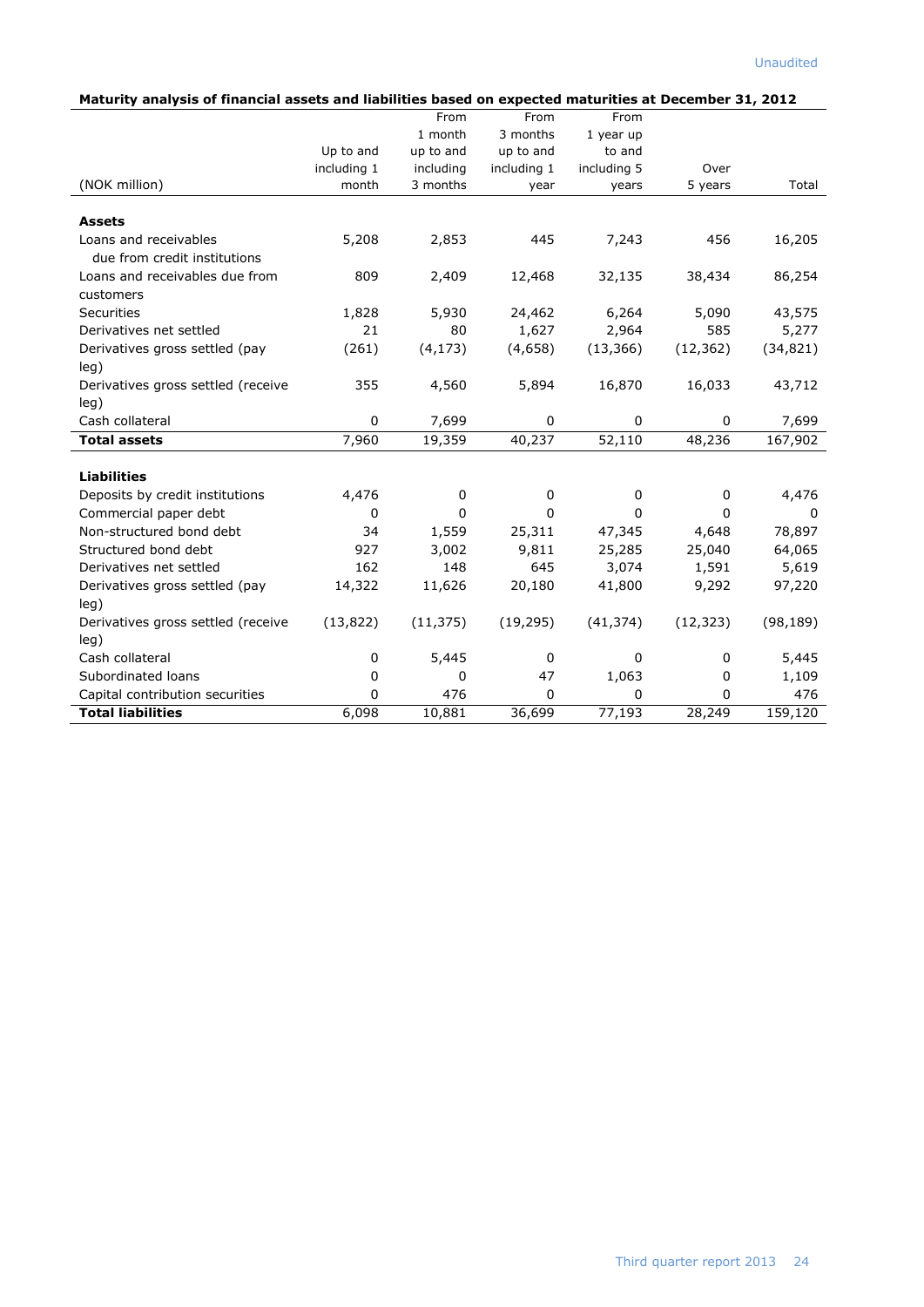| Maturity analysis of financial assets and liabilities based on expected maturities at December 31, 2012 |  |
|---------------------------------------------------------------------------------------------------------|--|
|---------------------------------------------------------------------------------------------------------|--|

| Maturity analysis of miancial assets and nabilities based on expected maturities at December 31, 2012 |             | From        | From        | From        |             |           |
|-------------------------------------------------------------------------------------------------------|-------------|-------------|-------------|-------------|-------------|-----------|
|                                                                                                       |             | 1 month     | 3 months    | 1 year up   |             |           |
|                                                                                                       | Up to and   | up to and   | up to and   | to and      |             |           |
|                                                                                                       | including 1 | including   | including 1 | including 5 | Over        |           |
| (NOK million)                                                                                         | month       | 3 months    | year        | years       | 5 years     | Total     |
| <b>Assets</b>                                                                                         |             |             |             |             |             |           |
| Loans and receivables                                                                                 | 5,208       | 2,853       | 445         | 7,243       | 456         | 16,205    |
| due from credit institutions                                                                          |             |             |             |             |             |           |
| Loans and receivables due from                                                                        | 809         | 2,409       | 12,468      | 32,135      | 38,434      | 86,254    |
| customers                                                                                             |             |             |             |             |             |           |
| <b>Securities</b>                                                                                     | 1,828       | 5,930       | 24,462      | 6,264       | 5,090       | 43,575    |
| Derivatives net settled                                                                               | 21          | 80          | 1,627       | 2,964       | 585         | 5,277     |
| Derivatives gross settled (pay                                                                        | (261)       | (4, 173)    | (4,658)     | (13, 366)   | (12, 362)   | (34, 821) |
| leg)                                                                                                  |             |             |             |             |             |           |
| Derivatives gross settled (receive                                                                    | 355         | 4,560       | 5,894       | 16,870      | 16,033      | 43,712    |
| leg)                                                                                                  |             |             |             |             |             |           |
| Cash collateral                                                                                       | $\pmb{0}$   | 7,699       | $\pmb{0}$   | $\mathbf 0$ | $\mathbf 0$ | 7,699     |
| <b>Total assets</b>                                                                                   | 7,960       | 19,359      | 40,237      | 52,110      | 48,236      | 167,902   |
| <b>Liabilities</b>                                                                                    |             |             |             |             |             |           |
| Deposits by credit institutions                                                                       | 4,476       | 0           | 0           | 0           | $\Omega$    | 4,476     |
| Commercial paper debt                                                                                 | 0           | $\mathbf 0$ | 0           | $\mathbf 0$ | 0           | 0         |
| Non-structured bond debt                                                                              | 34          | 1,559       | 25,311      | 47,345      | 4,648       | 78,897    |
| Structured bond debt                                                                                  | 927         | 3,002       | 9,811       | 25,285      | 25,040      | 64,065    |
| Derivatives net settled                                                                               | 162         | 148         | 645         | 3,074       | 1,591       | 5,619     |
| Derivatives gross settled (pay                                                                        | 14,322      | 11,626      | 20,180      | 41,800      | 9,292       | 97,220    |
| leg)                                                                                                  |             |             |             |             |             |           |
| Derivatives gross settled (receive                                                                    | (13, 822)   | (11, 375)   | (19, 295)   | (41, 374)   | (12, 323)   | (98, 189) |
| leg)                                                                                                  |             |             |             |             |             |           |
| Cash collateral                                                                                       | 0           | 5,445       | 0           | 0           | 0           | 5,445     |
| Subordinated loans                                                                                    | 0           | 0           | 47          | 1,063       | 0           | 1,109     |
| Capital contribution securities                                                                       | $\Omega$    | 476         | 0           | 0           | $\Omega$    | 476       |
| <b>Total liabilities</b>                                                                              | 6,098       | 10,881      | 36,699      | 77,193      | 28,249      | 159,120   |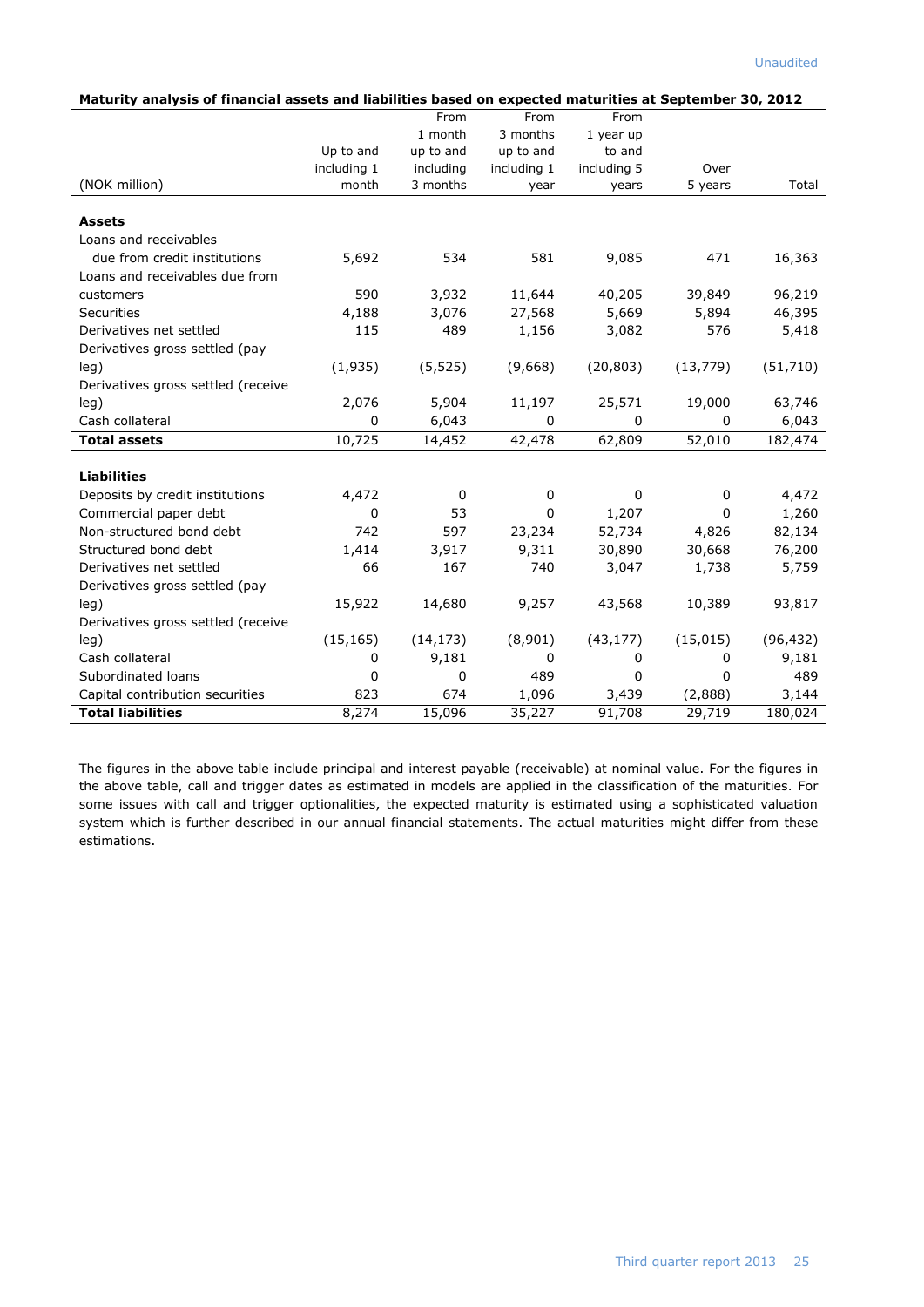| Maturity analysis of financial assets and liabilities based on expected maturities at September 30, 2012 |             |             |             |             |           |           |
|----------------------------------------------------------------------------------------------------------|-------------|-------------|-------------|-------------|-----------|-----------|
|                                                                                                          |             | From        | From        | From        |           |           |
|                                                                                                          |             | 1 month     | 3 months    | 1 year up   |           |           |
|                                                                                                          | Up to and   | up to and   | up to and   | to and      |           |           |
|                                                                                                          | including 1 | including   | including 1 | including 5 | Over      |           |
| (NOK million)                                                                                            | month       | 3 months    | year        | years       | 5 years   | Total     |
|                                                                                                          |             |             |             |             |           |           |
| <b>Assets</b>                                                                                            |             |             |             |             |           |           |
| Loans and receivables                                                                                    |             |             |             |             |           |           |
| due from credit institutions                                                                             | 5,692       | 534         | 581         | 9,085       | 471       | 16,363    |
| Loans and receivables due from                                                                           |             |             |             |             |           |           |
| customers                                                                                                | 590         | 3,932       | 11,644      | 40,205      | 39,849    | 96,219    |
| Securities                                                                                               | 4,188       | 3,076       | 27,568      | 5,669       | 5,894     | 46,395    |
| Derivatives net settled                                                                                  | 115         | 489         | 1,156       | 3,082       | 576       | 5,418     |
| Derivatives gross settled (pay                                                                           |             |             |             |             |           |           |
| leg)                                                                                                     | (1,935)     | (5, 525)    | (9,668)     | (20, 803)   | (13, 779) | (51, 710) |
| Derivatives gross settled (receive                                                                       |             |             |             |             |           |           |
| leg)                                                                                                     | 2,076       | 5,904       | 11,197      | 25,571      | 19,000    | 63,746    |
| Cash collateral                                                                                          | 0           | 6,043       | 0           | 0           | 0         | 6,043     |
| <b>Total assets</b>                                                                                      | 10,725      | 14,452      | 42,478      | 62,809      | 52,010    | 182,474   |
|                                                                                                          |             |             |             |             |           |           |
| <b>Liabilities</b>                                                                                       |             |             |             |             |           |           |
| Deposits by credit institutions                                                                          | 4,472       | $\mathbf 0$ | 0           | 0           | 0         | 4,472     |
| Commercial paper debt                                                                                    | 0           | 53          | 0           | 1,207       | 0         | 1,260     |
| Non-structured bond debt                                                                                 | 742         | 597         | 23,234      | 52,734      | 4,826     | 82,134    |
| Structured bond debt                                                                                     | 1,414       | 3,917       | 9,311       | 30,890      | 30,668    | 76,200    |
| Derivatives net settled                                                                                  | 66          | 167         | 740         | 3,047       | 1,738     | 5,759     |
| Derivatives gross settled (pay                                                                           |             |             |             |             |           |           |
| leg)                                                                                                     | 15,922      | 14,680      | 9,257       | 43,568      | 10,389    | 93,817    |
| Derivatives gross settled (receive                                                                       |             |             |             |             |           |           |
| leg)                                                                                                     | (15, 165)   | (14, 173)   | (8,901)     | (43, 177)   | (15, 015) | (96, 432) |
| Cash collateral                                                                                          | 0           | 9,181       | 0           | 0           | 0         | 9,181     |
| Subordinated loans                                                                                       | 0           | 0           | 489         | 0           | 0         | 489       |
| Capital contribution securities                                                                          | 823         | 674         | 1,096       | 3,439       | (2,888)   | 3,144     |
| <b>Total liabilities</b>                                                                                 | 8.274       | 15,096      | 35,227      | 91,708      | 29,719    | 180,024   |

The figures in the above table include principal and interest payable (receivable) at nominal value. For the figures in the above table, call and trigger dates as estimated in models are applied in the classification of the maturities. For some issues with call and trigger optionalities, the expected maturity is estimated using a sophisticated valuation system which is further described in our annual financial statements. The actual maturities might differ from these estimations.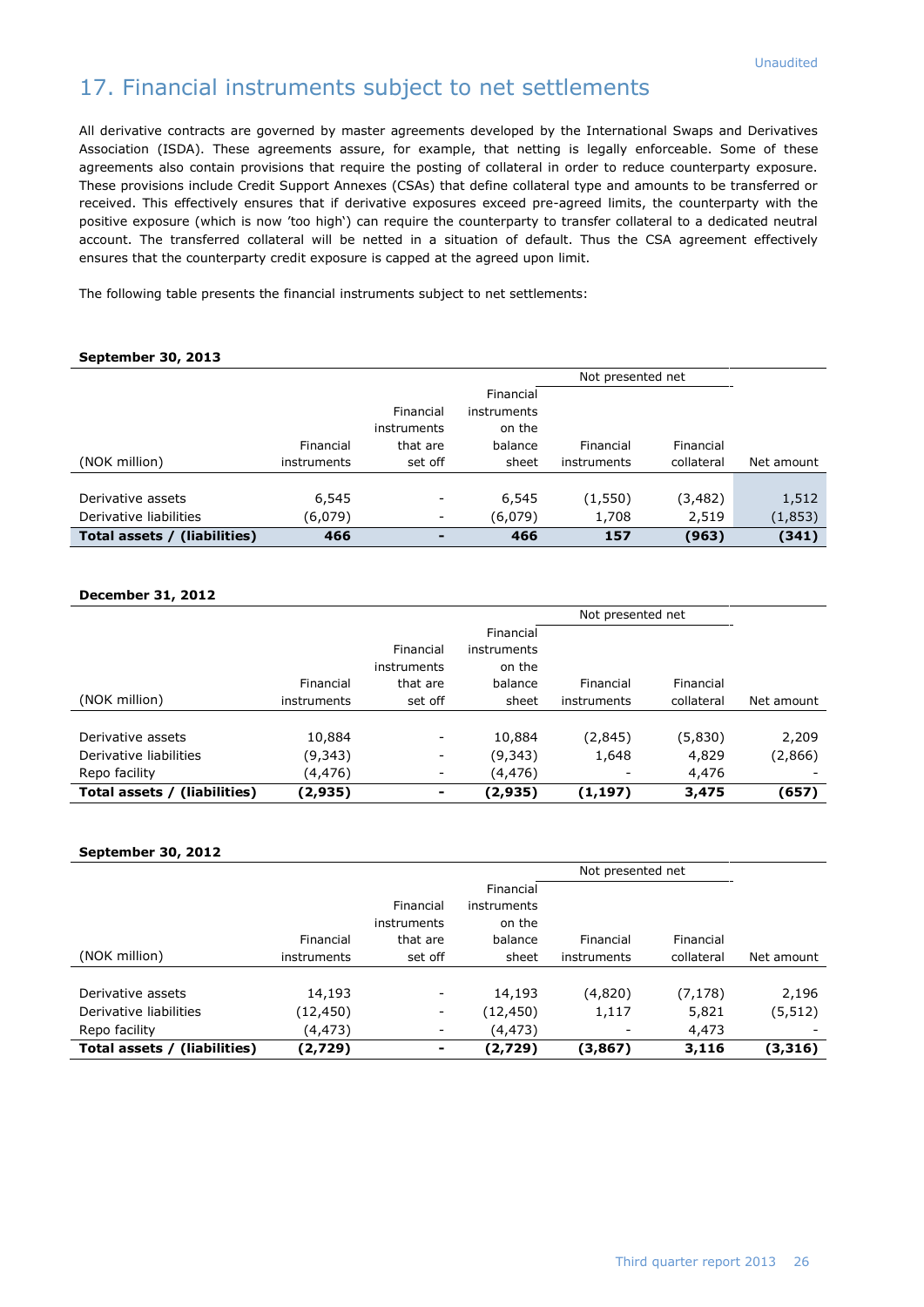# 17. Financial instruments subject to net settlements

All derivative contracts are governed by master agreements developed by the International Swaps and Derivatives Association (ISDA). These agreements assure, for example, that netting is legally enforceable. Some of these agreements also contain provisions that require the posting of collateral in order to reduce counterparty exposure. These provisions include Credit Support Annexes (CSAs) that define collateral type and amounts to be transferred or received. This effectively ensures that if derivative exposures exceed pre-agreed limits, the counterparty with the positive exposure (which is now 'too high') can require the counterparty to transfer collateral to a dedicated neutral account. The transferred collateral will be netted in a situation of default. Thus the CSA agreement effectively ensures that the counterparty credit exposure is capped at the agreed upon limit.

The following table presents the financial instruments subject to net settlements:

### **September 30, 2013**

|                              |             |                          |             | Not presented net |            |            |
|------------------------------|-------------|--------------------------|-------------|-------------------|------------|------------|
|                              |             |                          | Financial   |                   |            |            |
|                              |             | Financial                | instruments |                   |            |            |
|                              |             | instruments              | on the      |                   |            |            |
|                              | Financial   | that are                 | balance     | Financial         | Financial  |            |
| (NOK million)                | instruments | set off                  | sheet       | instruments       | collateral | Net amount |
|                              |             |                          |             |                   |            |            |
| Derivative assets            | 6,545       | -                        | 6,545       | (1,550)           | (3,482)    | 1,512      |
| Derivative liabilities       | (6,079)     | $\overline{\phantom{a}}$ | (6,079)     | 1,708             | 2,519      | (1,853)    |
| Total assets / (liabilities) | 466         | $\overline{\phantom{a}}$ | 466         | 157               | (963)      | (341)      |

### **December 31, 2012**

|                              |             |                                      |                                               | Not presented net |            |            |
|------------------------------|-------------|--------------------------------------|-----------------------------------------------|-------------------|------------|------------|
|                              | Financial   | Financial<br>instruments<br>that are | Financial<br>instruments<br>on the<br>balance | Financial         | Financial  |            |
| (NOK million)                | instruments | set off                              | sheet                                         | instruments       | collateral | Net amount |
|                              |             |                                      |                                               |                   |            |            |
| Derivative assets            | 10,884      | $\overline{\phantom{a}}$             | 10,884                                        | (2, 845)          | (5,830)    | 2,209      |
| Derivative liabilities       | (9,343)     | -                                    | (9,343)                                       | 1,648             | 4,829      | (2,866)    |
| Repo facility                | (4,476)     | $\overline{\phantom{a}}$             | (4,476)                                       |                   | 4,476      |            |
| Total assets / (liabilities) | (2,935)     | ۰                                    | (2,935)                                       | (1, 197)          | 3,475      | (657)      |

### **September 30, 2012**

|                              |             |                                      |                                               | Not presented net |            |            |
|------------------------------|-------------|--------------------------------------|-----------------------------------------------|-------------------|------------|------------|
|                              | Financial   | Financial<br>instruments<br>that are | Financial<br>instruments<br>on the<br>balance | Financial         | Financial  |            |
| (NOK million)                | instruments | set off                              | sheet                                         | instruments       | collateral | Net amount |
|                              |             |                                      |                                               |                   |            |            |
| Derivative assets            | 14,193      | $\overline{\phantom{a}}$             | 14,193                                        | (4,820)           | (7, 178)   | 2,196      |
| Derivative liabilities       | (12,450)    | $\overline{\phantom{a}}$             | (12, 450)                                     | 1,117             | 5,821      | (5,512)    |
| Repo facility                | (4,473)     |                                      | (4,473)                                       |                   | 4,473      |            |
| Total assets / (liabilities) | (2,729)     | $\blacksquare$                       | (2,729)                                       | (3,867)           | 3,116      | (3,316)    |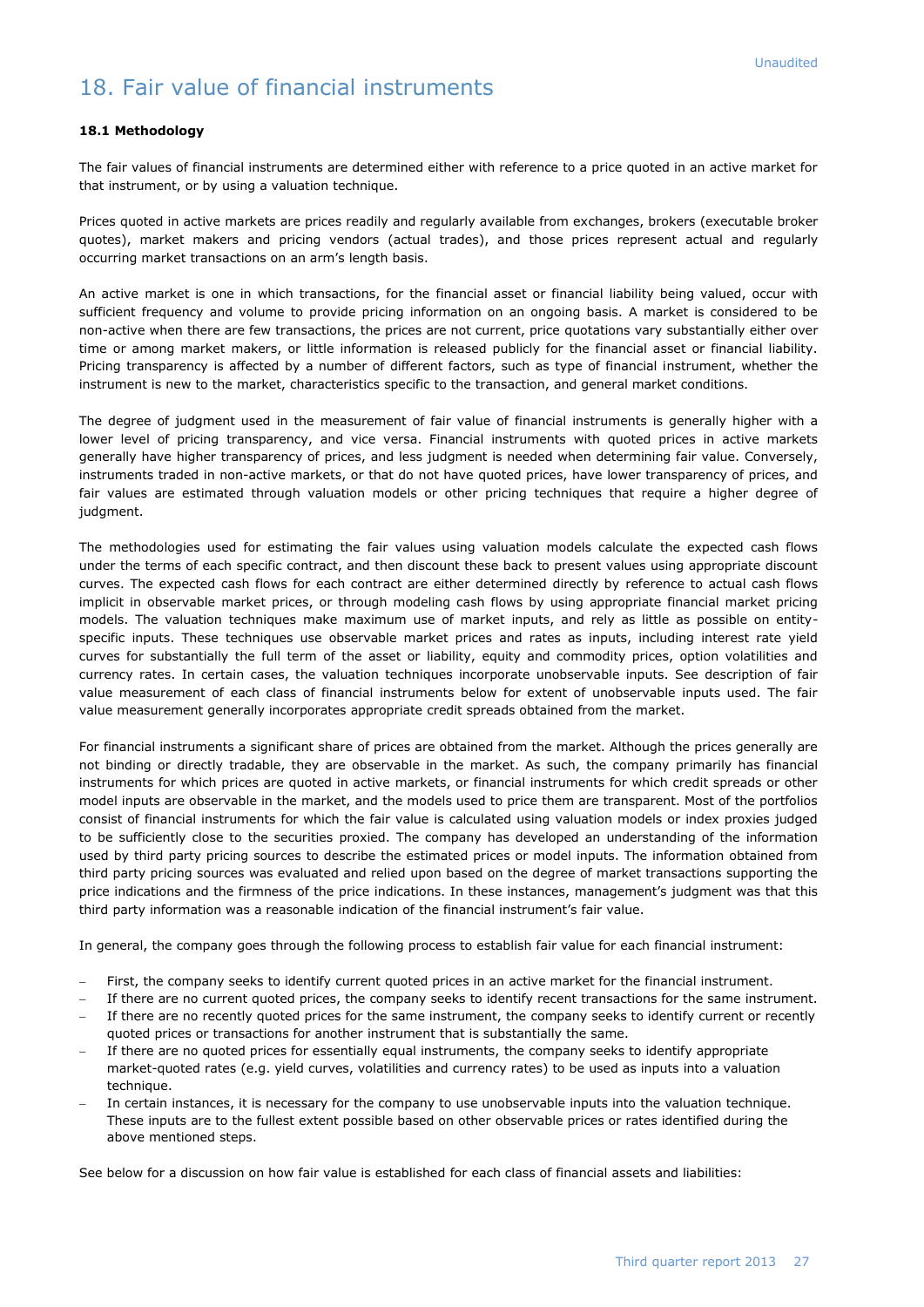# 18. Fair value of financial instruments

### **18.1 Methodology**

The fair values of financial instruments are determined either with reference to a price quoted in an active market for that instrument, or by using a valuation technique.

Prices quoted in active markets are prices readily and regularly available from exchanges, brokers (executable broker quotes), market makers and pricing vendors (actual trades), and those prices represent actual and regularly occurring market transactions on an arm's length basis.

An active market is one in which transactions, for the financial asset or financial liability being valued, occur with sufficient frequency and volume to provide pricing information on an ongoing basis. A market is considered to be non-active when there are few transactions, the prices are not current, price quotations vary substantially either over time or among market makers, or little information is released publicly for the financial asset or financial liability. Pricing transparency is affected by a number of different factors, such as type of financial instrument, whether the instrument is new to the market, characteristics specific to the transaction, and general market conditions.

The degree of judgment used in the measurement of fair value of financial instruments is generally higher with a lower level of pricing transparency, and vice versa. Financial instruments with quoted prices in active markets generally have higher transparency of prices, and less judgment is needed when determining fair value. Conversely, instruments traded in non-active markets, or that do not have quoted prices, have lower transparency of prices, and fair values are estimated through valuation models or other pricing techniques that require a higher degree of judgment.

The methodologies used for estimating the fair values using valuation models calculate the expected cash flows under the terms of each specific contract, and then discount these back to present values using appropriate discount curves. The expected cash flows for each contract are either determined directly by reference to actual cash flows implicit in observable market prices, or through modeling cash flows by using appropriate financial market pricing models. The valuation techniques make maximum use of market inputs, and rely as little as possible on entityspecific inputs. These techniques use observable market prices and rates as inputs, including interest rate yield curves for substantially the full term of the asset or liability, equity and commodity prices, option volatilities and currency rates. In certain cases, the valuation techniques incorporate unobservable inputs. See description of fair value measurement of each class of financial instruments below for extent of unobservable inputs used. The fair value measurement generally incorporates appropriate credit spreads obtained from the market.

For financial instruments a significant share of prices are obtained from the market. Although the prices generally are not binding or directly tradable, they are observable in the market. As such, the company primarily has financial instruments for which prices are quoted in active markets, or financial instruments for which credit spreads or other model inputs are observable in the market, and the models used to price them are transparent. Most of the portfolios consist of financial instruments for which the fair value is calculated using valuation models or index proxies judged to be sufficiently close to the securities proxied. The company has developed an understanding of the information used by third party pricing sources to describe the estimated prices or model inputs. The information obtained from third party pricing sources was evaluated and relied upon based on the degree of market transactions supporting the price indications and the firmness of the price indications. In these instances, management's judgment was that this third party information was a reasonable indication of the financial instrument's fair value.

In general, the company goes through the following process to establish fair value for each financial instrument:

- First, the company seeks to identify current quoted prices in an active market for the financial instrument.
- If there are no current quoted prices, the company seeks to identify recent transactions for the same instrument. If there are no recently quoted prices for the same instrument, the company seeks to identify current or recently
- quoted prices or transactions for another instrument that is substantially the same.
- If there are no quoted prices for essentially equal instruments, the company seeks to identify appropriate market-quoted rates (e.g. yield curves, volatilities and currency rates) to be used as inputs into a valuation technique.
- In certain instances, it is necessary for the company to use unobservable inputs into the valuation technique. These inputs are to the fullest extent possible based on other observable prices or rates identified during the above mentioned steps.

See below for a discussion on how fair value is established for each class of financial assets and liabilities: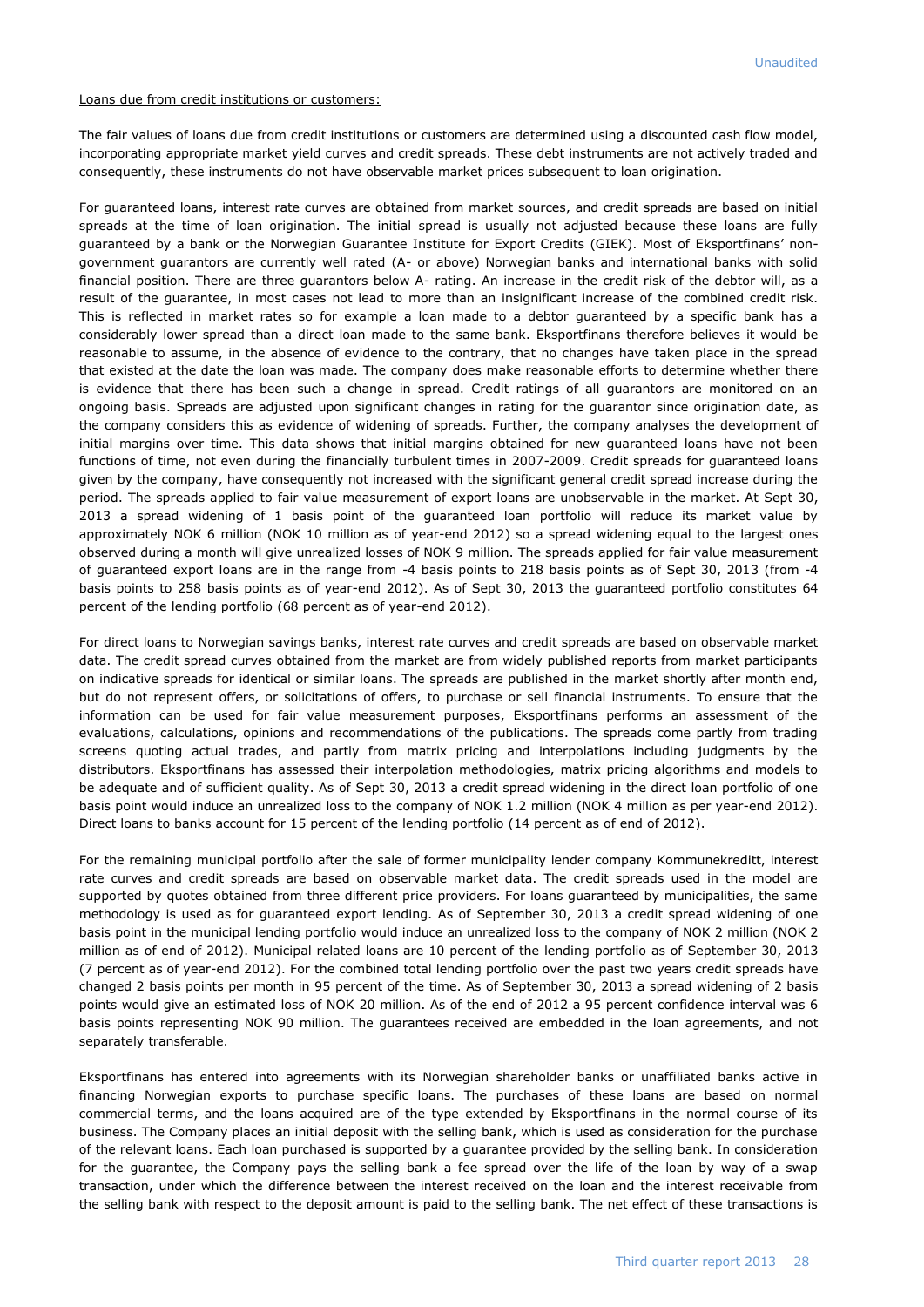Loans due from credit institutions or customers:

The fair values of loans due from credit institutions or customers are determined using a discounted cash flow model, incorporating appropriate market yield curves and credit spreads. These debt instruments are not actively traded and consequently, these instruments do not have observable market prices subsequent to loan origination.

For guaranteed loans, interest rate curves are obtained from market sources, and credit spreads are based on initial spreads at the time of loan origination. The initial spread is usually not adjusted because these loans are fully guaranteed by a bank or the Norwegian Guarantee Institute for Export Credits (GIEK). Most of Eksportfinans' nongovernment guarantors are currently well rated (A- or above) Norwegian banks and international banks with solid financial position. There are three guarantors below A- rating. An increase in the credit risk of the debtor will, as a result of the guarantee, in most cases not lead to more than an insignificant increase of the combined credit risk. This is reflected in market rates so for example a loan made to a debtor guaranteed by a specific bank has a considerably lower spread than a direct loan made to the same bank. Eksportfinans therefore believes it would be reasonable to assume, in the absence of evidence to the contrary, that no changes have taken place in the spread that existed at the date the loan was made. The company does make reasonable efforts to determine whether there is evidence that there has been such a change in spread. Credit ratings of all guarantors are monitored on an ongoing basis. Spreads are adjusted upon significant changes in rating for the guarantor since origination date, as the company considers this as evidence of widening of spreads. Further, the company analyses the development of initial margins over time. This data shows that initial margins obtained for new guaranteed loans have not been functions of time, not even during the financially turbulent times in 2007-2009. Credit spreads for guaranteed loans given by the company, have consequently not increased with the significant general credit spread increase during the period. The spreads applied to fair value measurement of export loans are unobservable in the market. At Sept 30, 2013 a spread widening of 1 basis point of the guaranteed loan portfolio will reduce its market value by approximately NOK 6 million (NOK 10 million as of year-end 2012) so a spread widening equal to the largest ones observed during a month will give unrealized losses of NOK 9 million. The spreads applied for fair value measurement of guaranteed export loans are in the range from -4 basis points to 218 basis points as of Sept 30, 2013 (from -4 basis points to 258 basis points as of year-end 2012). As of Sept 30, 2013 the guaranteed portfolio constitutes 64 percent of the lending portfolio (68 percent as of year-end 2012).

For direct loans to Norwegian savings banks, interest rate curves and credit spreads are based on observable market data. The credit spread curves obtained from the market are from widely published reports from market participants on indicative spreads for identical or similar loans. The spreads are published in the market shortly after month end, but do not represent offers, or solicitations of offers, to purchase or sell financial instruments. To ensure that the information can be used for fair value measurement purposes, Eksportfinans performs an assessment of the evaluations, calculations, opinions and recommendations of the publications. The spreads come partly from trading screens quoting actual trades, and partly from matrix pricing and interpolations including judgments by the distributors. Eksportfinans has assessed their interpolation methodologies, matrix pricing algorithms and models to be adequate and of sufficient quality. As of Sept 30, 2013 a credit spread widening in the direct loan portfolio of one basis point would induce an unrealized loss to the company of NOK 1.2 million (NOK 4 million as per year-end 2012). Direct loans to banks account for 15 percent of the lending portfolio (14 percent as of end of 2012).

For the remaining municipal portfolio after the sale of former municipality lender company Kommunekreditt, interest rate curves and credit spreads are based on observable market data. The credit spreads used in the model are supported by quotes obtained from three different price providers. For loans guaranteed by municipalities, the same methodology is used as for guaranteed export lending. As of September 30, 2013 a credit spread widening of one basis point in the municipal lending portfolio would induce an unrealized loss to the company of NOK 2 million (NOK 2 million as of end of 2012). Municipal related loans are 10 percent of the lending portfolio as of September 30, 2013 (7 percent as of year-end 2012). For the combined total lending portfolio over the past two years credit spreads have changed 2 basis points per month in 95 percent of the time. As of September 30, 2013 a spread widening of 2 basis points would give an estimated loss of NOK 20 million. As of the end of 2012 a 95 percent confidence interval was 6 basis points representing NOK 90 million. The guarantees received are embedded in the loan agreements, and not separately transferable.

Eksportfinans has entered into agreements with its Norwegian shareholder banks or unaffiliated banks active in financing Norwegian exports to purchase specific loans. The purchases of these loans are based on normal commercial terms, and the loans acquired are of the type extended by Eksportfinans in the normal course of its business. The Company places an initial deposit with the selling bank, which is used as consideration for the purchase of the relevant loans. Each loan purchased is supported by a guarantee provided by the selling bank. In consideration for the guarantee, the Company pays the selling bank a fee spread over the life of the loan by way of a swap transaction, under which the difference between the interest received on the loan and the interest receivable from the selling bank with respect to the deposit amount is paid to the selling bank. The net effect of these transactions is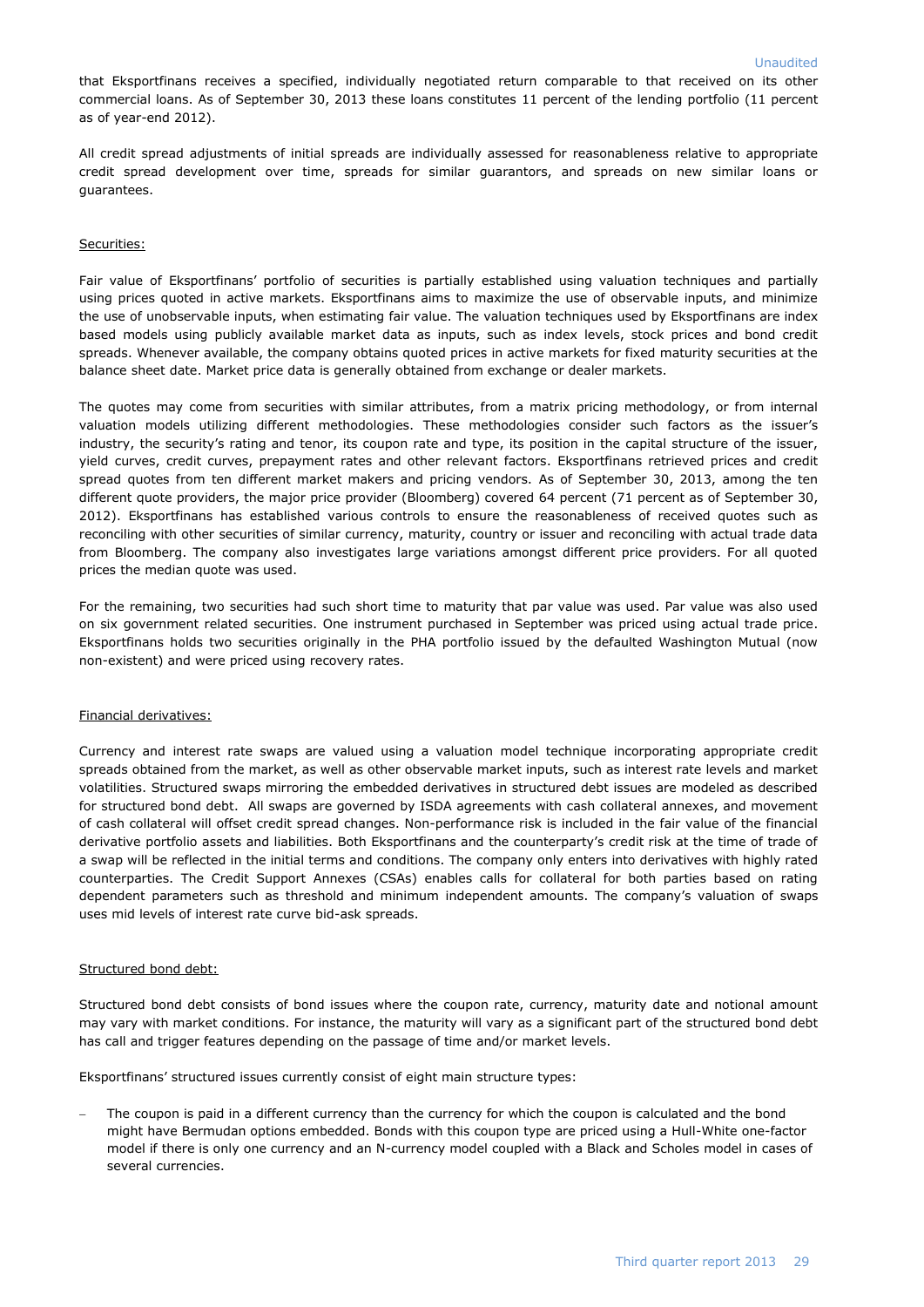that Eksportfinans receives a specified, individually negotiated return comparable to that received on its other commercial loans. As of September 30, 2013 these loans constitutes 11 percent of the lending portfolio (11 percent as of year-end 2012).

All credit spread adjustments of initial spreads are individually assessed for reasonableness relative to appropriate credit spread development over time, spreads for similar guarantors, and spreads on new similar loans or guarantees.

### Securities:

Fair value of Eksportfinans' portfolio of securities is partially established using valuation techniques and partially using prices quoted in active markets. Eksportfinans aims to maximize the use of observable inputs, and minimize the use of unobservable inputs, when estimating fair value. The valuation techniques used by Eksportfinans are index based models using publicly available market data as inputs, such as index levels, stock prices and bond credit spreads. Whenever available, the company obtains quoted prices in active markets for fixed maturity securities at the balance sheet date. Market price data is generally obtained from exchange or dealer markets.

The quotes may come from securities with similar attributes, from a matrix pricing methodology, or from internal valuation models utilizing different methodologies. These methodologies consider such factors as the issuer's industry, the security's rating and tenor, its coupon rate and type, its position in the capital structure of the issuer, yield curves, credit curves, prepayment rates and other relevant factors. Eksportfinans retrieved prices and credit spread quotes from ten different market makers and pricing vendors. As of September 30, 2013, among the ten different quote providers, the major price provider (Bloomberg) covered 64 percent (71 percent as of September 30, 2012). Eksportfinans has established various controls to ensure the reasonableness of received quotes such as reconciling with other securities of similar currency, maturity, country or issuer and reconciling with actual trade data from Bloomberg. The company also investigates large variations amongst different price providers. For all quoted prices the median quote was used.

For the remaining, two securities had such short time to maturity that par value was used. Par value was also used on six government related securities. One instrument purchased in September was priced using actual trade price. Eksportfinans holds two securities originally in the PHA portfolio issued by the defaulted Washington Mutual (now non-existent) and were priced using recovery rates.

### Financial derivatives:

Currency and interest rate swaps are valued using a valuation model technique incorporating appropriate credit spreads obtained from the market, as well as other observable market inputs, such as interest rate levels and market volatilities. Structured swaps mirroring the embedded derivatives in structured debt issues are modeled as described for structured bond debt. All swaps are governed by ISDA agreements with cash collateral annexes, and movement of cash collateral will offset credit spread changes. Non-performance risk is included in the fair value of the financial derivative portfolio assets and liabilities. Both Eksportfinans and the counterparty's credit risk at the time of trade of a swap will be reflected in the initial terms and conditions. The company only enters into derivatives with highly rated counterparties. The Credit Support Annexes (CSAs) enables calls for collateral for both parties based on rating dependent parameters such as threshold and minimum independent amounts. The company's valuation of swaps uses mid levels of interest rate curve bid-ask spreads.

### Structured bond debt:

Structured bond debt consists of bond issues where the coupon rate, currency, maturity date and notional amount may vary with market conditions. For instance, the maturity will vary as a significant part of the structured bond debt has call and trigger features depending on the passage of time and/or market levels.

Eksportfinans' structured issues currently consist of eight main structure types:

 The coupon is paid in a different currency than the currency for which the coupon is calculated and the bond might have Bermudan options embedded. Bonds with this coupon type are priced using a Hull-White one-factor model if there is only one currency and an N-currency model coupled with a Black and Scholes model in cases of several currencies.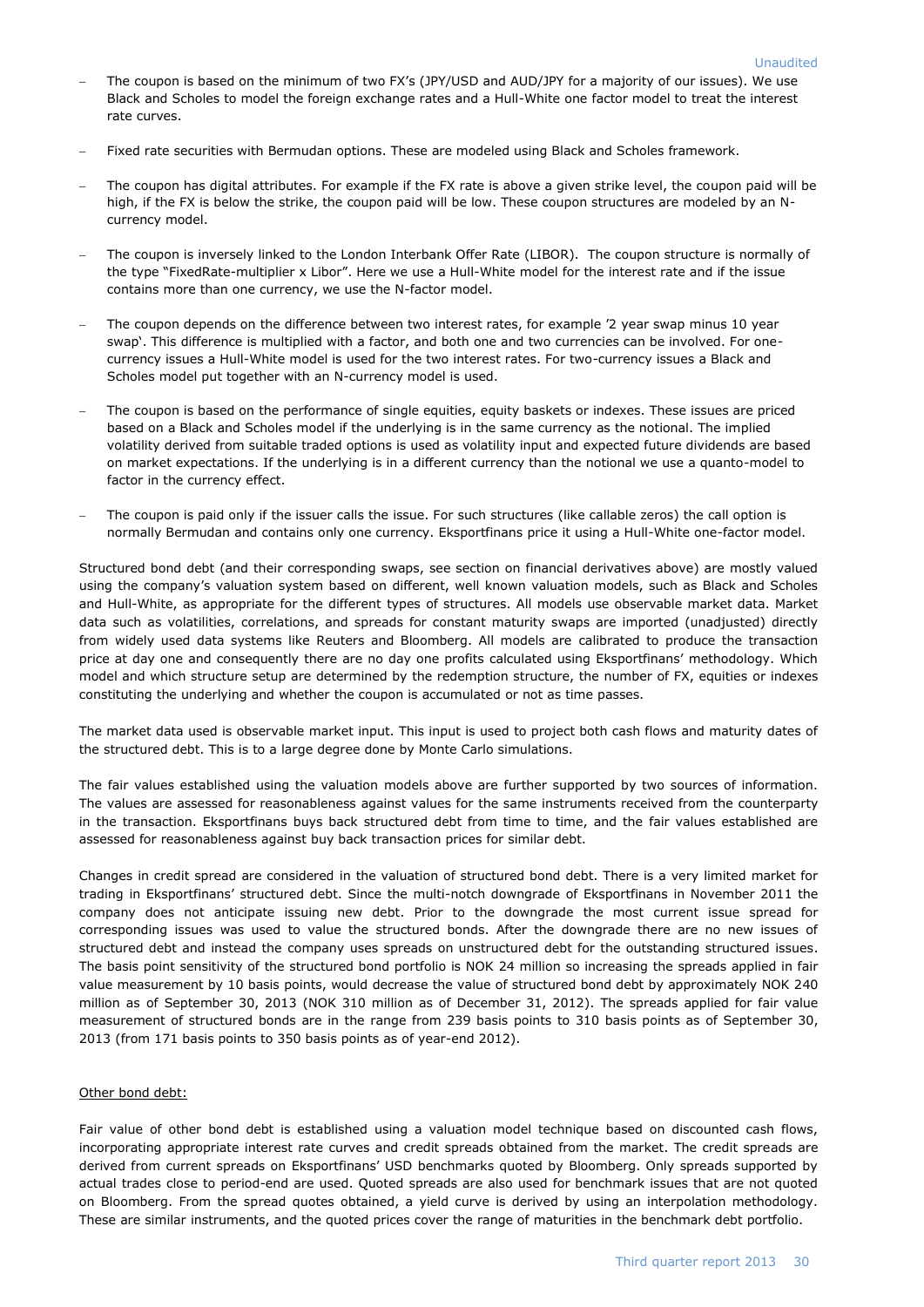- The coupon is based on the minimum of two FX's (JPY/USD and AUD/JPY for a majority of our issues). We use Black and Scholes to model the foreign exchange rates and a Hull-White one factor model to treat the interest rate curves.
- Fixed rate securities with Bermudan options. These are modeled using Black and Scholes framework.
- The coupon has digital attributes. For example if the FX rate is above a given strike level, the coupon paid will be high, if the FX is below the strike, the coupon paid will be low. These coupon structures are modeled by an Ncurrency model.
- The coupon is inversely linked to the London Interbank Offer Rate (LIBOR). The coupon structure is normally of the type "FixedRate-multiplier x Libor". Here we use a Hull-White model for the interest rate and if the issue contains more than one currency, we use the N-factor model.
- The coupon depends on the difference between two interest rates, for example '2 year swap minus 10 year swap'. This difference is multiplied with a factor, and both one and two currencies can be involved. For onecurrency issues a Hull-White model is used for the two interest rates. For two-currency issues a Black and Scholes model put together with an N-currency model is used.
- The coupon is based on the performance of single equities, equity baskets or indexes. These issues are priced based on a Black and Scholes model if the underlying is in the same currency as the notional. The implied volatility derived from suitable traded options is used as volatility input and expected future dividends are based on market expectations. If the underlying is in a different currency than the notional we use a quanto-model to factor in the currency effect.
- The coupon is paid only if the issuer calls the issue. For such structures (like callable zeros) the call option is normally Bermudan and contains only one currency. Eksportfinans price it using a Hull-White one-factor model.

Structured bond debt (and their corresponding swaps, see section on financial derivatives above) are mostly valued using the company's valuation system based on different, well known valuation models, such as Black and Scholes and Hull-White, as appropriate for the different types of structures. All models use observable market data. Market data such as volatilities, correlations, and spreads for constant maturity swaps are imported (unadjusted) directly from widely used data systems like Reuters and Bloomberg. All models are calibrated to produce the transaction price at day one and consequently there are no day one profits calculated using Eksportfinans' methodology. Which model and which structure setup are determined by the redemption structure, the number of FX, equities or indexes constituting the underlying and whether the coupon is accumulated or not as time passes.

The market data used is observable market input. This input is used to project both cash flows and maturity dates of the structured debt. This is to a large degree done by Monte Carlo simulations.

The fair values established using the valuation models above are further supported by two sources of information. The values are assessed for reasonableness against values for the same instruments received from the counterparty in the transaction. Eksportfinans buys back structured debt from time to time, and the fair values established are assessed for reasonableness against buy back transaction prices for similar debt.

Changes in credit spread are considered in the valuation of structured bond debt. There is a very limited market for trading in Eksportfinans' structured debt. Since the multi-notch downgrade of Eksportfinans in November 2011 the company does not anticipate issuing new debt. Prior to the downgrade the most current issue spread for corresponding issues was used to value the structured bonds. After the downgrade there are no new issues of structured debt and instead the company uses spreads on unstructured debt for the outstanding structured issues. The basis point sensitivity of the structured bond portfolio is NOK 24 million so increasing the spreads applied in fair value measurement by 10 basis points, would decrease the value of structured bond debt by approximately NOK 240 million as of September 30, 2013 (NOK 310 million as of December 31, 2012). The spreads applied for fair value measurement of structured bonds are in the range from 239 basis points to 310 basis points as of September 30, 2013 (from 171 basis points to 350 basis points as of year-end 2012).

### Other bond debt:

Fair value of other bond debt is established using a valuation model technique based on discounted cash flows, incorporating appropriate interest rate curves and credit spreads obtained from the market. The credit spreads are derived from current spreads on Eksportfinans' USD benchmarks quoted by Bloomberg. Only spreads supported by actual trades close to period-end are used. Quoted spreads are also used for benchmark issues that are not quoted on Bloomberg. From the spread quotes obtained, a yield curve is derived by using an interpolation methodology. These are similar instruments, and the quoted prices cover the range of maturities in the benchmark debt portfolio.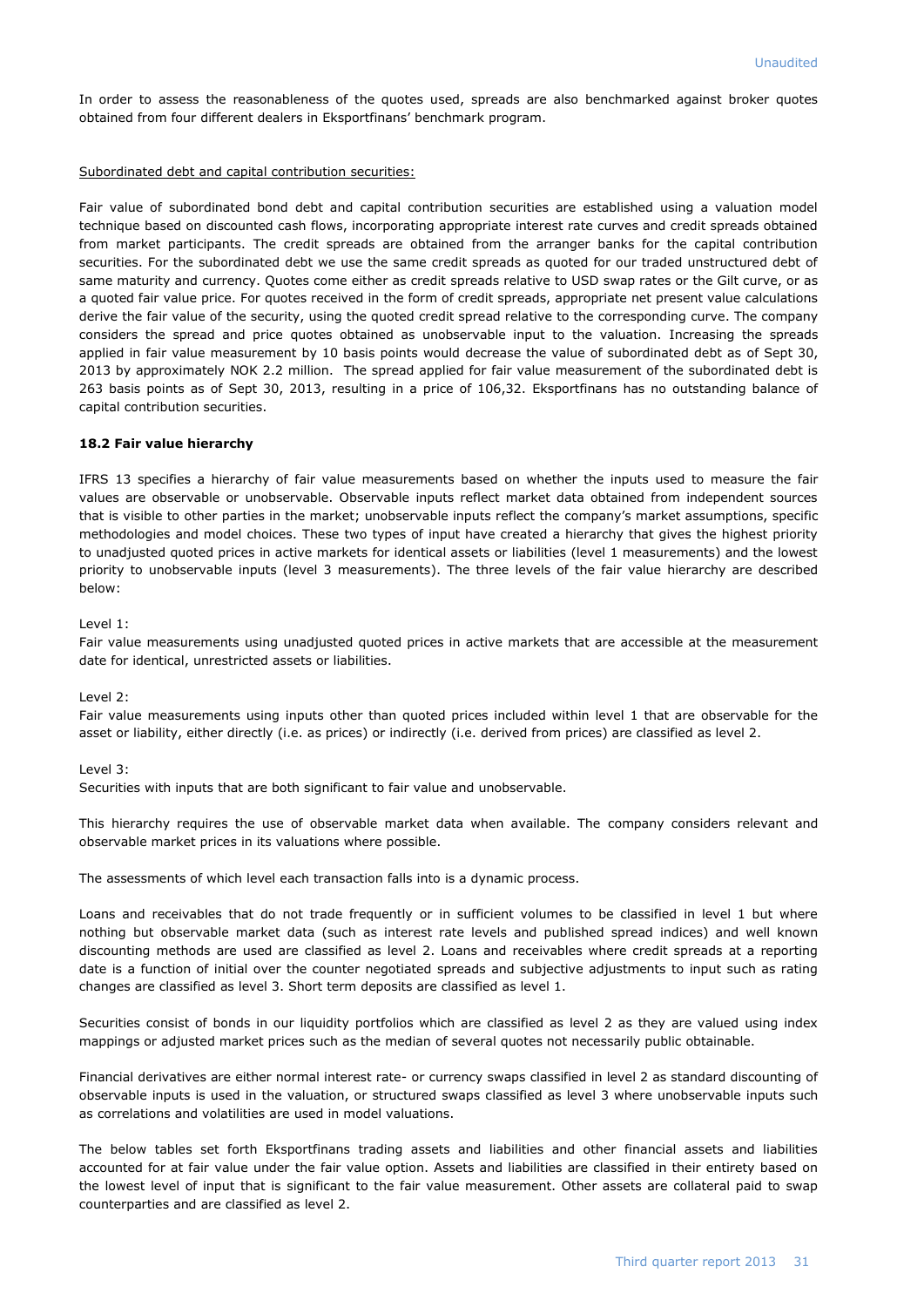In order to assess the reasonableness of the quotes used, spreads are also benchmarked against broker quotes obtained from four different dealers in Eksportfinans' benchmark program.

### Subordinated debt and capital contribution securities:

Fair value of subordinated bond debt and capital contribution securities are established using a valuation model technique based on discounted cash flows, incorporating appropriate interest rate curves and credit spreads obtained from market participants. The credit spreads are obtained from the arranger banks for the capital contribution securities. For the subordinated debt we use the same credit spreads as quoted for our traded unstructured debt of same maturity and currency. Quotes come either as credit spreads relative to USD swap rates or the Gilt curve, or as a quoted fair value price. For quotes received in the form of credit spreads, appropriate net present value calculations derive the fair value of the security, using the quoted credit spread relative to the corresponding curve. The company considers the spread and price quotes obtained as unobservable input to the valuation. Increasing the spreads applied in fair value measurement by 10 basis points would decrease the value of subordinated debt as of Sept 30, 2013 by approximately NOK 2.2 million. The spread applied for fair value measurement of the subordinated debt is 263 basis points as of Sept 30, 2013, resulting in a price of 106,32. Eksportfinans has no outstanding balance of capital contribution securities.

### **18.2 Fair value hierarchy**

IFRS 13 specifies a hierarchy of fair value measurements based on whether the inputs used to measure the fair values are observable or unobservable. Observable inputs reflect market data obtained from independent sources that is visible to other parties in the market; unobservable inputs reflect the company's market assumptions, specific methodologies and model choices. These two types of input have created a hierarchy that gives the highest priority to unadjusted quoted prices in active markets for identical assets or liabilities (level 1 measurements) and the lowest priority to unobservable inputs (level 3 measurements). The three levels of the fair value hierarchy are described below:

Level 1:

Fair value measurements using unadjusted quoted prices in active markets that are accessible at the measurement date for identical, unrestricted assets or liabilities.

### Level 2:

Fair value measurements using inputs other than quoted prices included within level 1 that are observable for the asset or liability, either directly (i.e. as prices) or indirectly (i.e. derived from prices) are classified as level 2.

### Level 3:

Securities with inputs that are both significant to fair value and unobservable.

This hierarchy requires the use of observable market data when available. The company considers relevant and observable market prices in its valuations where possible.

The assessments of which level each transaction falls into is a dynamic process.

Loans and receivables that do not trade frequently or in sufficient volumes to be classified in level 1 but where nothing but observable market data (such as interest rate levels and published spread indices) and well known discounting methods are used are classified as level 2. Loans and receivables where credit spreads at a reporting date is a function of initial over the counter negotiated spreads and subjective adjustments to input such as rating changes are classified as level 3. Short term deposits are classified as level 1.

Securities consist of bonds in our liquidity portfolios which are classified as level 2 as they are valued using index mappings or adjusted market prices such as the median of several quotes not necessarily public obtainable.

Financial derivatives are either normal interest rate- or currency swaps classified in level 2 as standard discounting of observable inputs is used in the valuation, or structured swaps classified as level 3 where unobservable inputs such as correlations and volatilities are used in model valuations.

The below tables set forth Eksportfinans trading assets and liabilities and other financial assets and liabilities accounted for at fair value under the fair value option. Assets and liabilities are classified in their entirety based on the lowest level of input that is significant to the fair value measurement. Other assets are collateral paid to swap counterparties and are classified as level 2.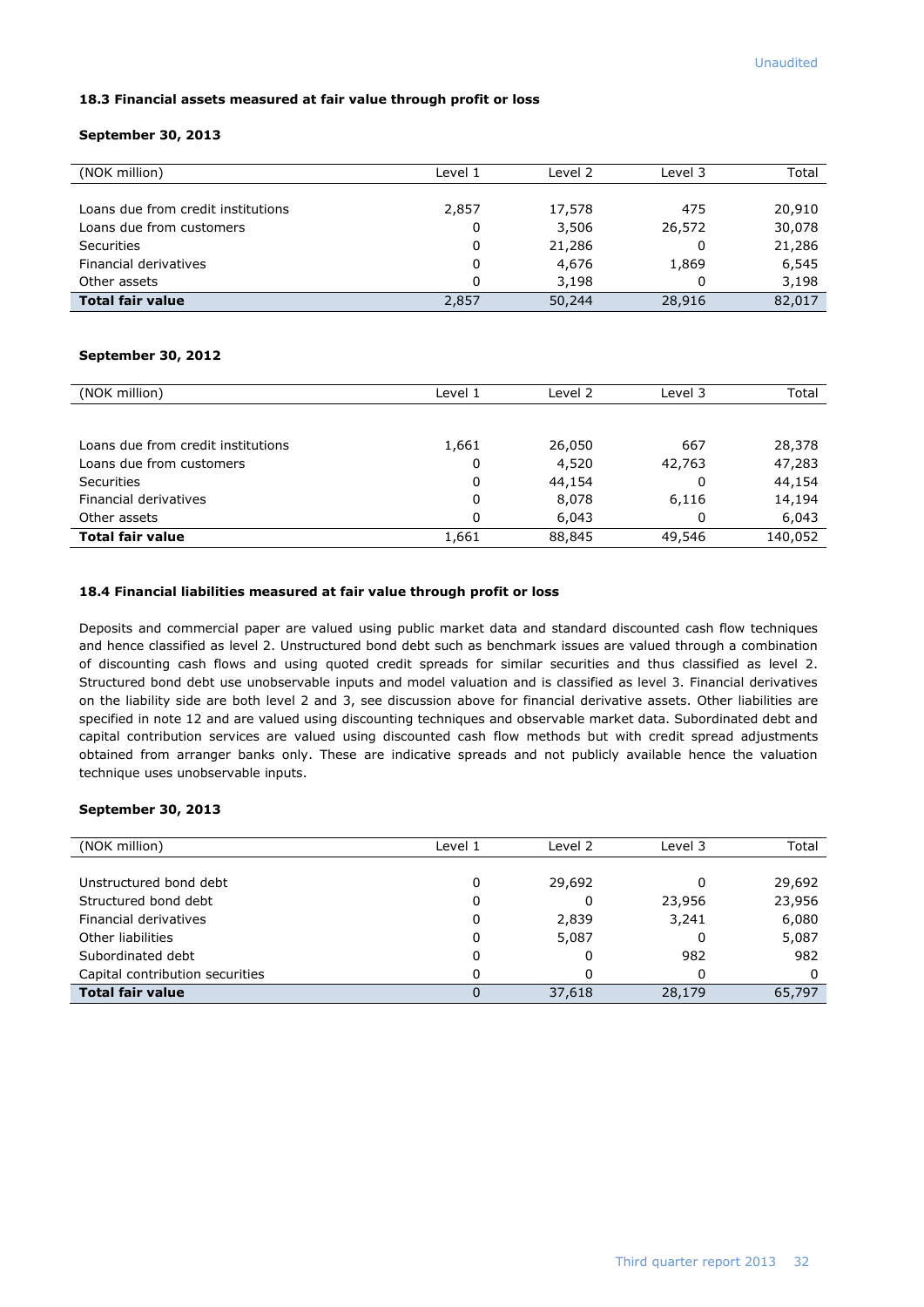### **18.3 Financial assets measured at fair value through profit or loss**

### **September 30, 2013**

| (NOK million)                      | Level 1 | Level 2 | Level 3 | Total  |
|------------------------------------|---------|---------|---------|--------|
|                                    |         |         |         |        |
| Loans due from credit institutions | 2,857   | 17,578  | 475     | 20,910 |
| Loans due from customers           | 0       | 3,506   | 26,572  | 30,078 |
| <b>Securities</b>                  | 0       | 21,286  | 0       | 21,286 |
| Financial derivatives              | 0       | 4,676   | 1,869   | 6,545  |
| Other assets                       | 0       | 3.198   | 0       | 3,198  |
| <b>Total fair value</b>            | 2,857   | 50,244  | 28,916  | 82,017 |

### **September 30, 2012**

| (NOK million)                      | Level 1 | Level 2 | Level 3 | Total   |
|------------------------------------|---------|---------|---------|---------|
|                                    |         |         |         |         |
| Loans due from credit institutions | 1,661   | 26,050  | 667     | 28,378  |
| Loans due from customers           | 0       | 4,520   | 42,763  | 47,283  |
| <b>Securities</b>                  | 0       | 44,154  | 0       | 44,154  |
| Financial derivatives              | 0       | 8,078   | 6,116   | 14,194  |
| Other assets                       | 0       | 6,043   | 0       | 6,043   |
| <b>Total fair value</b>            | 1,661   | 88,845  | 49,546  | 140,052 |

### **18.4 Financial liabilities measured at fair value through profit or loss**

Deposits and commercial paper are valued using public market data and standard discounted cash flow techniques and hence classified as level 2. Unstructured bond debt such as benchmark issues are valued through a combination of discounting cash flows and using quoted credit spreads for similar securities and thus classified as level 2. Structured bond debt use unobservable inputs and model valuation and is classified as level 3. Financial derivatives on the liability side are both level 2 and 3, see discussion above for financial derivative assets. Other liabilities are specified in note 12 and are valued using discounting techniques and observable market data. Subordinated debt and capital contribution services are valued using discounted cash flow methods but with credit spread adjustments obtained from arranger banks only. These are indicative spreads and not publicly available hence the valuation technique uses unobservable inputs.

### **September 30, 2013**

| (NOK million)                   | Level 1 | Level 2 | Level 3 | Total  |
|---------------------------------|---------|---------|---------|--------|
|                                 |         |         |         |        |
| Unstructured bond debt          | 0       | 29,692  | 0       | 29,692 |
| Structured bond debt            | 0       |         | 23,956  | 23,956 |
| Financial derivatives           | 0       | 2,839   | 3,241   | 6,080  |
| Other liabilities               | 0       | 5,087   | 0       | 5,087  |
| Subordinated debt               | 0       |         | 982     | 982    |
| Capital contribution securities |         |         | 0       | 0      |
| <b>Total fair value</b>         |         | 37,618  | 28,179  | 65,797 |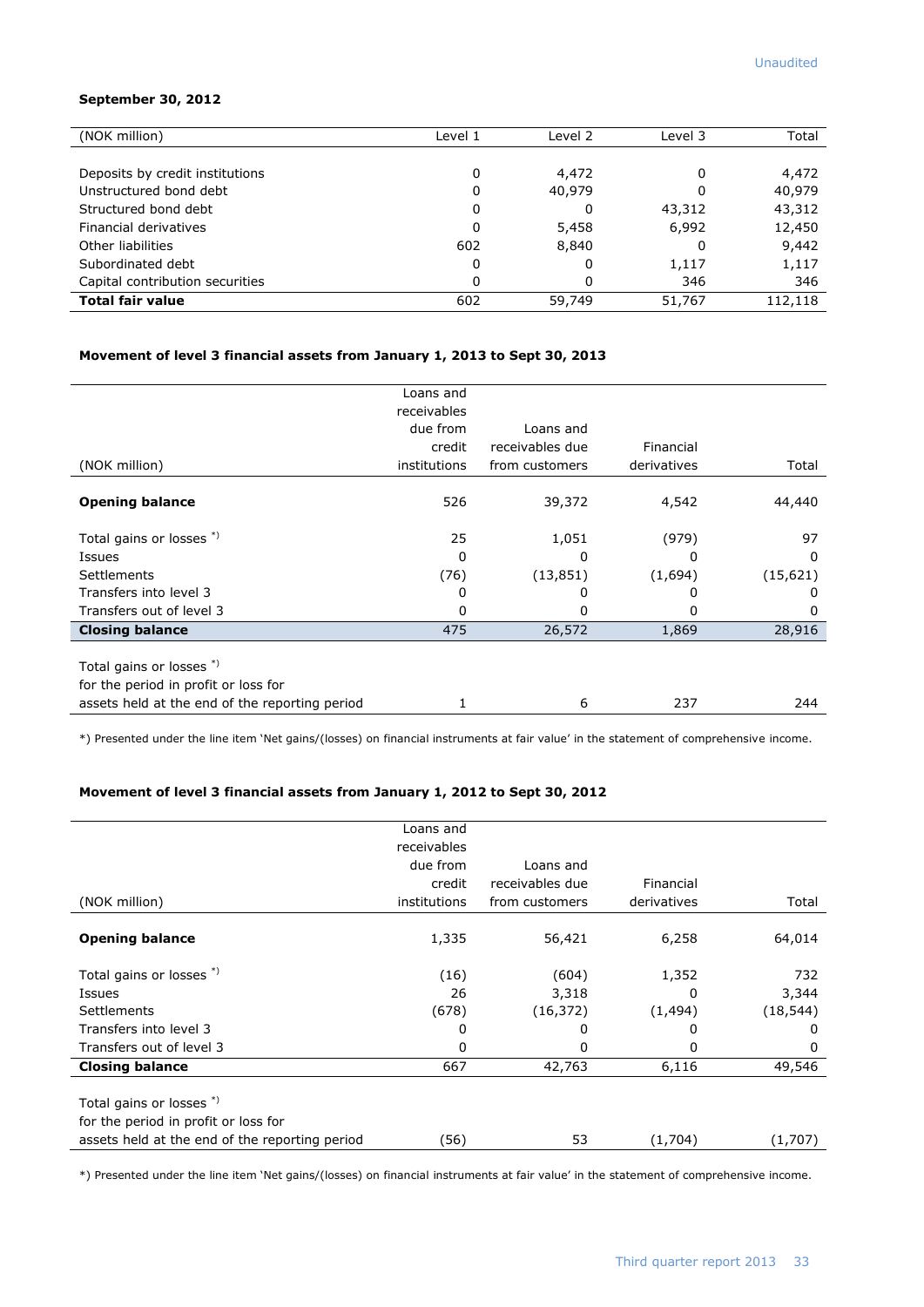### **September 30, 2012**

| (NOK million)                   | Level 1 | Level 2 | Level 3 | Total   |
|---------------------------------|---------|---------|---------|---------|
|                                 |         |         |         |         |
| Deposits by credit institutions | 0       | 4,472   | 0       | 4,472   |
| Unstructured bond debt          | 0       | 40,979  | 0       | 40,979  |
| Structured bond debt            | 0       | 0       | 43,312  | 43,312  |
| Financial derivatives           | 0       | 5,458   | 6,992   | 12,450  |
| Other liabilities               | 602     | 8,840   | 0       | 9,442   |
| Subordinated debt               | 0       | 0       | 1,117   | 1,117   |
| Capital contribution securities | 0       | 0       | 346     | 346     |
| <b>Total fair value</b>         | 602     | 59,749  | 51,767  | 112,118 |

### **Movement of level 3 financial assets from January 1, 2013 to Sept 30, 2013**

|                                                                  | Loans and    |                 |             |              |
|------------------------------------------------------------------|--------------|-----------------|-------------|--------------|
|                                                                  | receivables  |                 |             |              |
|                                                                  | due from     | Loans and       |             |              |
|                                                                  | credit       | receivables due | Financial   |              |
| (NOK million)                                                    | institutions | from customers  | derivatives | Total        |
| <b>Opening balance</b>                                           | 526          | 39,372          | 4,542       | 44,440       |
| Total gains or losses *)                                         | 25           | 1,051           | (979)       | 97           |
| Issues                                                           | 0            | O               | 0           | 0            |
| Settlements                                                      | (76)         | (13, 851)       | (1,694)     | (15, 621)    |
| Transfers into level 3                                           | 0            | 0               | 0           | $\mathbf{0}$ |
| Transfers out of level 3                                         | 0            | 0               | 0           | $\Omega$     |
| <b>Closing balance</b>                                           | 475          | 26,572          | 1,869       | 28,916       |
| Total gains or losses *)<br>for the period in profit or loss for |              |                 |             |              |
| assets held at the end of the reporting period                   |              | 6               | 237         | 244          |

\*) Presented under the line item 'Net gains/(losses) on financial instruments at fair value' in the statement of comprehensive income.

### **Movement of level 3 financial assets from January 1, 2012 to Sept 30, 2012**

|                                                                  | Loans and    |                 |             |           |
|------------------------------------------------------------------|--------------|-----------------|-------------|-----------|
|                                                                  | receivables  |                 |             |           |
|                                                                  | due from     | Loans and       |             |           |
|                                                                  | credit       | receivables due | Financial   |           |
| (NOK million)                                                    | institutions | from customers  | derivatives | Total     |
| <b>Opening balance</b>                                           | 1,335        | 56,421          | 6,258       | 64,014    |
| Total gains or losses *)                                         | (16)         | (604)           | 1,352       | 732       |
| Issues                                                           | 26           | 3,318           | 0           | 3,344     |
| <b>Settlements</b>                                               | (678)        | (16, 372)       | (1, 494)    | (18, 544) |
| Transfers into level 3                                           | 0            | 0               | 0           | 0         |
| Transfers out of level 3                                         | 0            | 0               | 0           | 0         |
| <b>Closing balance</b>                                           | 667          | 42,763          | 6,116       | 49,546    |
| Total gains or losses *)<br>for the period in profit or loss for |              |                 |             |           |
| assets held at the end of the reporting period                   | (56)         | 53              | (1,704)     | (1,707)   |

\*) Presented under the line item 'Net gains/(losses) on financial instruments at fair value' in the statement of comprehensive income.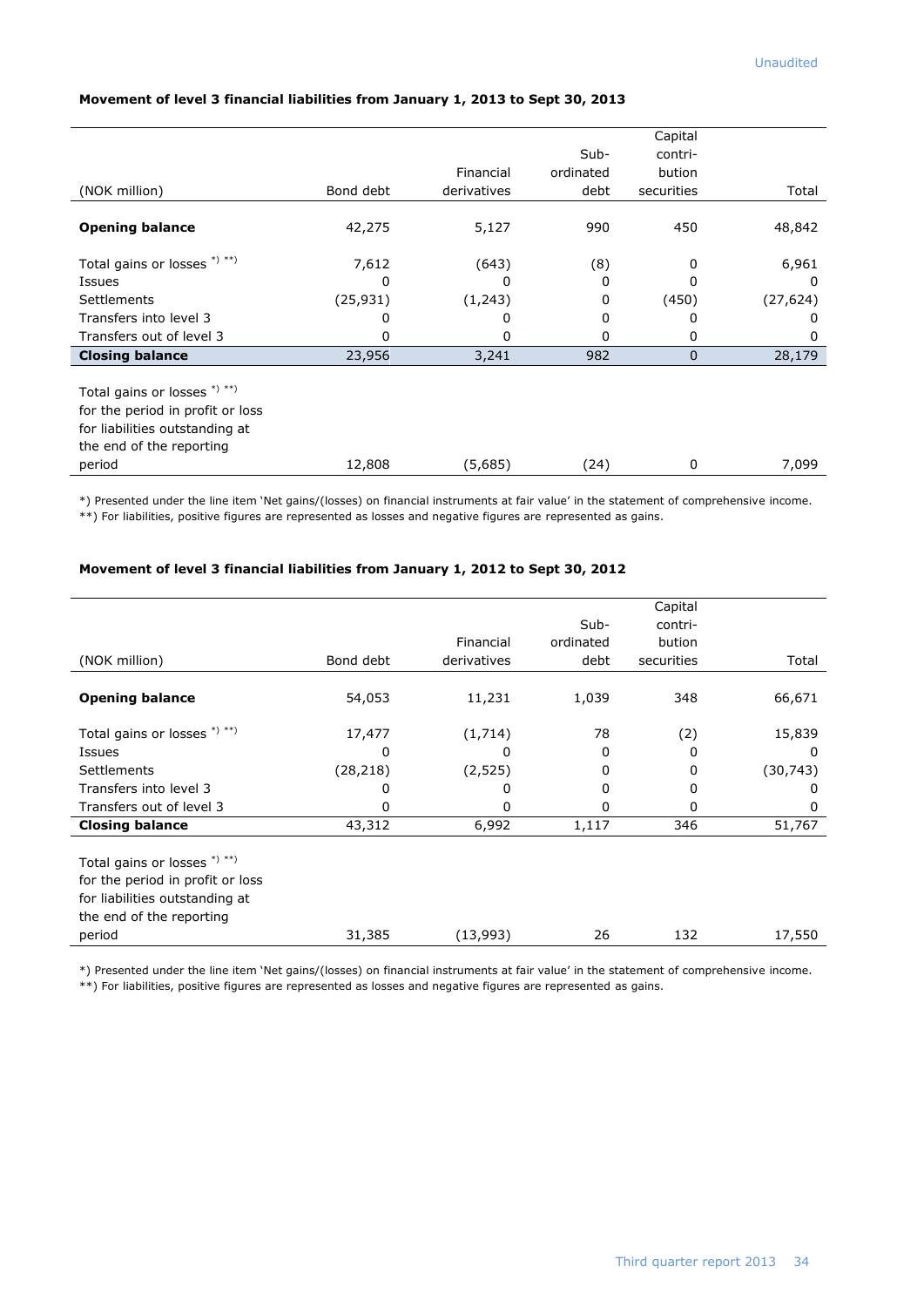|                                  |           |             |           | Capital     |           |
|----------------------------------|-----------|-------------|-----------|-------------|-----------|
|                                  |           |             | Sub-      | contri-     |           |
|                                  |           | Financial   | ordinated | bution      |           |
| (NOK million)                    | Bond debt | derivatives | debt      | securities  | Total     |
|                                  |           |             |           |             |           |
| <b>Opening balance</b>           | 42,275    | 5,127       | 990       | 450         | 48,842    |
| Total gains or losses $*$ ) **)  | 7,612     | (643)       | (8)       | 0           | 6,961     |
| Issues                           | 0         | 0           | 0         | 0           | 0         |
| Settlements                      | (25, 931) | (1,243)     | 0         | (450)       | (27, 624) |
| Transfers into level 3           | 0         | 0           | 0         | 0           | 0         |
| Transfers out of level 3         | 0         | 0           | 0         | 0           | 0         |
| <b>Closing balance</b>           | 23,956    | 3,241       | 982       | $\mathbf 0$ | 28,179    |
|                                  |           |             |           |             |           |
| Total gains or losses *) **)     |           |             |           |             |           |
| for the period in profit or loss |           |             |           |             |           |
| for liabilities outstanding at   |           |             |           |             |           |
| the end of the reporting         |           |             |           |             |           |
| period                           | 12,808    | (5,685)     | (24)      | 0           | 7,099     |

### **Movement of level 3 financial liabilities from January 1, 2013 to Sept 30, 2013**

\*) Presented under the line item 'Net gains/(losses) on financial instruments at fair value' in the statement of comprehensive income. \*\*) For liabilities, positive figures are represented as losses and negative figures are represented as gains.

### **Movement of level 3 financial liabilities from January 1, 2012 to Sept 30, 2012**

|                                  |           |             |           | Capital    |           |
|----------------------------------|-----------|-------------|-----------|------------|-----------|
|                                  |           |             | $Sub-$    | contri-    |           |
|                                  |           | Financial   | ordinated | bution     |           |
| (NOK million)                    | Bond debt | derivatives | debt      | securities | Total     |
|                                  |           |             |           |            |           |
| <b>Opening balance</b>           | 54,053    | 11,231      | 1,039     | 348        | 66,671    |
| Total gains or losses *) **)     | 17,477    | (1,714)     | 78        | (2)        | 15,839    |
| <b>Issues</b>                    | 0         | 0           | 0         | 0          | 0         |
| <b>Settlements</b>               | (28,218)  | (2, 525)    | 0         | 0          | (30, 743) |
| Transfers into level 3           | 0         | 0           | 0         | 0          | 0         |
| Transfers out of level 3         | 0         | 0           | 0         | 0          | 0         |
| <b>Closing balance</b>           | 43,312    | 6,992       | 1,117     | 346        | 51,767    |
|                                  |           |             |           |            |           |
| Total gains or losses *) **)     |           |             |           |            |           |
| for the period in profit or loss |           |             |           |            |           |
| for liabilities outstanding at   |           |             |           |            |           |
| the end of the reporting         |           |             |           |            |           |
| period                           | 31,385    | (13,993)    | 26        | 132        | 17,550    |

\*) Presented under the line item 'Net gains/(losses) on financial instruments at fair value' in the statement of comprehensive income.

\*\*) For liabilities, positive figures are represented as losses and negative figures are represented as gains.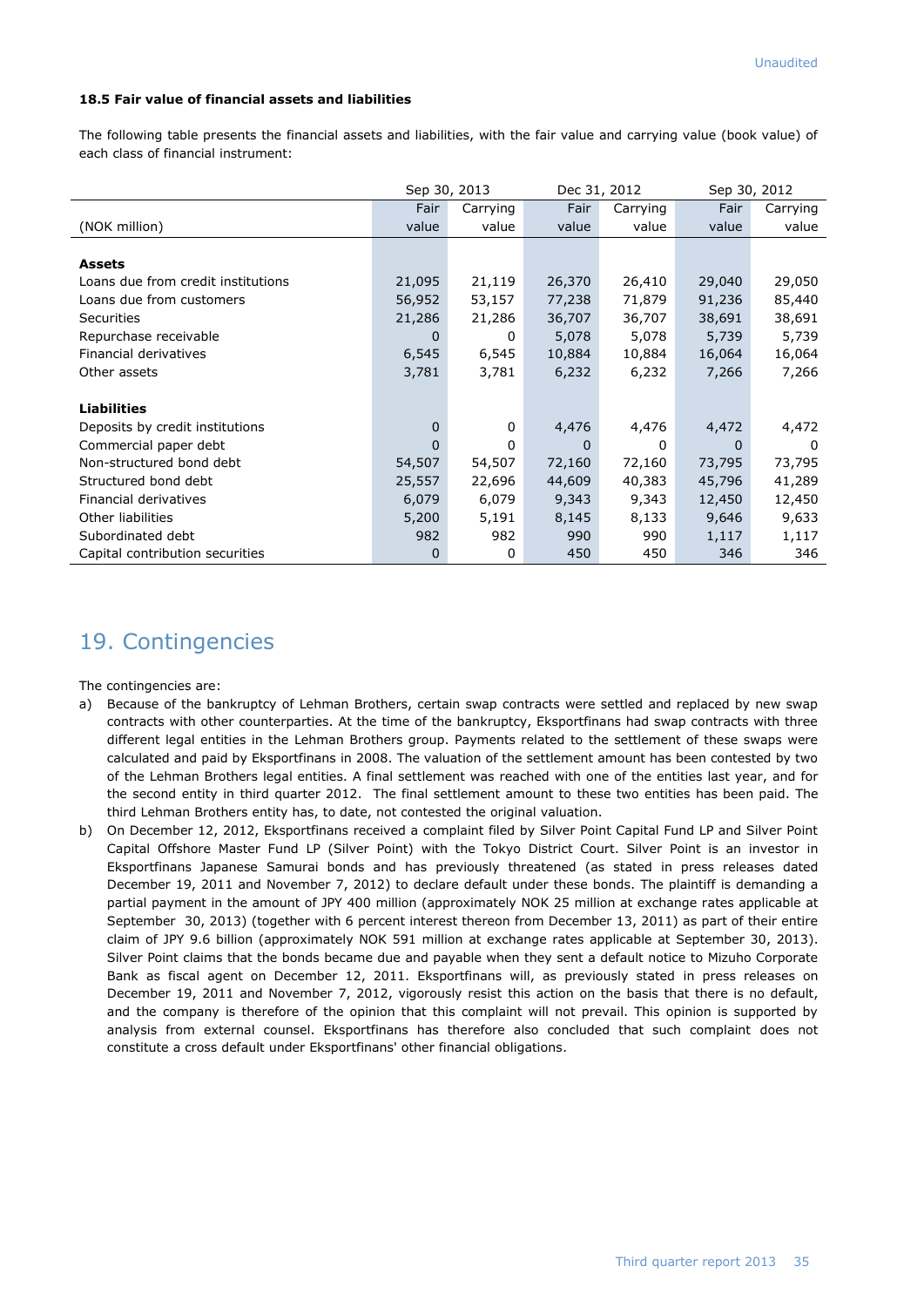### **18.5 Fair value of financial assets and liabilities**

The following table presents the financial assets and liabilities, with the fair value and carrying value (book value) of each class of financial instrument:

|                                    | Sep 30, 2013 |              | Dec 31, 2012 |          | Sep 30, 2012 |          |
|------------------------------------|--------------|--------------|--------------|----------|--------------|----------|
|                                    | Fair         | Carrying     | Fair         | Carrying | Fair         | Carrying |
| (NOK million)                      | value        | value        | value        | value    | value        | value    |
|                                    |              |              |              |          |              |          |
| <b>Assets</b>                      |              |              |              |          |              |          |
| Loans due from credit institutions | 21,095       | 21,119       | 26,370       | 26,410   | 29,040       | 29,050   |
| Loans due from customers           | 56,952       | 53,157       | 77,238       | 71,879   | 91,236       | 85,440   |
| Securities                         | 21,286       | 21,286       | 36,707       | 36,707   | 38,691       | 38,691   |
| Repurchase receivable              | 0            | 0            | 5,078        | 5,078    | 5,739        | 5,739    |
| Financial derivatives              | 6,545        | 6,545        | 10,884       | 10,884   | 16,064       | 16,064   |
| Other assets                       | 3,781        | 3,781        | 6,232        | 6,232    | 7,266        | 7,266    |
|                                    |              |              |              |          |              |          |
| <b>Liabilities</b>                 |              |              |              |          |              |          |
| Deposits by credit institutions    | 0            | $\mathbf{0}$ | 4,476        | 4,476    | 4,472        | 4,472    |
| Commercial paper debt              | 0            | 0            | 0            | 0        | 0            | $\Omega$ |
| Non-structured bond debt           | 54,507       | 54,507       | 72,160       | 72,160   | 73,795       | 73,795   |
| Structured bond debt               | 25,557       | 22,696       | 44,609       | 40,383   | 45,796       | 41,289   |
| Financial derivatives              | 6,079        | 6,079        | 9,343        | 9,343    | 12,450       | 12,450   |
| Other liabilities                  | 5,200        | 5,191        | 8,145        | 8,133    | 9,646        | 9,633    |
| Subordinated debt                  | 982          | 982          | 990          | 990      | 1,117        | 1,117    |
| Capital contribution securities    | 0            | 0            | 450          | 450      | 346          | 346      |

# 19. Contingencies

The contingencies are:

- a) Because of the bankruptcy of Lehman Brothers, certain swap contracts were settled and replaced by new swap contracts with other counterparties. At the time of the bankruptcy, Eksportfinans had swap contracts with three different legal entities in the Lehman Brothers group. Payments related to the settlement of these swaps were calculated and paid by Eksportfinans in 2008. The valuation of the settlement amount has been contested by two of the Lehman Brothers legal entities. A final settlement was reached with one of the entities last year, and for the second entity in third quarter 2012. The final settlement amount to these two entities has been paid. The third Lehman Brothers entity has, to date, not contested the original valuation.
- b) On December 12, 2012, Eksportfinans received a complaint filed by Silver Point Capital Fund LP and Silver Point Capital Offshore Master Fund LP (Silver Point) with the Tokyo District Court. Silver Point is an investor in Eksportfinans Japanese Samurai bonds and has previously threatened (as stated in press releases dated December 19, 2011 and November 7, 2012) to declare default under these bonds. The plaintiff is demanding a partial payment in the amount of JPY 400 million (approximately NOK 25 million at exchange rates applicable at September 30, 2013) (together with 6 percent interest thereon from December 13, 2011) as part of their entire claim of JPY 9.6 billion (approximately NOK 591 million at exchange rates applicable at September 30, 2013). Silver Point claims that the bonds became due and payable when they sent a default notice to Mizuho Corporate Bank as fiscal agent on December 12, 2011. Eksportfinans will, as previously stated in press releases on December 19, 2011 and November 7, 2012, vigorously resist this action on the basis that there is no default, and the company is therefore of the opinion that this complaint will not prevail. This opinion is supported by analysis from external counsel. Eksportfinans has therefore also concluded that such complaint does not constitute a cross default under Eksportfinans' other financial obligations.